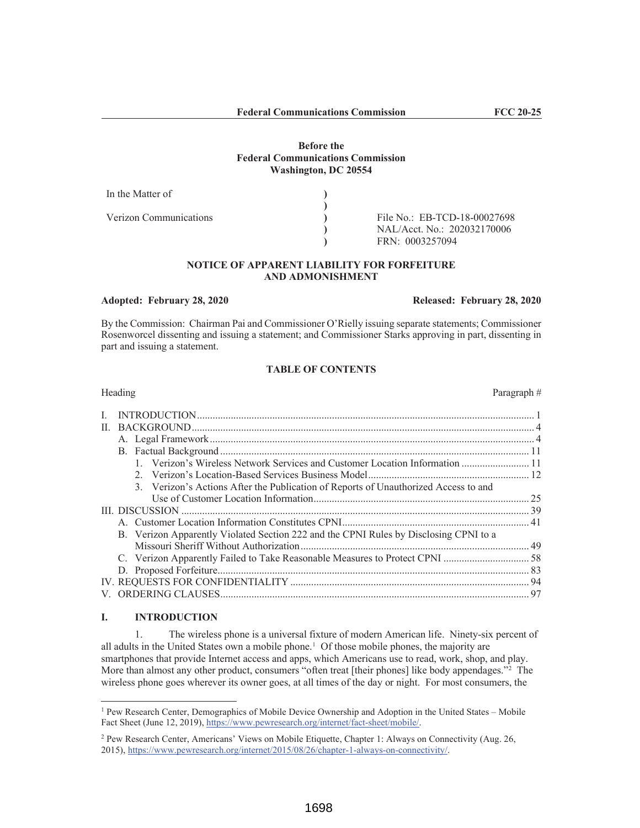#### **Before the Federal Communications Commission Washington, DC 20554**

| In the Matter of       |                              |
|------------------------|------------------------------|
|                        |                              |
| Verizon Communications | File No.: EB-TCD-18-00027698 |
|                        | NAL/Acct. No.: 202032170006  |
|                        | FRN: 0003257094              |

# **NOTICE OF APPARENT LIABILITY FOR FORFEITURE AND ADMONISHMENT**

#### **Adopted: February 28, 2020 Released: February 28, 2020**

By the Commission: Chairman Pai and Commissioner O'Rielly issuing separate statements; Commissioner Rosenworcel dissenting and issuing a statement; and Commissioner Starks approving in part, dissenting in part and issuing a statement.

# **TABLE OF CONTENTS**

| Heading<br>Paragraph#                                                                 |  |
|---------------------------------------------------------------------------------------|--|
|                                                                                       |  |
|                                                                                       |  |
|                                                                                       |  |
|                                                                                       |  |
| 1. Verizon's Wireless Network Services and Customer Location Information  11          |  |
|                                                                                       |  |
| 3. Verizon's Actions After the Publication of Reports of Unauthorized Access to and   |  |
|                                                                                       |  |
|                                                                                       |  |
|                                                                                       |  |
| B. Verizon Apparently Violated Section 222 and the CPNI Rules by Disclosing CPNI to a |  |
|                                                                                       |  |
| C. Verizon Apparently Failed to Take Reasonable Measures to Protect CPNI  58          |  |
|                                                                                       |  |
|                                                                                       |  |
|                                                                                       |  |

# **I. INTRODUCTION**

1. The wireless phone is a universal fixture of modern American life. Ninety-six percent of all adults in the United States own a mobile phone.<sup>1</sup> Of those mobile phones, the majority are smartphones that provide Internet access and apps, which Americans use to read, work, shop, and play. More than almost any other product, consumers "often treat [their phones] like body appendages."<sup>2</sup> The wireless phone goes wherever its owner goes, at all times of the day or night. For most consumers, the

<sup>&</sup>lt;sup>1</sup> Pew Research Center, Demographics of Mobile Device Ownership and Adoption in the United States – Mobile Fact Sheet (June 12, 2019), https://www.pewresearch.org/internet/fact-sheet/mobile/.

<sup>2</sup> Pew Research Center, Americans' Views on Mobile Etiquette, Chapter 1: Always on Connectivity (Aug. 26, 2015), https://www.pewresearch.org/internet/2015/08/26/chapter-1-always-on-connectivity/.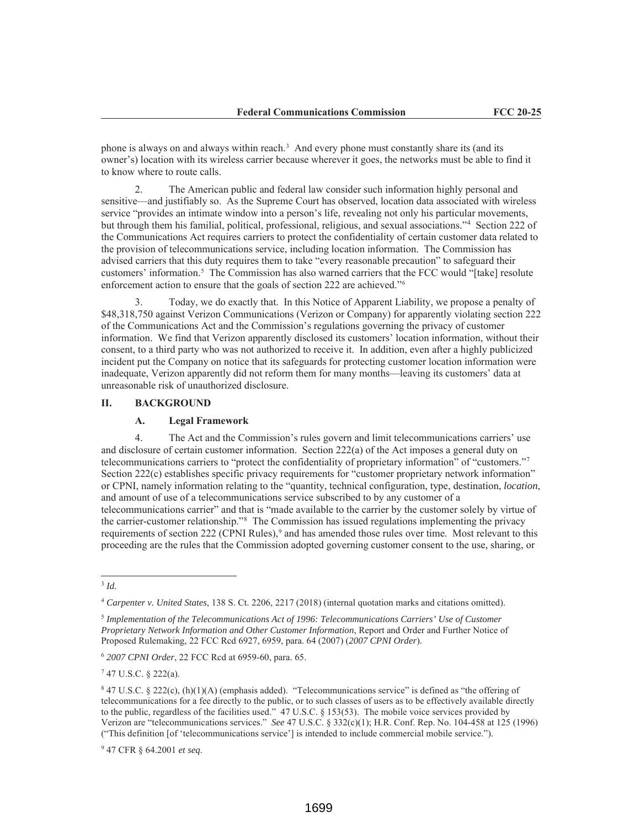phone is always on and always within reach.<sup>3</sup> And every phone must constantly share its (and its owner's) location with its wireless carrier because wherever it goes, the networks must be able to find it to know where to route calls.

2. The American public and federal law consider such information highly personal and sensitive—and justifiably so. As the Supreme Court has observed, location data associated with wireless service "provides an intimate window into a person's life, revealing not only his particular movements, but through them his familial, political, professional, religious, and sexual associations."4 Section 222 of the Communications Act requires carriers to protect the confidentiality of certain customer data related to the provision of telecommunications service, including location information. The Commission has advised carriers that this duty requires them to take "every reasonable precaution" to safeguard their customers' information.5 The Commission has also warned carriers that the FCC would "[take] resolute enforcement action to ensure that the goals of section 222 are achieved."6

3. Today, we do exactly that. In this Notice of Apparent Liability, we propose a penalty of \$48,318,750 against Verizon Communications (Verizon or Company) for apparently violating section 222 of the Communications Act and the Commission's regulations governing the privacy of customer information. We find that Verizon apparently disclosed its customers' location information, without their consent, to a third party who was not authorized to receive it. In addition, even after a highly publicized incident put the Company on notice that its safeguards for protecting customer location information were inadequate, Verizon apparently did not reform them for many months—leaving its customers' data at unreasonable risk of unauthorized disclosure.

#### **II. BACKGROUND**

#### **A. Legal Framework**

4. The Act and the Commission's rules govern and limit telecommunications carriers' use and disclosure of certain customer information. Section 222(a) of the Act imposes a general duty on telecommunications carriers to "protect the confidentiality of proprietary information" of "customers."7 Section 222(c) establishes specific privacy requirements for "customer proprietary network information" or CPNI, namely information relating to the "quantity, technical configuration, type, destination, *location*, and amount of use of a telecommunications service subscribed to by any customer of a telecommunications carrier" and that is "made available to the carrier by the customer solely by virtue of the carrier-customer relationship."8 The Commission has issued regulations implementing the privacy requirements of section 222 (CPNI Rules),<sup>9</sup> and has amended those rules over time. Most relevant to this proceeding are the rules that the Commission adopted governing customer consent to the use, sharing, or

<sup>3</sup> *Id.*

<sup>4</sup> *Carpenter v. United States*, 138 S. Ct. 2206, 2217 (2018) (internal quotation marks and citations omitted).

<sup>5</sup> *Implementation of the Telecommunications Act of 1996: Telecommunications Carriers' Use of Customer Proprietary Network Information and Other Customer Information*, Report and Order and Further Notice of Proposed Rulemaking, 22 FCC Rcd 6927, 6959, para. 64 (2007) (*2007 CPNI Order*).

<sup>6</sup> *2007 CPNI Order*, 22 FCC Rcd at 6959-60, para. 65.

 $747$  U.S.C. § 222(a).

<sup>8</sup> 47 U.S.C. § 222(c), (h)(1)(A) (emphasis added). "Telecommunications service" is defined as "the offering of telecommunications for a fee directly to the public, or to such classes of users as to be effectively available directly to the public, regardless of the facilities used." 47 U.S.C. § 153(53). The mobile voice services provided by Verizon are "telecommunications services." *See* 47 U.S.C. § 332(c)(1); H.R. Conf. Rep. No. 104-458 at 125 (1996) ("This definition [of 'telecommunications service'] is intended to include commercial mobile service.").

<sup>9</sup> 47 CFR § 64.2001 *et seq*.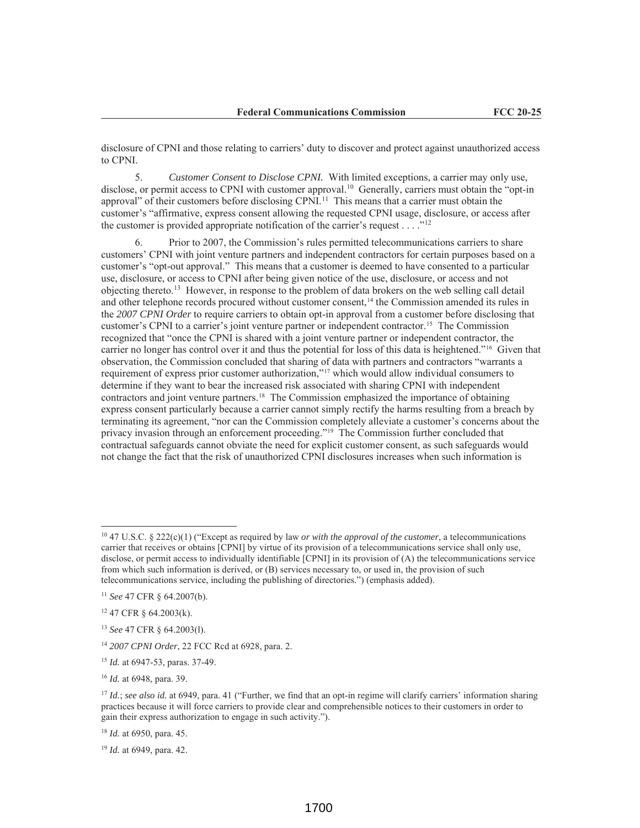disclosure of CPNI and those relating to carriers' duty to discover and protect against unauthorized access to CPNI.

5. *Customer Consent to Disclose CPNI.* With limited exceptions, a carrier may only use, disclose, or permit access to CPNI with customer approval.<sup>10</sup> Generally, carriers must obtain the "opt-in approval" of their customers before disclosing CPNI.<sup>11</sup> This means that a carrier must obtain the customer's "affirmative, express consent allowing the requested CPNI usage, disclosure, or access after the customer is provided appropriate notification of the carrier's request  $\dots$ ."<sup>12</sup>

6. Prior to 2007, the Commission's rules permitted telecommunications carriers to share customers' CPNI with joint venture partners and independent contractors for certain purposes based on a customer's "opt-out approval." This means that a customer is deemed to have consented to a particular use, disclosure, or access to CPNI after being given notice of the use, disclosure, or access and not objecting thereto.13 However, in response to the problem of data brokers on the web selling call detail and other telephone records procured without customer consent,<sup>14</sup> the Commission amended its rules in the *2007 CPNI Order* to require carriers to obtain opt-in approval from a customer before disclosing that customer's CPNI to a carrier's joint venture partner or independent contractor.15 The Commission recognized that "once the CPNI is shared with a joint venture partner or independent contractor, the carrier no longer has control over it and thus the potential for loss of this data is heightened."16 Given that observation, the Commission concluded that sharing of data with partners and contractors "warrants a requirement of express prior customer authorization,"17 which would allow individual consumers to determine if they want to bear the increased risk associated with sharing CPNI with independent contractors and joint venture partners.18 The Commission emphasized the importance of obtaining express consent particularly because a carrier cannot simply rectify the harms resulting from a breach by terminating its agreement, "nor can the Commission completely alleviate a customer's concerns about the privacy invasion through an enforcement proceeding."19 The Commission further concluded that contractual safeguards cannot obviate the need for explicit customer consent, as such safeguards would not change the fact that the risk of unauthorized CPNI disclosures increases when such information is

<sup>10</sup> 47 U.S.C. § 222(c)(1) ("Except as required by law *or with the approval of the customer*, a telecommunications carrier that receives or obtains [CPNI] by virtue of its provision of a telecommunications service shall only use, disclose, or permit access to individually identifiable [CPNI] in its provision of (A) the telecommunications service from which such information is derived, or (B) services necessary to, or used in, the provision of such telecommunications service, including the publishing of directories.") (emphasis added).

<sup>11</sup> *See* 47 CFR § 64.2007(b).

<sup>12</sup> 47 CFR § 64.2003(k).

<sup>13</sup> *See* 47 CFR § 64.2003(l).

<sup>14</sup> *2007 CPNI Order*, 22 FCC Rcd at 6928, para. 2.

<sup>15</sup> *Id.* at 6947-53, paras. 37-49.

<sup>16</sup> *Id.* at 6948, para. 39.

<sup>17</sup> *Id.*; *see also id.* at 6949, para. 41 ("Further, we find that an opt-in regime will clarify carriers' information sharing practices because it will force carriers to provide clear and comprehensible notices to their customers in order to gain their express authorization to engage in such activity.").

<sup>18</sup> *Id.* at 6950, para. 45.

<sup>19</sup> *Id.* at 6949, para. 42.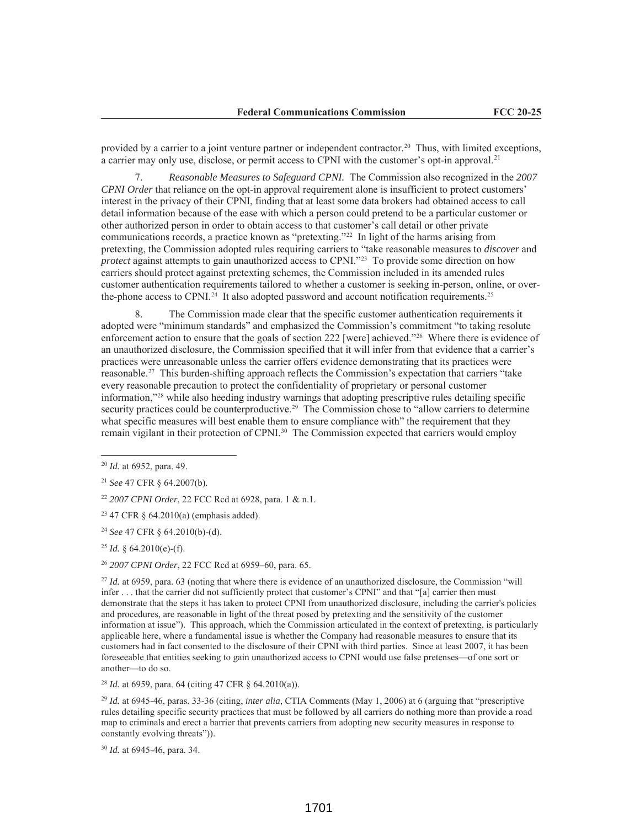provided by a carrier to a joint venture partner or independent contractor.20 Thus, with limited exceptions, a carrier may only use, disclose, or permit access to CPNI with the customer's opt-in approval.21

7. *Reasonable Measures to Safeguard CPNI.* The Commission also recognized in the *2007 CPNI Order* that reliance on the opt-in approval requirement alone is insufficient to protect customers' interest in the privacy of their CPNI, finding that at least some data brokers had obtained access to call detail information because of the ease with which a person could pretend to be a particular customer or other authorized person in order to obtain access to that customer's call detail or other private communications records, a practice known as "pretexting."22 In light of the harms arising from pretexting, the Commission adopted rules requiring carriers to "take reasonable measures to *discover* and *protect* against attempts to gain unauthorized access to CPNI."23 To provide some direction on how carriers should protect against pretexting schemes, the Commission included in its amended rules customer authentication requirements tailored to whether a customer is seeking in-person, online, or overthe-phone access to CPNI.<sup>24</sup> It also adopted password and account notification requirements.<sup>25</sup>

8. The Commission made clear that the specific customer authentication requirements it adopted were "minimum standards" and emphasized the Commission's commitment "to taking resolute enforcement action to ensure that the goals of section 222 [were] achieved."26 Where there is evidence of an unauthorized disclosure, the Commission specified that it will infer from that evidence that a carrier's practices were unreasonable unless the carrier offers evidence demonstrating that its practices were reasonable.27 This burden-shifting approach reflects the Commission's expectation that carriers "take every reasonable precaution to protect the confidentiality of proprietary or personal customer information,"28 while also heeding industry warnings that adopting prescriptive rules detailing specific security practices could be counterproductive.<sup>29</sup> The Commission chose to "allow carriers to determine" what specific measures will best enable them to ensure compliance with" the requirement that they remain vigilant in their protection of CPNI.30 The Commission expected that carriers would employ

<sup>25</sup> *Id.* § 64.2010(e)-(f).

<sup>26</sup> *2007 CPNI Order*, 22 FCC Rcd at 6959–60, para. 65.

<sup>27</sup> *Id.* at 6959, para. 63 (noting that where there is evidence of an unauthorized disclosure, the Commission "will infer . . . that the carrier did not sufficiently protect that customer's CPNI" and that "[a] carrier then must demonstrate that the steps it has taken to protect CPNI from unauthorized disclosure, including the carrier's policies and procedures, are reasonable in light of the threat posed by pretexting and the sensitivity of the customer information at issue"). This approach, which the Commission articulated in the context of pretexting, is particularly applicable here, where a fundamental issue is whether the Company had reasonable measures to ensure that its customers had in fact consented to the disclosure of their CPNI with third parties. Since at least 2007, it has been foreseeable that entities seeking to gain unauthorized access to CPNI would use false pretenses—of one sort or another—to do so.

<sup>28</sup> *Id.* at 6959, para. 64 (citing 47 CFR § 64.2010(a)).

<sup>29</sup> *Id.* at 6945-46, paras. 33-36 (citing, *inter alia*, CTIA Comments (May 1, 2006) at 6 (arguing that "prescriptive rules detailing specific security practices that must be followed by all carriers do nothing more than provide a road map to criminals and erect a barrier that prevents carriers from adopting new security measures in response to constantly evolving threats")).

<sup>30</sup> *Id.* at 6945-46, para. 34.

<sup>20</sup> *Id.* at 6952, para. 49.

<sup>21</sup> *See* 47 CFR § 64.2007(b).

<sup>22</sup> *2007 CPNI Order*, 22 FCC Rcd at 6928, para. 1 & n.1.

 $23$  47 CFR § 64.2010(a) (emphasis added).

<sup>24</sup> *See* 47 CFR § 64.2010(b)-(d).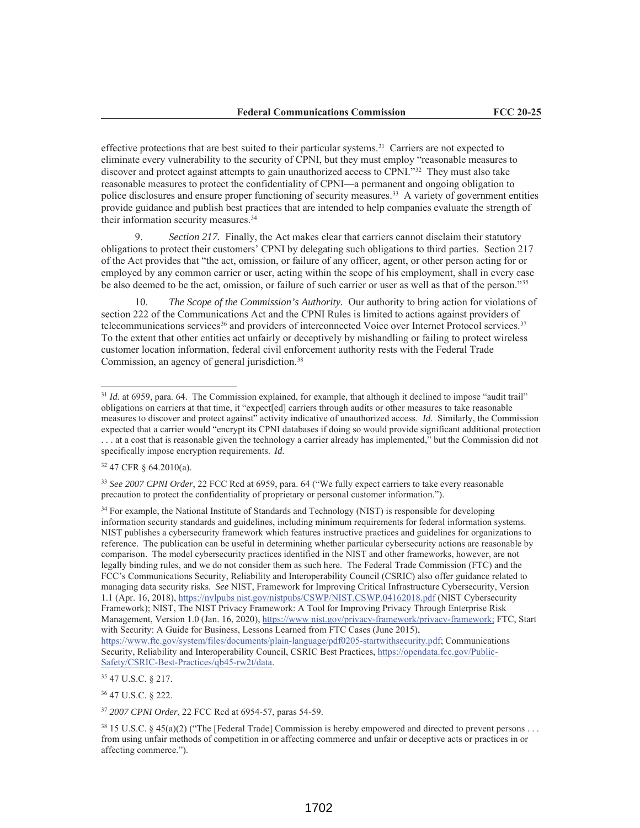effective protections that are best suited to their particular systems.31 Carriers are not expected to eliminate every vulnerability to the security of CPNI, but they must employ "reasonable measures to discover and protect against attempts to gain unauthorized access to CPNI."32 They must also take reasonable measures to protect the confidentiality of CPNI—a permanent and ongoing obligation to police disclosures and ensure proper functioning of security measures.33 A variety of government entities provide guidance and publish best practices that are intended to help companies evaluate the strength of their information security measures.<sup>34</sup>

9. *Section 217.* Finally, the Act makes clear that carriers cannot disclaim their statutory obligations to protect their customers' CPNI by delegating such obligations to third parties. Section 217 of the Act provides that "the act, omission, or failure of any officer, agent, or other person acting for or employed by any common carrier or user, acting within the scope of his employment, shall in every case be also deemed to be the act, omission, or failure of such carrier or user as well as that of the person."35

10. *The Scope of the Commission's Authority.* Our authority to bring action for violations of section 222 of the Communications Act and the CPNI Rules is limited to actions against providers of telecommunications services<sup>36</sup> and providers of interconnected Voice over Internet Protocol services.<sup>37</sup> To the extent that other entities act unfairly or deceptively by mishandling or failing to protect wireless customer location information, federal civil enforcement authority rests with the Federal Trade Commission, an agency of general jurisdiction.<sup>38</sup>

<sup>32</sup> 47 CFR § 64.2010(a).

<sup>34</sup> For example, the National Institute of Standards and Technology (NIST) is responsible for developing information security standards and guidelines, including minimum requirements for federal information systems. NIST publishes a cybersecurity framework which features instructive practices and guidelines for organizations to reference. The publication can be useful in determining whether particular cybersecurity actions are reasonable by comparison. The model cybersecurity practices identified in the NIST and other frameworks, however, are not legally binding rules, and we do not consider them as such here. The Federal Trade Commission (FTC) and the FCC's Communications Security, Reliability and Interoperability Council (CSRIC) also offer guidance related to managing data security risks. *See* NIST, Framework for Improving Critical Infrastructure Cybersecurity, Version 1.1 (Apr. 16, 2018), https://nvlpubs nist.gov/nistpubs/CSWP/NIST.CSWP.04162018.pdf (NIST Cybersecurity Framework); NIST, The NIST Privacy Framework: A Tool for Improving Privacy Through Enterprise Risk Management, Version 1.0 (Jan. 16, 2020), https://www nist.gov/privacy-framework/privacy-framework; FTC, Start with Security: A Guide for Business, Lessons Learned from FTC Cases (June 2015), https://www.ftc.gov/system/files/documents/plain-language/pdf0205-startwithsecurity.pdf; Communications Security, Reliability and Interoperability Council, CSRIC Best Practices, https://opendata.fcc.gov/Public-Safety/CSRIC-Best-Practices/qb45-rw2t/data.

<sup>&</sup>lt;sup>31</sup> *Id.* at 6959, para. 64. The Commission explained, for example, that although it declined to impose "audit trail" obligations on carriers at that time, it "expect[ed] carriers through audits or other measures to take reasonable measures to discover and protect against" activity indicative of unauthorized access. *Id*. Similarly, the Commission expected that a carrier would "encrypt its CPNI databases if doing so would provide significant additional protection . . . at a cost that is reasonable given the technology a carrier already has implemented," but the Commission did not specifically impose encryption requirements. *Id*.

<sup>33</sup> *See 2007 CPNI Order*, 22 FCC Rcd at 6959, para. 64 ("We fully expect carriers to take every reasonable precaution to protect the confidentiality of proprietary or personal customer information.").

<sup>35</sup> 47 U.S.C. § 217.

<sup>36</sup> 47 U.S.C. § 222.

<sup>37</sup> *2007 CPNI Order*, 22 FCC Rcd at 6954-57, paras 54-59.

 $38\,15$  U.S.C. § 45(a)(2) ("The [Federal Trade] Commission is hereby empowered and directed to prevent persons ... from using unfair methods of competition in or affecting commerce and unfair or deceptive acts or practices in or affecting commerce.").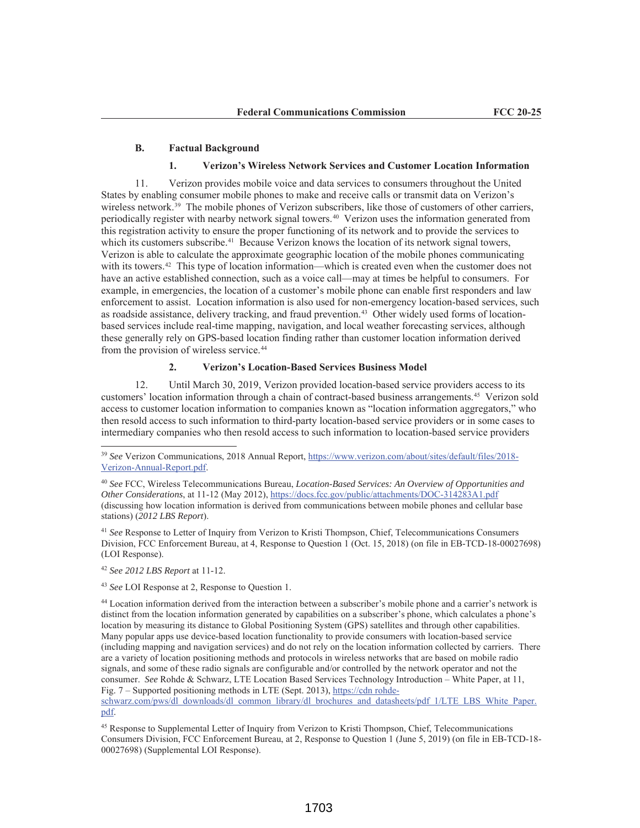#### **B. Factual Background**

#### **1. Verizon's Wireless Network Services and Customer Location Information**

11. Verizon provides mobile voice and data services to consumers throughout the United States by enabling consumer mobile phones to make and receive calls or transmit data on Verizon's wireless network.<sup>39</sup> The mobile phones of Verizon subscribers, like those of customers of other carriers, periodically register with nearby network signal towers.40 Verizon uses the information generated from this registration activity to ensure the proper functioning of its network and to provide the services to which its customers subscribe.<sup>41</sup> Because Verizon knows the location of its network signal towers, Verizon is able to calculate the approximate geographic location of the mobile phones communicating with its towers.<sup>42</sup> This type of location information—which is created even when the customer does not have an active established connection, such as a voice call—may at times be helpful to consumers. For example, in emergencies, the location of a customer's mobile phone can enable first responders and law enforcement to assist. Location information is also used for non-emergency location-based services, such as roadside assistance, delivery tracking, and fraud prevention. 43 Other widely used forms of locationbased services include real-time mapping, navigation, and local weather forecasting services, although these generally rely on GPS-based location finding rather than customer location information derived from the provision of wireless service.<sup>44</sup>

# **2. Verizon's Location-Based Services Business Model**

12. Until March 30, 2019, Verizon provided location-based service providers access to its customers' location information through a chain of contract-based business arrangements.45 Verizon sold access to customer location information to companies known as "location information aggregators," who then resold access to such information to third-party location-based service providers or in some cases to intermediary companies who then resold access to such information to location-based service providers

<sup>41</sup> *See* Response to Letter of Inquiry from Verizon to Kristi Thompson, Chief, Telecommunications Consumers Division, FCC Enforcement Bureau, at 4, Response to Question 1 (Oct. 15, 2018) (on file in EB-TCD-18-00027698) (LOI Response).

<sup>42</sup> *See 2012 LBS Report* at 11-12.

<sup>43</sup> *See* LOI Response at 2, Response to Question 1.

<sup>39</sup> *See* Verizon Communications, 2018 Annual Report, https://www.verizon.com/about/sites/default/files/2018- Verizon-Annual-Report.pdf.

<sup>40</sup> *See* FCC, Wireless Telecommunications Bureau, *Location-Based Services: An Overview of Opportunities and Other Considerations*, at 11-12 (May 2012), https://docs.fcc.gov/public/attachments/DOC-314283A1.pdf (discussing how location information is derived from communications between mobile phones and cellular base stations) (*2012 LBS Report*).

<sup>44</sup> Location information derived from the interaction between a subscriber's mobile phone and a carrier's network is distinct from the location information generated by capabilities on a subscriber's phone, which calculates a phone's location by measuring its distance to Global Positioning System (GPS) satellites and through other capabilities. Many popular apps use device-based location functionality to provide consumers with location-based service (including mapping and navigation services) and do not rely on the location information collected by carriers. There are a variety of location positioning methods and protocols in wireless networks that are based on mobile radio signals, and some of these radio signals are configurable and/or controlled by the network operator and not the consumer. *See* Rohde & Schwarz, LTE Location Based Services Technology Introduction – White Paper, at 11, Fig. 7 – Supported positioning methods in LTE (Sept. 2013), https://cdn rohde-

schwarz.com/pws/dl downloads/dl common library/dl brochures and datasheets/pdf 1/LTE LBS White Paper. pdf.

<sup>&</sup>lt;sup>45</sup> Response to Supplemental Letter of Inquiry from Verizon to Kristi Thompson, Chief, Telecommunications Consumers Division, FCC Enforcement Bureau, at 2, Response to Question 1 (June 5, 2019) (on file in EB-TCD-18- 00027698) (Supplemental LOI Response).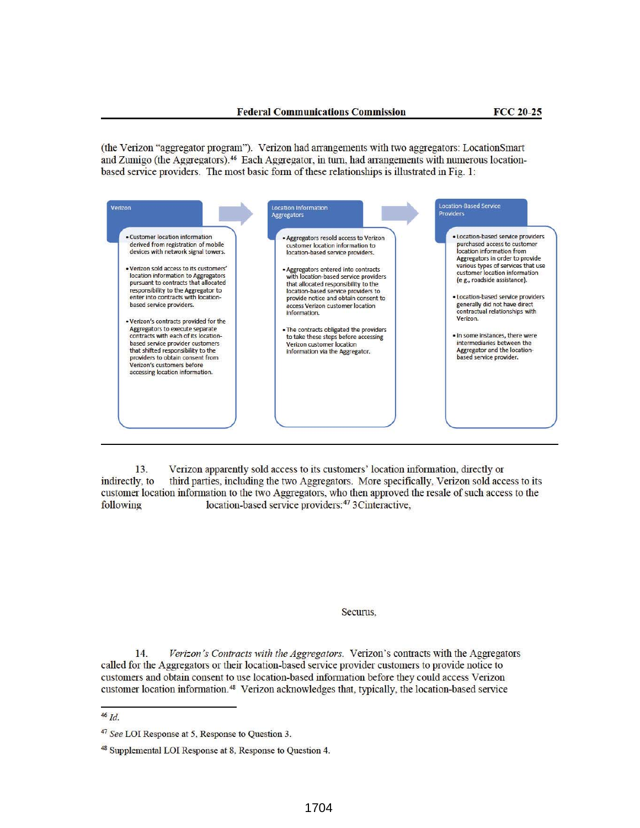(the Verizon "aggregator program"). Verizon had arrangements with two aggregators: LocationSmart and Zumigo (the Aggregators).<sup>46</sup> Each Aggregator, in turn, had arrangements with numerous locationbased service providers. The most basic form of these relationships is illustrated in Fig. 1:



Verizon apparently sold access to its customers' location information, directly or  $13.$ third parties, including the two Aggregators. More specifically, Verizon sold access to its indirectly, to customer location information to the two Aggregators, who then approved the resale of such access to the location-based service providers:<sup>47</sup> 3Cinteractive, following

#### Securus.

14. Verizon's Contracts with the Aggregators. Verizon's contracts with the Aggregators called for the Aggregators or their location-based service provider customers to provide notice to customers and obtain consent to use location-based information before they could access Verizon customer location information.<sup>48</sup> Verizon acknowledges that, typically, the location-based service

 $46$   $Id.$ 

<sup>&</sup>lt;sup>47</sup> See LOI Response at 5, Response to Question 3.

<sup>&</sup>lt;sup>48</sup> Supplemental LOI Response at 8, Response to Question 4.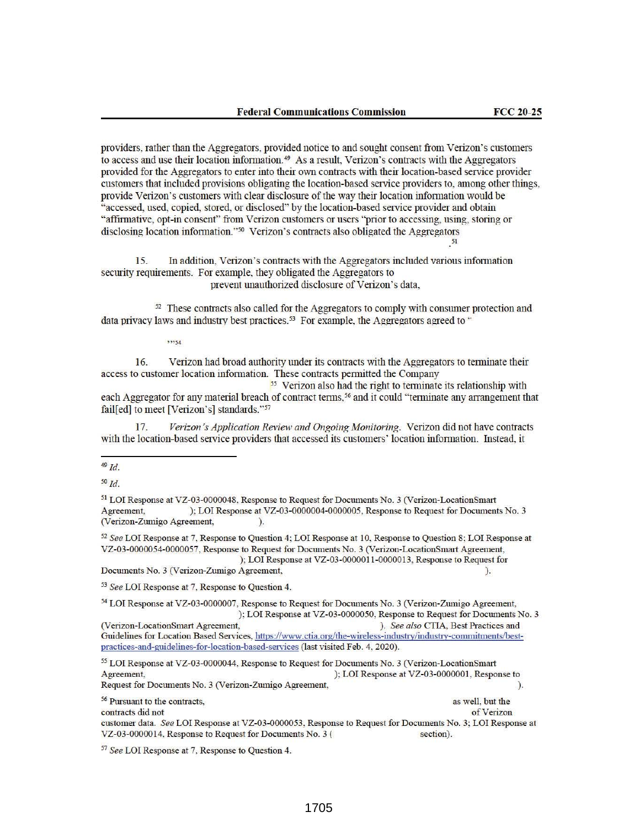providers, rather than the Aggregators, provided notice to and sought consent from Verizon's customers to access and use their location information.<sup>49</sup> As a result, Verizon's contracts with the Aggregators provided for the Aggregators to enter into their own contracts with their location-based service provider customers that included provisions obligating the location-based service providers to, among other things, provide Verizon's customers with clear disclosure of the way their location information would be "accessed, used, copied, stored, or disclosed" by the location-based service provider and obtain "affirmative, opt-in consent" from Verizon customers or users "prior to accessing, using, storing or disclosing location information."<sup>50</sup> Verizon's contracts also obligated the Aggregators

In addition, Verizon's contracts with the Aggregators included various information 15. security requirements. For example, they obligated the Aggregators to prevent unauthorized disclosure of Verizon's data,

<sup>52</sup> These contracts also called for the Aggregators to comply with consumer protection and data privacy laws and industry best practices.<sup>53</sup> For example, the Aggregators agreed to "

 $5, 25, 54$ 

16. Verizon had broad authority under its contracts with the Aggregators to terminate their access to customer location information. These contracts permitted the Company

<sup>55</sup> Verizon also had the right to terminate its relationship with each Aggregator for any material breach of contract terms,<sup>56</sup> and it could "terminate any arrangement that fail[ed] to meet [Verizon's] standards."57

17. Verizon's Application Review and Ongoing Monitoring. Verizon did not have contracts with the location-based service providers that accessed its customers' location information. Instead, it

<sup>51</sup> LOI Response at VZ-03-0000048, Response to Request for Documents No. 3 (Verizon-LocationSmart Agreement, ); LOI Response at VZ-03-0000004-0000005, Response to Request for Documents No. 3 (Verizon-Zumigo Agreement,  $\lambda$ 

 $52$  See LOI Response at 7, Response to Question 4; LOI Response at 10, Response to Question 8; LOI Response at VZ-03-0000054-0000057, Response to Request for Documents No. 3 (Verizon-LocationSmart Agreement, ); LOI Response at VZ-03-0000011-0000013, Response to Request for Documents No. 3 (Verizon-Zumigo Agreement,  $).$ 

<sup>53</sup> See LOI Response at 7, Response to Question 4.

<sup>54</sup> LOI Response at VZ-03-0000007, Response to Request for Documents No. 3 (Verizon-Zumigo Agreement, ); LOI Response at VZ-03-0000050, Response to Request for Documents No. 3 ). See also CTIA, Best Practices and (Verizon-LocationSmart Agreement, Guidelines for Location Based Services, https://www.ctia.org/the-wireless-industry/industry-commitments/bestpractices-and-guidelines-for-location-based-services (last visited Feb. 4, 2020).

<sup>55</sup> LOI Response at VZ-03-0000044. Response to Request for Documents No. 3 (Verizon-LocationSmart Agreement, ); LOI Response at VZ-03-0000001, Response to Request for Documents No. 3 (Verizon-Zumigo Agreement,  $\lambda$ 

<sup>56</sup> Pursuant to the contracts, as well, but the contracts did not of Verizon customer data. See LOI Response at VZ-03-0000053, Response to Request for Documents No. 3; LOI Response at VZ-03-0000014, Response to Request for Documents No. 3 ( section).

<sup>57</sup> See LOI Response at 7, Response to Question 4.

 $49$   $Id.$ 

 $50$   $Id$ .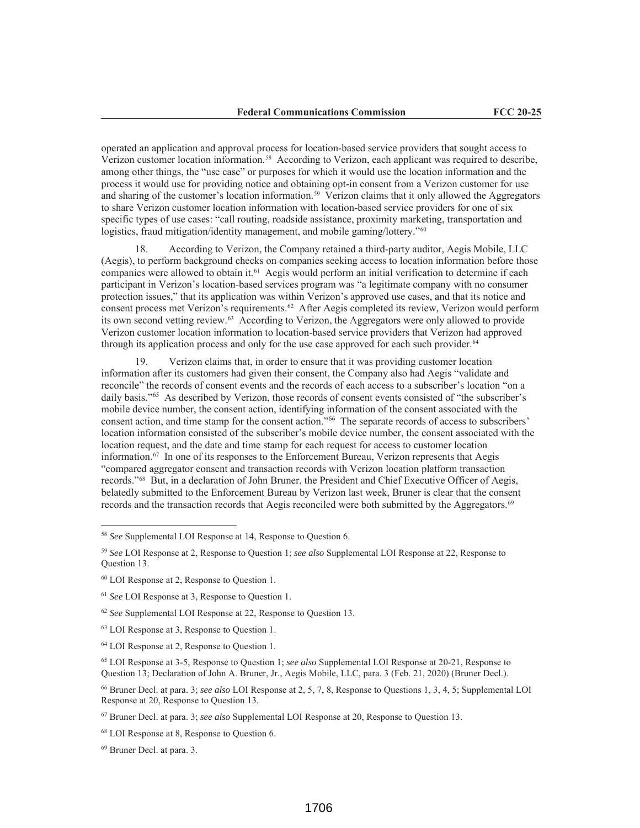operated an application and approval process for location-based service providers that sought access to Verizon customer location information.58 According to Verizon, each applicant was required to describe, among other things, the "use case" or purposes for which it would use the location information and the process it would use for providing notice and obtaining opt-in consent from a Verizon customer for use and sharing of the customer's location information.59 Verizon claims that it only allowed the Aggregators to share Verizon customer location information with location-based service providers for one of six specific types of use cases: "call routing, roadside assistance, proximity marketing, transportation and logistics, fraud mitigation/identity management, and mobile gaming/lottery."<sup>60</sup>

18. According to Verizon, the Company retained a third-party auditor, Aegis Mobile, LLC (Aegis), to perform background checks on companies seeking access to location information before those companies were allowed to obtain it.61 Aegis would perform an initial verification to determine if each participant in Verizon's location-based services program was "a legitimate company with no consumer protection issues," that its application was within Verizon's approved use cases, and that its notice and consent process met Verizon's requirements.62 After Aegis completed its review, Verizon would perform its own second vetting review.63 According to Verizon, the Aggregators were only allowed to provide Verizon customer location information to location-based service providers that Verizon had approved through its application process and only for the use case approved for each such provider.<sup>64</sup>

19. Verizon claims that, in order to ensure that it was providing customer location information after its customers had given their consent, the Company also had Aegis "validate and reconcile" the records of consent events and the records of each access to a subscriber's location "on a daily basis."<sup>65</sup> As described by Verizon, those records of consent events consisted of "the subscriber's mobile device number, the consent action, identifying information of the consent associated with the consent action, and time stamp for the consent action."66 The separate records of access to subscribers' location information consisted of the subscriber's mobile device number, the consent associated with the location request, and the date and time stamp for each request for access to customer location information.67 In one of its responses to the Enforcement Bureau, Verizon represents that Aegis "compared aggregator consent and transaction records with Verizon location platform transaction records."68 But, in a declaration of John Bruner, the President and Chief Executive Officer of Aegis, belatedly submitted to the Enforcement Bureau by Verizon last week, Bruner is clear that the consent records and the transaction records that Aegis reconciled were both submitted by the Aggregators.<sup>69</sup>

<sup>58</sup> *See* Supplemental LOI Response at 14, Response to Question 6.

<sup>59</sup> *See* LOI Response at 2, Response to Question 1; *see also* Supplemental LOI Response at 22, Response to Question 13.

<sup>60</sup> LOI Response at 2, Response to Question 1.

<sup>61</sup> *See* LOI Response at 3, Response to Question 1.

<sup>62</sup> *See* Supplemental LOI Response at 22, Response to Question 13.

<sup>63</sup> LOI Response at 3, Response to Question 1.

<sup>64</sup> LOI Response at 2, Response to Question 1.

<sup>65</sup> LOI Response at 3-5, Response to Question 1; *see also* Supplemental LOI Response at 20-21, Response to Question 13; Declaration of John A. Bruner, Jr., Aegis Mobile, LLC, para. 3 (Feb. 21, 2020) (Bruner Decl.).

<sup>66</sup> Bruner Decl. at para. 3; *see also* LOI Response at 2, 5, 7, 8, Response to Questions 1, 3, 4, 5; Supplemental LOI Response at 20, Response to Question 13.

<sup>67</sup> Bruner Decl. at para. 3; *see also* Supplemental LOI Response at 20, Response to Question 13.

<sup>68</sup> LOI Response at 8, Response to Question 6.

<sup>69</sup> Bruner Decl. at para. 3.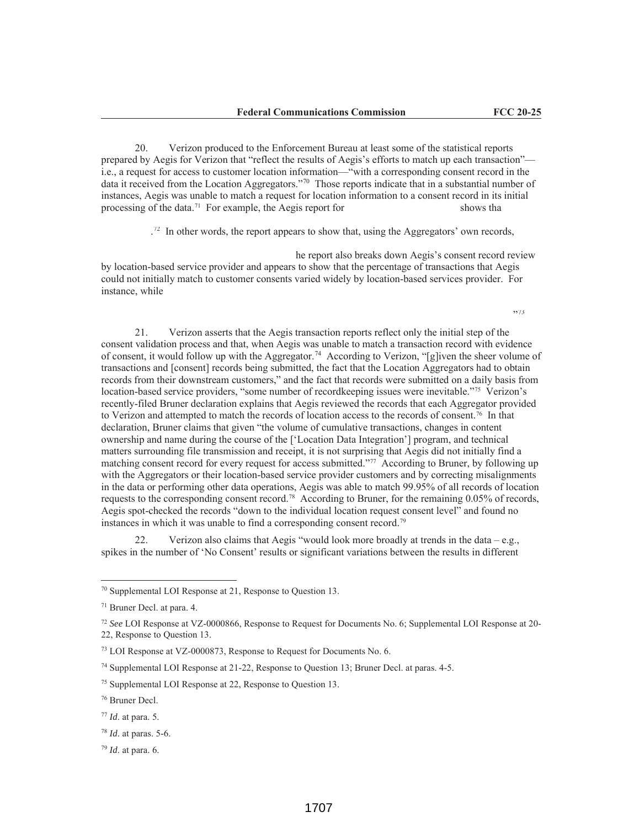20. Verizon produced to the Enforcement Bureau at least some of the statistical reports prepared by Aegis for Verizon that "reflect the results of Aegis's efforts to match up each transaction" i.e., a request for access to customer location information—"with a corresponding consent record in the data it received from the Location Aggregators."70 Those reports indicate that in a substantial number of instances, Aegis was unable to match a request for location information to a consent record in its initial processing of the data.<sup>71</sup> For example, the Aegis report for shows that shows that

<sup>72</sup> In other words, the report appears to show that, using the Aggregators' own records,

he report also breaks down Aegis's consent record review by location-based service provider and appears to show that the percentage of transactions that Aegis could not initially match to customer consents varied widely by location-based services provider. For instance, while

"73

21. Verizon asserts that the Aegis transaction reports reflect only the initial step of the consent validation process and that, when Aegis was unable to match a transaction record with evidence of consent, it would follow up with the Aggregator.<sup>74</sup> According to Verizon, "[g]iven the sheer volume of transactions and [consent] records being submitted, the fact that the Location Aggregators had to obtain records from their downstream customers," and the fact that records were submitted on a daily basis from location-based service providers, "some number of recordkeeping issues were inevitable."<sup>75</sup> Verizon's recently-filed Bruner declaration explains that Aegis reviewed the records that each Aggregator provided to Verizon and attempted to match the records of location access to the records of consent.76 In that declaration, Bruner claims that given "the volume of cumulative transactions, changes in content ownership and name during the course of the ['Location Data Integration'] program, and technical matters surrounding file transmission and receipt, it is not surprising that Aegis did not initially find a matching consent record for every request for access submitted."77 According to Bruner, by following up with the Aggregators or their location-based service provider customers and by correcting misalignments in the data or performing other data operations, Aegis was able to match 99.95% of all records of location requests to the corresponding consent record.78 According to Bruner, for the remaining 0.05% of records, Aegis spot-checked the records "down to the individual location request consent level" and found no instances in which it was unable to find a corresponding consent record.79

22. Verizon also claims that Aegis "would look more broadly at trends in the data – e.g., spikes in the number of 'No Consent' results or significant variations between the results in different

<sup>70</sup> Supplemental LOI Response at 21, Response to Question 13.

<sup>71</sup> Bruner Decl. at para. 4.

<sup>72</sup> *See* LOI Response at VZ-0000866, Response to Request for Documents No. 6; Supplemental LOI Response at 20- 22, Response to Question 13.

<sup>73</sup> LOI Response at VZ-0000873, Response to Request for Documents No. 6.

<sup>74</sup> Supplemental LOI Response at 21-22, Response to Question 13; Bruner Decl. at paras. 4-5.

<sup>75</sup> Supplemental LOI Response at 22, Response to Question 13.

<sup>76</sup> Bruner Decl.

<sup>77</sup> *Id*. at para. 5.

<sup>78</sup> *Id*. at paras. 5-6.

<sup>79</sup> *Id*. at para. 6.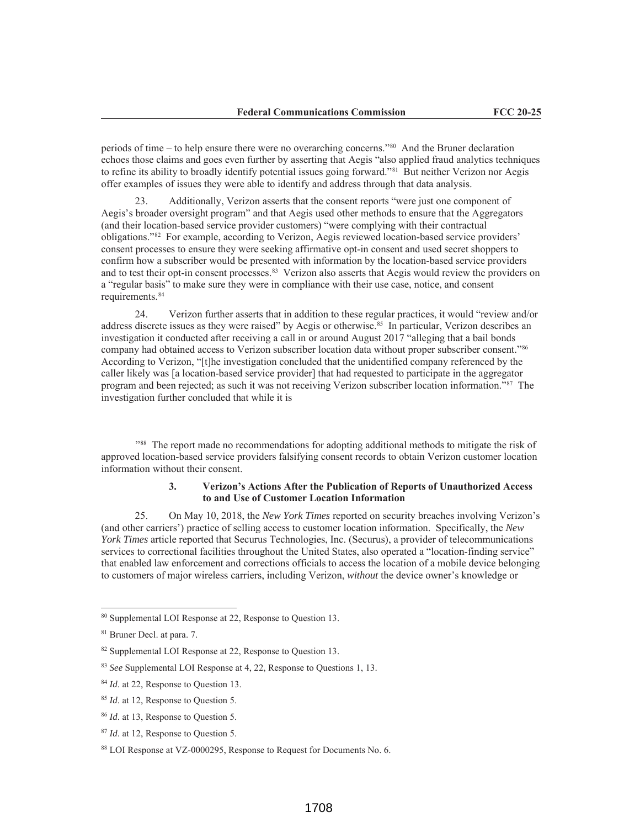periods of time – to help ensure there were no overarching concerns."80 And the Bruner declaration echoes those claims and goes even further by asserting that Aegis "also applied fraud analytics techniques" to refine its ability to broadly identify potential issues going forward."81 But neither Verizon nor Aegis offer examples of issues they were able to identify and address through that data analysis.

23. Additionally, Verizon asserts that the consent reports "were just one component of Aegis's broader oversight program" and that Aegis used other methods to ensure that the Aggregators (and their location-based service provider customers) "were complying with their contractual obligations."82 For example, according to Verizon, Aegis reviewed location-based service providers' consent processes to ensure they were seeking affirmative opt-in consent and used secret shoppers to confirm how a subscriber would be presented with information by the location-based service providers and to test their opt-in consent processes.83 Verizon also asserts that Aegis would review the providers on a "regular basis" to make sure they were in compliance with their use case, notice, and consent requirements.84

24. Verizon further asserts that in addition to these regular practices, it would "review and/or address discrete issues as they were raised" by Aegis or otherwise.<sup>85</sup> In particular, Verizon describes an investigation it conducted after receiving a call in or around August 2017 "alleging that a bail bonds company had obtained access to Verizon subscriber location data without proper subscriber consent."86 According to Verizon, "[t]he investigation concluded that the unidentified company referenced by the caller likely was [a location-based service provider] that had requested to participate in the aggregator program and been rejected; as such it was not receiving Verizon subscriber location information."87 The investigation further concluded that while it is

"88 The report made no recommendations for adopting additional methods to mitigate the risk of approved location-based service providers falsifying consent records to obtain Verizon customer location information without their consent.

# **3. Verizon's Actions After the Publication of Reports of Unauthorized Access to and Use of Customer Location Information**

25. On May 10, 2018, the *New York Times* reported on security breaches involving Verizon's (and other carriers') practice of selling access to customer location information. Specifically, the *New York Times* article reported that Securus Technologies, Inc. (Securus), a provider of telecommunications services to correctional facilities throughout the United States, also operated a "location-finding service" that enabled law enforcement and corrections officials to access the location of a mobile device belonging to customers of major wireless carriers, including Verizon, *without* the device owner's knowledge or

<sup>80</sup> Supplemental LOI Response at 22, Response to Question 13.

<sup>81</sup> Bruner Decl. at para. 7.

<sup>&</sup>lt;sup>82</sup> Supplemental LOI Response at 22, Response to Question 13.

<sup>83</sup> *See* Supplemental LOI Response at 4, 22, Response to Questions 1, 13.

<sup>&</sup>lt;sup>84</sup> *Id.* at 22, Response to Question 13.

<sup>85</sup> *Id*. at 12, Response to Question 5.

<sup>86</sup> *Id*. at 13, Response to Question 5.

<sup>87</sup> *Id*. at 12, Response to Question 5.

<sup>88</sup> LOI Response at VZ-0000295, Response to Request for Documents No. 6.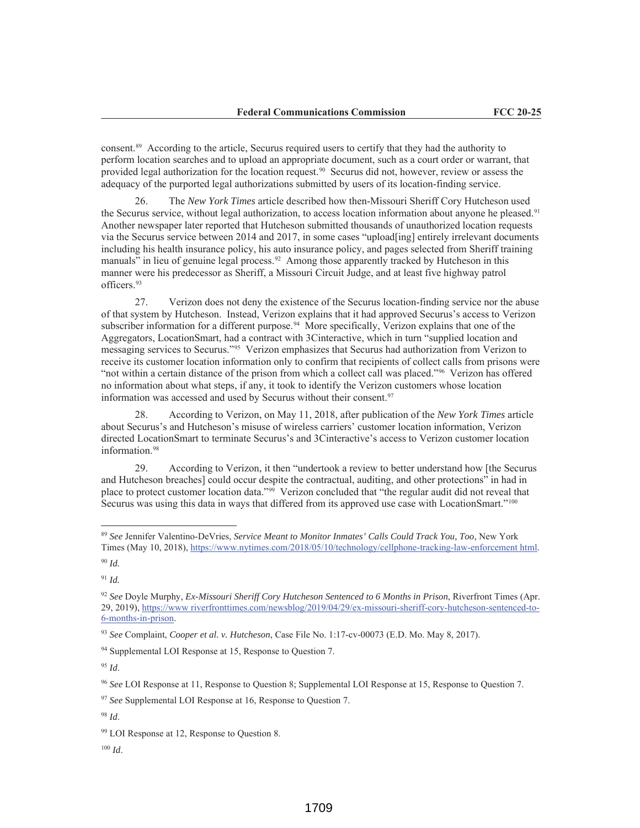consent.89 According to the article, Securus required users to certify that they had the authority to perform location searches and to upload an appropriate document, such as a court order or warrant, that provided legal authorization for the location request.90 Securus did not, however, review or assess the adequacy of the purported legal authorizations submitted by users of its location-finding service.

26. The *New York Times* article described how then-Missouri Sheriff Cory Hutcheson used the Securus service, without legal authorization, to access location information about anyone he pleased.<sup>91</sup> Another newspaper later reported that Hutcheson submitted thousands of unauthorized location requests via the Securus service between 2014 and 2017, in some cases "upload[ing] entirely irrelevant documents including his health insurance policy, his auto insurance policy, and pages selected from Sheriff training manuals" in lieu of genuine legal process.<sup>92</sup> Among those apparently tracked by Hutcheson in this manner were his predecessor as Sheriff, a Missouri Circuit Judge, and at least five highway patrol officers.93

27. Verizon does not deny the existence of the Securus location-finding service nor the abuse of that system by Hutcheson. Instead, Verizon explains that it had approved Securus's access to Verizon subscriber information for a different purpose.<sup>94</sup> More specifically, Verizon explains that one of the Aggregators, LocationSmart, had a contract with 3Cinteractive, which in turn "supplied location and messaging services to Securus."95 Verizon emphasizes that Securus had authorization from Verizon to receive its customer location information only to confirm that recipients of collect calls from prisons were "not within a certain distance of the prison from which a collect call was placed."<sup>96</sup> Verizon has offered no information about what steps, if any, it took to identify the Verizon customers whose location information was accessed and used by Securus without their consent.<sup>97</sup>

28. According to Verizon, on May 11, 2018, after publication of the *New York Times* article about Securus's and Hutcheson's misuse of wireless carriers' customer location information, Verizon directed LocationSmart to terminate Securus's and 3Cinteractive's access to Verizon customer location information.98

29. According to Verizon, it then "undertook a review to better understand how [the Securus and Hutcheson breaches] could occur despite the contractual, auditing, and other protections" in had in place to protect customer location data."99 Verizon concluded that "the regular audit did not reveal that Securus was using this data in ways that differed from its approved use case with LocationSmart."100

<sup>100</sup> *Id*.

<sup>89</sup> *See* Jennifer Valentino-DeVries, *Service Meant to Monitor Inmates' Calls Could Track You, Too*, New York Times (May 10, 2018), https://www.nytimes.com/2018/05/10/technology/cellphone-tracking-law-enforcement html.

<sup>90</sup> *Id.*

<sup>91</sup> *Id.*

<sup>92</sup> *See* Doyle Murphy, *Ex-Missouri Sheriff Cory Hutcheson Sentenced to 6 Months in Prison*, Riverfront Times (Apr. 29, 2019), https://www riverfronttimes.com/newsblog/2019/04/29/ex-missouri-sheriff-cory-hutcheson-sentenced-to-6-months-in-prison.

<sup>93</sup> *See* Complaint, *Cooper et al. v. Hutcheson*, Case File No. 1:17-cv-00073 (E.D. Mo. May 8, 2017).

<sup>94</sup> Supplemental LOI Response at 15, Response to Question 7.

<sup>95</sup> *Id*.

<sup>96</sup> *See* LOI Response at 11, Response to Question 8; Supplemental LOI Response at 15, Response to Question 7.

<sup>97</sup> *See* Supplemental LOI Response at 16, Response to Question 7.

<sup>98</sup> *Id*.

<sup>&</sup>lt;sup>99</sup> LOI Response at 12, Response to Question 8.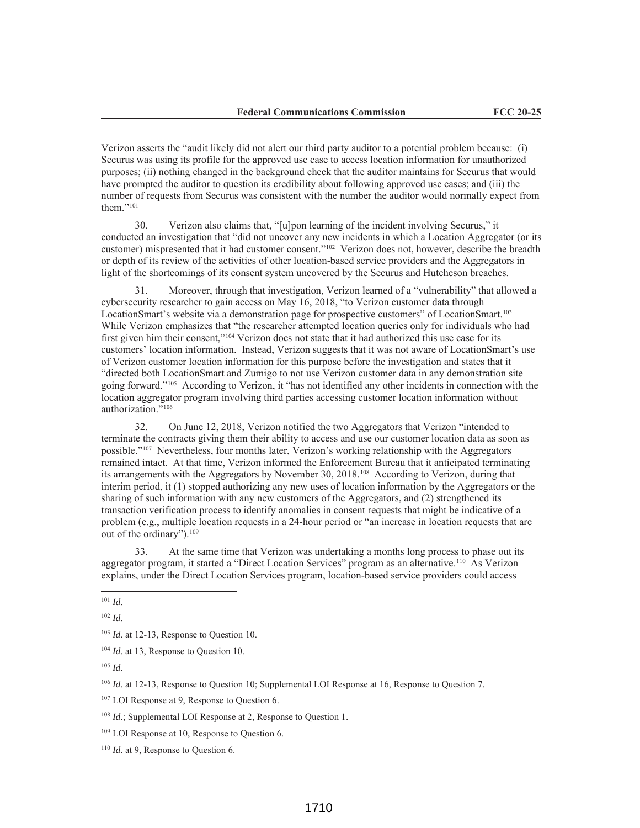Verizon asserts the "audit likely did not alert our third party auditor to a potential problem because: (i) Securus was using its profile for the approved use case to access location information for unauthorized purposes; (ii) nothing changed in the background check that the auditor maintains for Securus that would have prompted the auditor to question its credibility about following approved use cases; and (iii) the number of requests from Securus was consistent with the number the auditor would normally expect from them."<sup>101</sup>

30. Verizon also claims that, "[u]pon learning of the incident involving Securus," it conducted an investigation that "did not uncover any new incidents in which a Location Aggregator (or its customer) mispresented that it had customer consent."102 Verizon does not, however, describe the breadth or depth of its review of the activities of other location-based service providers and the Aggregators in light of the shortcomings of its consent system uncovered by the Securus and Hutcheson breaches.

31. Moreover, through that investigation, Verizon learned of a "vulnerability" that allowed a cybersecurity researcher to gain access on May 16, 2018, "to Verizon customer data through LocationSmart's website via a demonstration page for prospective customers" of LocationSmart.103 While Verizon emphasizes that "the researcher attempted location queries only for individuals who had first given him their consent,"104 Verizon does not state that it had authorized this use case for its customers' location information. Instead, Verizon suggests that it was not aware of LocationSmart's use of Verizon customer location information for this purpose before the investigation and states that it "directed both LocationSmart and Zumigo to not use Verizon customer data in any demonstration site going forward."105 According to Verizon, it "has not identified any other incidents in connection with the location aggregator program involving third parties accessing customer location information without authorization."106

32. On June 12, 2018, Verizon notified the two Aggregators that Verizon "intended to terminate the contracts giving them their ability to access and use our customer location data as soon as possible."107 Nevertheless, four months later, Verizon's working relationship with the Aggregators remained intact. At that time, Verizon informed the Enforcement Bureau that it anticipated terminating its arrangements with the Aggregators by November 30, 2018.108 According to Verizon, during that interim period, it (1) stopped authorizing any new uses of location information by the Aggregators or the sharing of such information with any new customers of the Aggregators, and (2) strengthened its transaction verification process to identify anomalies in consent requests that might be indicative of a problem (e.g., multiple location requests in a 24-hour period or "an increase in location requests that are out of the ordinary").109

33. At the same time that Verizon was undertaking a months long process to phase out its aggregator program, it started a "Direct Location Services" program as an alternative.110 As Verizon explains, under the Direct Location Services program, location-based service providers could access

<sup>101</sup> *Id*.

<sup>102</sup> *Id*.

<sup>103</sup> *Id*. at 12-13, Response to Question 10.

<sup>&</sup>lt;sup>104</sup> *Id.* at 13, Response to Question 10.

<sup>105</sup> *Id*.

<sup>&</sup>lt;sup>106</sup> *Id.* at 12-13, Response to Question 10; Supplemental LOI Response at 16, Response to Question 7.

<sup>&</sup>lt;sup>107</sup> LOI Response at 9, Response to Question 6.

<sup>&</sup>lt;sup>108</sup> *Id.*; Supplemental LOI Response at 2, Response to Question 1.

<sup>&</sup>lt;sup>109</sup> LOI Response at 10, Response to Question 6.

<sup>110</sup> *Id*. at 9, Response to Question 6.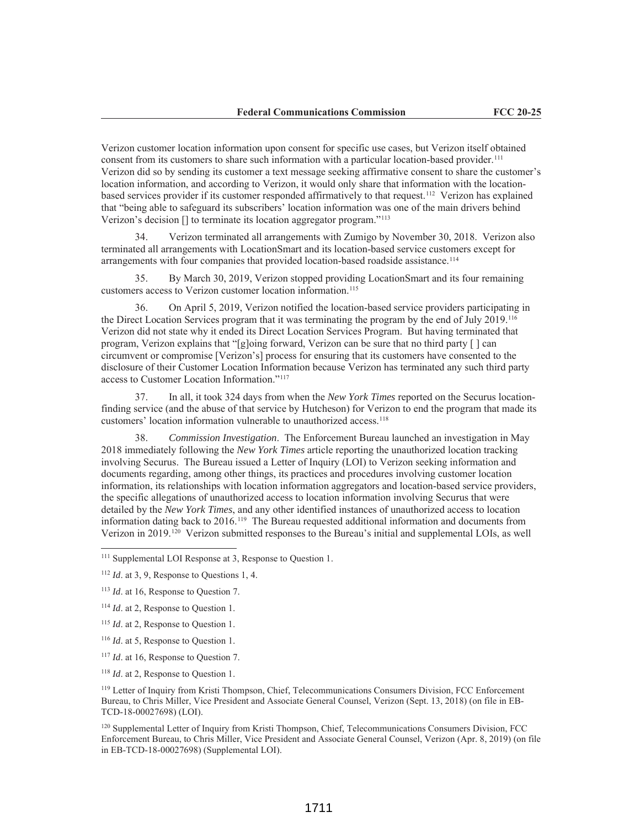Verizon customer location information upon consent for specific use cases, but Verizon itself obtained consent from its customers to share such information with a particular location-based provider.<sup>111</sup> Verizon did so by sending its customer a text message seeking affirmative consent to share the customer's location information, and according to Verizon, it would only share that information with the locationbased services provider if its customer responded affirmatively to that request.112 Verizon has explained that "being able to safeguard its subscribers' location information was one of the main drivers behind Verizon's decision [] to terminate its location aggregator program."113

34. Verizon terminated all arrangements with Zumigo by November 30, 2018. Verizon also terminated all arrangements with LocationSmart and its location-based service customers except for arrangements with four companies that provided location-based roadside assistance.<sup>114</sup>

35. By March 30, 2019, Verizon stopped providing LocationSmart and its four remaining customers access to Verizon customer location information.<sup>115</sup>

36. On April 5, 2019, Verizon notified the location-based service providers participating in the Direct Location Services program that it was terminating the program by the end of July 2019.116 Verizon did not state why it ended its Direct Location Services Program. But having terminated that program, Verizon explains that "[g]oing forward, Verizon can be sure that no third party  $\lceil \cdot \rceil$  can circumvent or compromise [Verizon's] process for ensuring that its customers have consented to the disclosure of their Customer Location Information because Verizon has terminated any such third party access to Customer Location Information."117

37. In all, it took 324 days from when the *New York Times* reported on the Securus locationfinding service (and the abuse of that service by Hutcheson) for Verizon to end the program that made its customers' location information vulnerable to unauthorized access.118

38. *Commission Investigation*. The Enforcement Bureau launched an investigation in May 2018 immediately following the *New York Times* article reporting the unauthorized location tracking involving Securus. The Bureau issued a Letter of Inquiry (LOI) to Verizon seeking information and documents regarding, among other things, its practices and procedures involving customer location information, its relationships with location information aggregators and location-based service providers, the specific allegations of unauthorized access to location information involving Securus that were detailed by the *New York Times*, and any other identified instances of unauthorized access to location information dating back to 2016.119 The Bureau requested additional information and documents from Verizon in 2019.120 Verizon submitted responses to the Bureau's initial and supplemental LOIs, as well

<sup>&</sup>lt;sup>111</sup> Supplemental LOI Response at 3, Response to Ouestion 1.

<sup>112</sup> *Id*. at 3, 9, Response to Questions 1, 4.

<sup>113</sup> *Id*. at 16, Response to Question 7.

<sup>114</sup> *Id*. at 2, Response to Question 1.

<sup>115</sup> *Id*. at 2, Response to Question 1.

<sup>116</sup> *Id*. at 5, Response to Question 1.

<sup>&</sup>lt;sup>117</sup> *Id.* at 16, Response to Question 7.

<sup>118</sup> *Id*. at 2, Response to Question 1.

<sup>119</sup> Letter of Inquiry from Kristi Thompson, Chief, Telecommunications Consumers Division, FCC Enforcement Bureau, to Chris Miller, Vice President and Associate General Counsel, Verizon (Sept. 13, 2018) (on file in EB-TCD-18-00027698) (LOI).

<sup>120</sup> Supplemental Letter of Inquiry from Kristi Thompson, Chief, Telecommunications Consumers Division, FCC Enforcement Bureau, to Chris Miller, Vice President and Associate General Counsel, Verizon (Apr. 8, 2019) (on file in EB-TCD-18-00027698) (Supplemental LOI).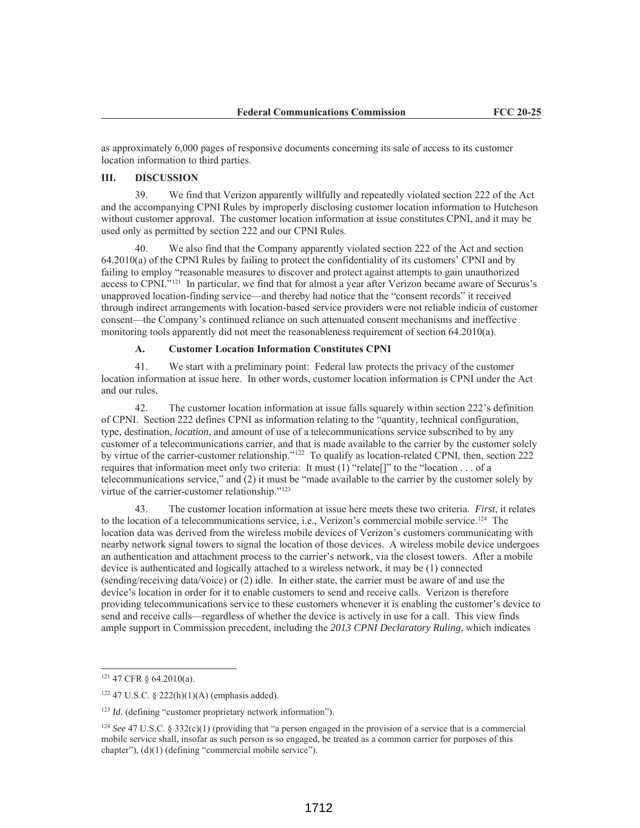as approximately 6,000 pages of responsive documents concerning its sale of access to its customer location information to third parties.

# **III. DISCUSSION**

39. We find that Verizon apparently willfully and repeatedly violated section 222 of the Act and the accompanying CPNI Rules by improperly disclosing customer location information to Hutcheson without customer approval. The customer location information at issue constitutes CPNI, and it may be used only as permitted by section 222 and our CPNI Rules.

40. We also find that the Company apparently violated section 222 of the Act and section 64.2010(a) of the CPNI Rules by failing to protect the confidentiality of its customers' CPNI and by failing to employ "reasonable measures to discover and protect against attempts to gain unauthorized access to CPNI."121 In particular, we find that for almost a year after Verizon became aware of Securus's unapproved location-finding service—and thereby had notice that the "consent records" it received through indirect arrangements with location-based service providers were not reliable indicia of customer consent—the Company's continued reliance on such attenuated consent mechanisms and ineffective monitoring tools apparently did not meet the reasonableness requirement of section 64.2010(a).

#### **A. Customer Location Information Constitutes CPNI**

41. We start with a preliminary point: Federal law protects the privacy of the customer location information at issue here. In other words, customer location information is CPNI under the Act and our rules.

42. The customer location information at issue falls squarely within section 222's definition of CPNI. Section 222 defines CPNI as information relating to the "quantity, technical configuration, type, destination, *location*, and amount of use of a telecommunications service subscribed to by any customer of a telecommunications carrier, and that is made available to the carrier by the customer solely by virtue of the carrier-customer relationship."<sup>122</sup> To qualify as location-related CPNI, then, section 222 requires that information meet only two criteria: It must (1) "relate[]" to the "location . . . of a telecommunications service," and (2) it must be "made available to the carrier by the customer solely by virtue of the carrier-customer relationship."123

43. The customer location information at issue here meets these two criteria. *First*, it relates to the location of a telecommunications service, i.e., Verizon's commercial mobile service.124 The location data was derived from the wireless mobile devices of Verizon's customers communicating with nearby network signal towers to signal the location of those devices. A wireless mobile device undergoes an authentication and attachment process to the carrier's network, via the closest towers. After a mobile device is authenticated and logically attached to a wireless network, it may be (1) connected (sending/receiving data/voice) or (2) idle. In either state, the carrier must be aware of and use the device's location in order for it to enable customers to send and receive calls. Verizon is therefore providing telecommunications service to these customers whenever it is enabling the customer's device to send and receive calls—regardless of whether the device is actively in use for a call. This view finds ample support in Commission precedent, including the *2013 CPNI Declaratory Ruling*, which indicates

<sup>121</sup> 47 CFR § 64.2010(a).

 $122$  47 U.S.C. § 222(h)(1)(A) (emphasis added).

<sup>&</sup>lt;sup>123</sup> *Id.* (defining "customer proprietary network information").

<sup>&</sup>lt;sup>124</sup> *See* 47 U.S.C. § 332(c)(1) (providing that "a person engaged in the provision of a service that is a commercial mobile service shall, insofar as such person is so engaged, be treated as a common carrier for purposes of this chapter"), (d)(1) (defining "commercial mobile service").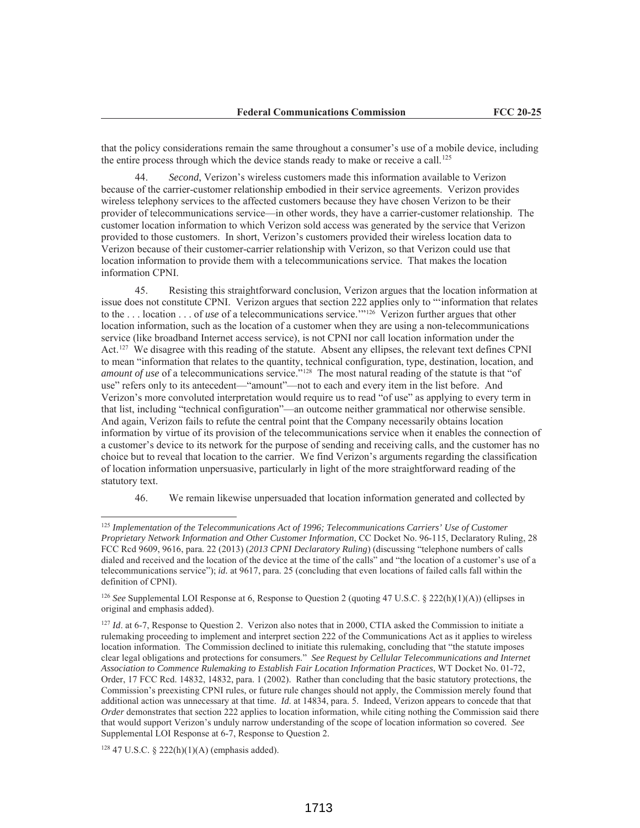that the policy considerations remain the same throughout a consumer's use of a mobile device, including the entire process through which the device stands ready to make or receive a call.<sup>125</sup>

44. *Second*, Verizon's wireless customers made this information available to Verizon because of the carrier-customer relationship embodied in their service agreements. Verizon provides wireless telephony services to the affected customers because they have chosen Verizon to be their provider of telecommunications service—in other words, they have a carrier-customer relationship. The customer location information to which Verizon sold access was generated by the service that Verizon provided to those customers. In short, Verizon's customers provided their wireless location data to Verizon because of their customer-carrier relationship with Verizon, so that Verizon could use that location information to provide them with a telecommunications service. That makes the location information CPNI.

45. Resisting this straightforward conclusion, Verizon argues that the location information at issue does not constitute CPNI. Verizon argues that section 222 applies only to "'information that relates to the . . . location . . . of *use* of a telecommunications service.'"126 Verizon further argues that other location information, such as the location of a customer when they are using a non-telecommunications service (like broadband Internet access service), is not CPNI nor call location information under the Act.127 We disagree with this reading of the statute. Absent any ellipses, the relevant text defines CPNI to mean "information that relates to the quantity, technical configuration, type, destination, location, and *amount of use* of a telecommunications service."<sup>128</sup> The most natural reading of the statute is that "of use" refers only to its antecedent—"amount"—not to each and every item in the list before. And Verizon's more convoluted interpretation would require us to read "of use" as applying to every term in that list, including "technical configuration"—an outcome neither grammatical nor otherwise sensible. And again, Verizon fails to refute the central point that the Company necessarily obtains location information by virtue of its provision of the telecommunications service when it enables the connection of a customer's device to its network for the purpose of sending and receiving calls, and the customer has no choice but to reveal that location to the carrier. We find Verizon's arguments regarding the classification of location information unpersuasive, particularly in light of the more straightforward reading of the statutory text.

46. We remain likewise unpersuaded that location information generated and collected by

<sup>125</sup> *Implementation of the Telecommunications Act of 1996; Telecommunications Carriers' Use of Customer Proprietary Network Information and Other Customer Information*, CC Docket No. 96-115, Declaratory Ruling, 28 FCC Rcd 9609, 9616, para. 22 (2013) (*2013 CPNI Declaratory Ruling*) (discussing "telephone numbers of calls dialed and received and the location of the device at the time of the calls" and "the location of a customer's use of a telecommunications service"); *id.* at 9617, para. 25 (concluding that even locations of failed calls fall within the definition of CPNI).

<sup>126</sup> *See* Supplemental LOI Response at 6, Response to Question 2 (quoting 47 U.S.C. § 222(h)(1)(A)) (ellipses in original and emphasis added).

<sup>&</sup>lt;sup>127</sup> *Id.* at 6-7, Response to Question 2. Verizon also notes that in 2000, CTIA asked the Commission to initiate a rulemaking proceeding to implement and interpret section 222 of the Communications Act as it applies to wireless location information. The Commission declined to initiate this rulemaking, concluding that "the statute imposes clear legal obligations and protections for consumers." *See Request by Cellular Telecommunications and Internet Association to Commence Rulemaking to Establish Fair Location Information Practices*, WT Docket No. 01-72, Order, 17 FCC Rcd. 14832, 14832, para. 1 (2002). Rather than concluding that the basic statutory protections, the Commission's preexisting CPNI rules, or future rule changes should not apply, the Commission merely found that additional action was unnecessary at that time. *Id*. at 14834, para. 5. Indeed, Verizon appears to concede that that *Order* demonstrates that section 222 applies to location information, while citing nothing the Commission said there that would support Verizon's unduly narrow understanding of the scope of location information so covered. *See*  Supplemental LOI Response at 6-7, Response to Question 2.

<sup>128</sup> 47 U.S.C. § 222(h)(1)(A) (emphasis added).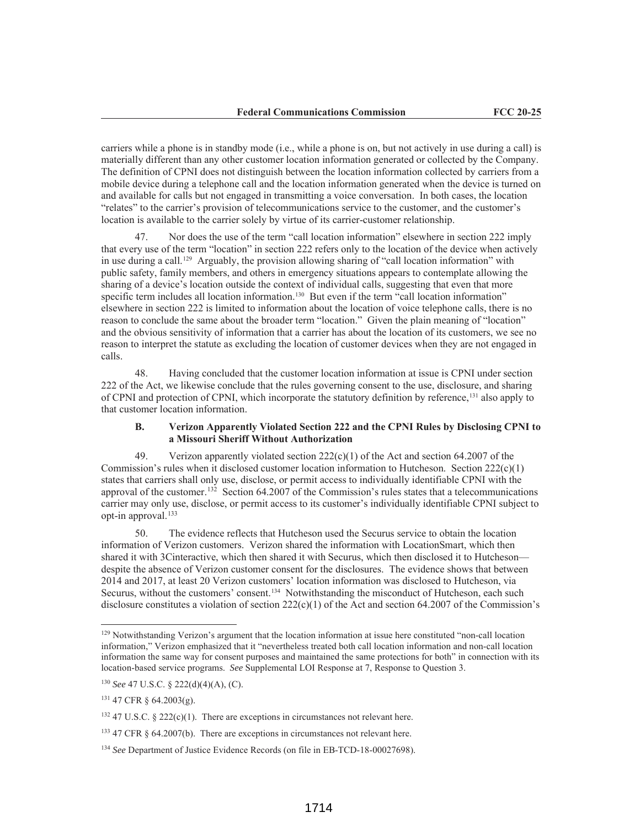carriers while a phone is in standby mode (i.e., while a phone is on, but not actively in use during a call) is materially different than any other customer location information generated or collected by the Company. The definition of CPNI does not distinguish between the location information collected by carriers from a mobile device during a telephone call and the location information generated when the device is turned on and available for calls but not engaged in transmitting a voice conversation. In both cases, the location "relates" to the carrier's provision of telecommunications service to the customer, and the customer's location is available to the carrier solely by virtue of its carrier-customer relationship.

Nor does the use of the term "call location information" elsewhere in section 222 imply that every use of the term "location" in section 222 refers only to the location of the device when actively in use during a call.<sup>129</sup> Arguably, the provision allowing sharing of "call location information" with public safety, family members, and others in emergency situations appears to contemplate allowing the sharing of a device's location outside the context of individual calls, suggesting that even that more specific term includes all location information.<sup>130</sup> But even if the term "call location information" elsewhere in section 222 is limited to information about the location of voice telephone calls, there is no reason to conclude the same about the broader term "location." Given the plain meaning of "location" and the obvious sensitivity of information that a carrier has about the location of its customers, we see no reason to interpret the statute as excluding the location of customer devices when they are not engaged in calls.

48. Having concluded that the customer location information at issue is CPNI under section 222 of the Act, we likewise conclude that the rules governing consent to the use, disclosure, and sharing of CPNI and protection of CPNI, which incorporate the statutory definition by reference,131 also apply to that customer location information.

## **B. Verizon Apparently Violated Section 222 and the CPNI Rules by Disclosing CPNI to a Missouri Sheriff Without Authorization**

49. Verizon apparently violated section  $222(c)(1)$  of the Act and section 64.2007 of the Commission's rules when it disclosed customer location information to Hutcheson. Section  $222(c)(1)$ states that carriers shall only use, disclose, or permit access to individually identifiable CPNI with the approval of the customer.132 Section 64.2007 of the Commission's rules states that a telecommunications carrier may only use, disclose, or permit access to its customer's individually identifiable CPNI subject to opt-in approval.<sup>133</sup>

50. The evidence reflects that Hutcheson used the Securus service to obtain the location information of Verizon customers. Verizon shared the information with LocationSmart, which then shared it with 3Cinteractive, which then shared it with Securus, which then disclosed it to Hutcheson despite the absence of Verizon customer consent for the disclosures. The evidence shows that between 2014 and 2017, at least 20 Verizon customers' location information was disclosed to Hutcheson, via Securus, without the customers' consent.<sup>134</sup> Notwithstanding the misconduct of Hutcheson, each such disclosure constitutes a violation of section  $222(c)(1)$  of the Act and section 64.2007 of the Commission's

<sup>129</sup> Notwithstanding Verizon's argument that the location information at issue here constituted "non-call location information," Verizon emphasized that it "nevertheless treated both call location information and non-call location information the same way for consent purposes and maintained the same protections for both" in connection with its location-based service programs. *See* Supplemental LOI Response at 7, Response to Question 3.

<sup>130</sup> *See* 47 U.S.C. § 222(d)(4)(A), (C).

<sup>131</sup> 47 CFR § 64.2003(g).

<sup>&</sup>lt;sup>132</sup> 47 U.S.C. § 222(c)(1). There are exceptions in circumstances not relevant here.

<sup>133</sup> 47 CFR § 64.2007(b). There are exceptions in circumstances not relevant here.

<sup>134</sup> *See* Department of Justice Evidence Records (on file in EB-TCD-18-00027698).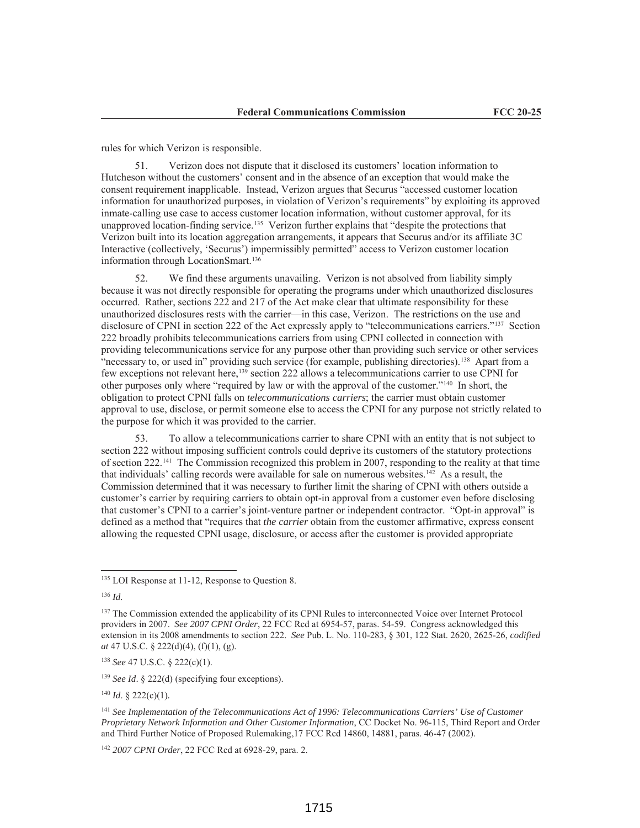rules for which Verizon is responsible.

51. Verizon does not dispute that it disclosed its customers' location information to Hutcheson without the customers' consent and in the absence of an exception that would make the consent requirement inapplicable. Instead, Verizon argues that Securus "accessed customer location information for unauthorized purposes, in violation of Verizon's requirements" by exploiting its approved inmate-calling use case to access customer location information, without customer approval, for its unapproved location-finding service.<sup>135</sup> Verizon further explains that "despite the protections that Verizon built into its location aggregation arrangements, it appears that Securus and/or its affiliate 3C Interactive (collectively, 'Securus') impermissibly permitted" access to Verizon customer location information through LocationSmart.<sup>136</sup>

52. We find these arguments unavailing. Verizon is not absolved from liability simply because it was not directly responsible for operating the programs under which unauthorized disclosures occurred. Rather, sections 222 and 217 of the Act make clear that ultimate responsibility for these unauthorized disclosures rests with the carrier—in this case, Verizon. The restrictions on the use and disclosure of CPNI in section 222 of the Act expressly apply to "telecommunications carriers."<sup>137</sup> Section 222 broadly prohibits telecommunications carriers from using CPNI collected in connection with providing telecommunications service for any purpose other than providing such service or other services "necessary to, or used in" providing such service (for example, publishing directories).138 Apart from a few exceptions not relevant here,<sup>139</sup> section 222 allows a telecommunications carrier to use CPNI for other purposes only where "required by law or with the approval of the customer."140 In short, the obligation to protect CPNI falls on *telecommunications carriers*; the carrier must obtain customer approval to use, disclose, or permit someone else to access the CPNI for any purpose not strictly related to the purpose for which it was provided to the carrier.

53. To allow a telecommunications carrier to share CPNI with an entity that is not subject to section 222 without imposing sufficient controls could deprive its customers of the statutory protections of section 222.141 The Commission recognized this problem in 2007, responding to the reality at that time that individuals' calling records were available for sale on numerous websites.142 As a result, the Commission determined that it was necessary to further limit the sharing of CPNI with others outside a customer's carrier by requiring carriers to obtain opt-in approval from a customer even before disclosing that customer's CPNI to a carrier's joint-venture partner or independent contractor. "Opt-in approval" is defined as a method that "requires that *the carrier* obtain from the customer affirmative, express consent allowing the requested CPNI usage, disclosure, or access after the customer is provided appropriate

<sup>136</sup> *Id.*

<sup>138</sup> *See* 47 U.S.C. § 222(c)(1).

<sup>139</sup> *See Id.* § 222(d) (specifying four exceptions).

<sup>140</sup> *Id*. § 222(c)(1)*.*

<sup>142</sup> *2007 CPNI Order*, 22 FCC Rcd at 6928-29, para. 2.

<sup>&</sup>lt;sup>135</sup> LOI Response at 11-12, Response to Question 8.

<sup>&</sup>lt;sup>137</sup> The Commission extended the applicability of its CPNI Rules to interconnected Voice over Internet Protocol providers in 2007. *See 2007 CPNI Order*, 22 FCC Rcd at 6954-57, paras. 54-59. Congress acknowledged this extension in its 2008 amendments to section 222. *See* Pub. L. No. 110-283, § 301, 122 Stat. 2620, 2625-26, *codified at* 47 U.S.C. § 222(d)(4), (f)(1), (g).

<sup>141</sup> *See Implementation of the Telecommunications Act of 1996: Telecommunications Carriers' Use of Customer Proprietary Network Information and Other Customer Information*, CC Docket No. 96-115, Third Report and Order and Third Further Notice of Proposed Rulemaking,17 FCC Rcd 14860, 14881, paras. 46-47 (2002).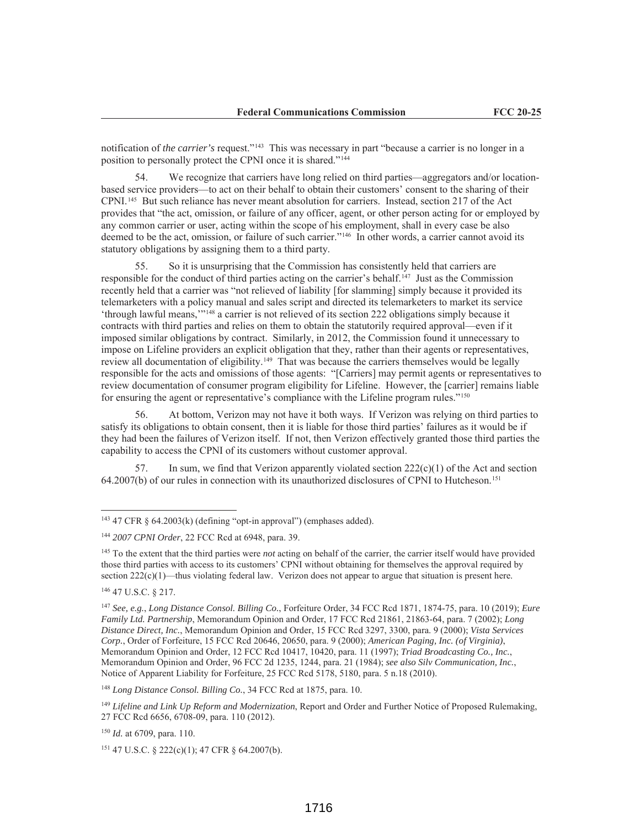notification of *the carrier's* request."143 This was necessary in part "because a carrier is no longer in a position to personally protect the CPNI once it is shared."144

54. We recognize that carriers have long relied on third parties—aggregators and/or locationbased service providers—to act on their behalf to obtain their customers' consent to the sharing of their CPNI.145 But such reliance has never meant absolution for carriers. Instead, section 217 of the Act provides that "the act, omission, or failure of any officer, agent, or other person acting for or employed by any common carrier or user, acting within the scope of his employment, shall in every case be also deemed to be the act, omission, or failure of such carrier."<sup>146</sup> In other words, a carrier cannot avoid its statutory obligations by assigning them to a third party.

55. So it is unsurprising that the Commission has consistently held that carriers are responsible for the conduct of third parties acting on the carrier's behalf.<sup>147</sup> Just as the Commission recently held that a carrier was "not relieved of liability [for slamming] simply because it provided its telemarketers with a policy manual and sales script and directed its telemarketers to market its service 'through lawful means,'"148 a carrier is not relieved of its section 222 obligations simply because it contracts with third parties and relies on them to obtain the statutorily required approval—even if it imposed similar obligations by contract. Similarly, in 2012, the Commission found it unnecessary to impose on Lifeline providers an explicit obligation that they, rather than their agents or representatives, review all documentation of eligibility.149 That was because the carriers themselves would be legally responsible for the acts and omissions of those agents: "[Carriers] may permit agents or representatives to review documentation of consumer program eligibility for Lifeline. However, the [carrier] remains liable for ensuring the agent or representative's compliance with the Lifeline program rules."150

56. At bottom, Verizon may not have it both ways. If Verizon was relying on third parties to satisfy its obligations to obtain consent, then it is liable for those third parties' failures as it would be if they had been the failures of Verizon itself. If not, then Verizon effectively granted those third parties the capability to access the CPNI of its customers without customer approval.

57. In sum, we find that Verizon apparently violated section  $222(c)(1)$  of the Act and section 64.2007(b) of our rules in connection with its unauthorized disclosures of CPNI to Hutcheson.151

 $143$  47 CFR § 64.2003(k) (defining "opt-in approval") (emphases added).

<sup>144</sup> *2007 CPNI Order*, 22 FCC Rcd at 6948, para. 39.

<sup>145</sup> To the extent that the third parties were *not* acting on behalf of the carrier, the carrier itself would have provided those third parties with access to its customers' CPNI without obtaining for themselves the approval required by section  $222(c)(1)$ —thus violating federal law. Verizon does not appear to argue that situation is present here.

<sup>146</sup> 47 U.S.C. § 217.

<sup>147</sup> *See, e.g.*, *Long Distance Consol. Billing Co.*, Forfeiture Order, 34 FCC Rcd 1871, 1874-75, para. 10 (2019); *Eure Family Ltd. Partnership*, Memorandum Opinion and Order, 17 FCC Rcd 21861, 21863-64, para. 7 (2002); *Long Distance Direct, Inc.*, Memorandum Opinion and Order, 15 FCC Rcd 3297, 3300, para. 9 (2000); *Vista Services Corp.*, Order of Forfeiture, 15 FCC Rcd 20646, 20650, para. 9 (2000); *American Paging, Inc. (of Virginia)*, Memorandum Opinion and Order, 12 FCC Rcd 10417, 10420, para. 11 (1997); *Triad Broadcasting Co., Inc.*, Memorandum Opinion and Order, 96 FCC 2d 1235, 1244, para. 21 (1984); *see also Silv Communication, Inc.*, Notice of Apparent Liability for Forfeiture, 25 FCC Rcd 5178, 5180, para. 5 n.18 (2010).

<sup>148</sup> *Long Distance Consol. Billing Co.*, 34 FCC Rcd at 1875, para. 10.

<sup>149</sup> *Lifeline and Link Up Reform and Modernization*, Report and Order and Further Notice of Proposed Rulemaking, 27 FCC Rcd 6656, 6708-09, para. 110 (2012).

<sup>150</sup> *Id.* at 6709, para. 110.

<sup>151</sup> 47 U.S.C. § 222(c)(1); 47 CFR § 64.2007(b).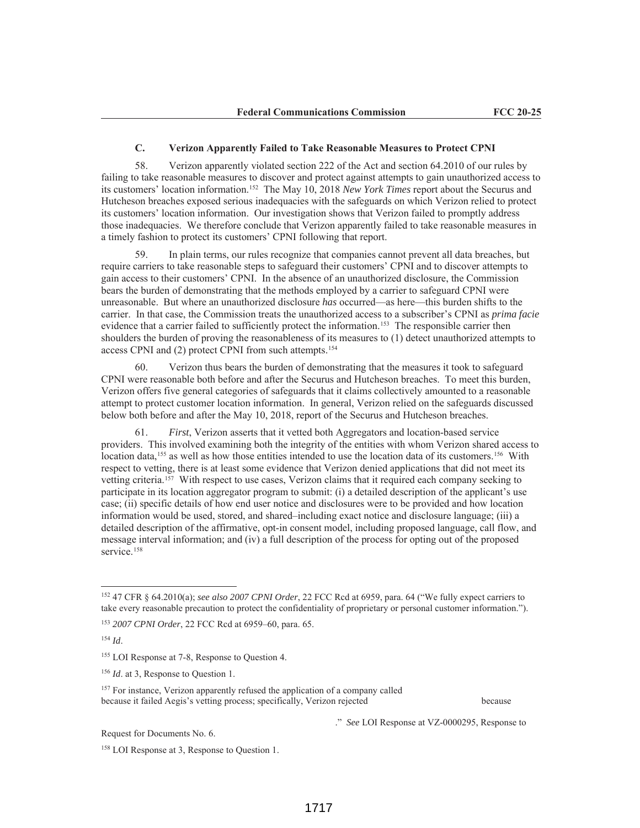## **C. Verizon Apparently Failed to Take Reasonable Measures to Protect CPNI**

58. Verizon apparently violated section 222 of the Act and section 64.2010 of our rules by failing to take reasonable measures to discover and protect against attempts to gain unauthorized access to its customers' location information.152 The May 10, 2018 *New York Times* report about the Securus and Hutcheson breaches exposed serious inadequacies with the safeguards on which Verizon relied to protect its customers' location information. Our investigation shows that Verizon failed to promptly address those inadequacies. We therefore conclude that Verizon apparently failed to take reasonable measures in a timely fashion to protect its customers' CPNI following that report.

59. In plain terms, our rules recognize that companies cannot prevent all data breaches, but require carriers to take reasonable steps to safeguard their customers' CPNI and to discover attempts to gain access to their customers' CPNI. In the absence of an unauthorized disclosure, the Commission bears the burden of demonstrating that the methods employed by a carrier to safeguard CPNI were unreasonable. But where an unauthorized disclosure *has* occurred—as here—this burden shifts to the carrier. In that case, the Commission treats the unauthorized access to a subscriber's CPNI as *prima facie*  evidence that a carrier failed to sufficiently protect the information.<sup>153</sup> The responsible carrier then shoulders the burden of proving the reasonableness of its measures to (1) detect unauthorized attempts to access CPNI and (2) protect CPNI from such attempts.154

60. Verizon thus bears the burden of demonstrating that the measures it took to safeguard CPNI were reasonable both before and after the Securus and Hutcheson breaches. To meet this burden, Verizon offers five general categories of safeguards that it claims collectively amounted to a reasonable attempt to protect customer location information. In general, Verizon relied on the safeguards discussed below both before and after the May 10, 2018, report of the Securus and Hutcheson breaches.

61. *First*, Verizon asserts that it vetted both Aggregators and location-based service providers. This involved examining both the integrity of the entities with whom Verizon shared access to location data,<sup>155</sup> as well as how those entities intended to use the location data of its customers.<sup>156</sup> With respect to vetting, there is at least some evidence that Verizon denied applications that did not meet its vetting criteria.157 With respect to use cases, Verizon claims that it required each company seeking to participate in its location aggregator program to submit: (i) a detailed description of the applicant's use case; (ii) specific details of how end user notice and disclosures were to be provided and how location information would be used, stored, and shared–including exact notice and disclosure language; (iii) a detailed description of the affirmative, opt-in consent model, including proposed language, call flow, and message interval information; and (iv) a full description of the process for opting out of the proposed service.<sup>158</sup>

Request for Documents No. 6.

." *See* LOI Response at VZ-0000295, Response to

<sup>152</sup> 47 CFR § 64.2010(a); *see also 2007 CPNI Order*, 22 FCC Rcd at 6959, para. 64 ("We fully expect carriers to take every reasonable precaution to protect the confidentiality of proprietary or personal customer information.").

<sup>153</sup> *2007 CPNI Order*, 22 FCC Rcd at 6959–60, para. 65.

<sup>154</sup> *Id*.

<sup>&</sup>lt;sup>155</sup> LOI Response at 7-8, Response to Question 4.

<sup>&</sup>lt;sup>156</sup> *Id.* at 3, Response to Question 1.

<sup>&</sup>lt;sup>157</sup> For instance, Verizon apparently refused the application of a company called because it failed Aegis's vetting process; specifically, Verizon rejected because

<sup>158</sup> LOI Response at 3, Response to Question 1.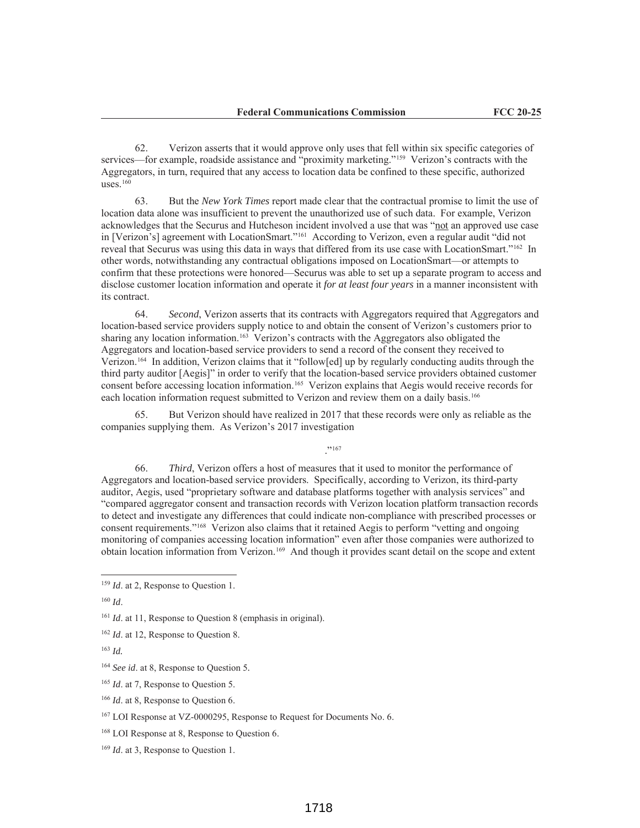62. Verizon asserts that it would approve only uses that fell within six specific categories of services—for example, roadside assistance and "proximity marketing."159 Verizon's contracts with the Aggregators, in turn, required that any access to location data be confined to these specific, authorized uses. $160$ 

63. But the *New York Times* report made clear that the contractual promise to limit the use of location data alone was insufficient to prevent the unauthorized use of such data. For example, Verizon acknowledges that the Securus and Hutcheson incident involved a use that was "not an approved use case in [Verizon's] agreement with LocationSmart."161 According to Verizon, even a regular audit "did not reveal that Securus was using this data in ways that differed from its use case with LocationSmart."162 In other words, notwithstanding any contractual obligations imposed on LocationSmart—or attempts to confirm that these protections were honored—Securus was able to set up a separate program to access and disclose customer location information and operate it *for at least four years* in a manner inconsistent with its contract.

64. *Second*, Verizon asserts that its contracts with Aggregators required that Aggregators and location-based service providers supply notice to and obtain the consent of Verizon's customers prior to sharing any location information.163 Verizon's contracts with the Aggregators also obligated the Aggregators and location-based service providers to send a record of the consent they received to Verizon.164 In addition, Verizon claims that it "follow[ed] up by regularly conducting audits through the third party auditor [Aegis]" in order to verify that the location-based service providers obtained customer consent before accessing location information.165 Verizon explains that Aegis would receive records for each location information request submitted to Verizon and review them on a daily basis.<sup>166</sup>

65. But Verizon should have realized in 2017 that these records were only as reliable as the companies supplying them. As Verizon's 2017 investigation

."167

66. *Third*, Verizon offers a host of measures that it used to monitor the performance of Aggregators and location-based service providers. Specifically, according to Verizon, its third-party auditor, Aegis, used "proprietary software and database platforms together with analysis services" and "compared aggregator consent and transaction records with Verizon location platform transaction records to detect and investigate any differences that could indicate non-compliance with prescribed processes or consent requirements."168 Verizon also claims that it retained Aegis to perform "vetting and ongoing monitoring of companies accessing location information" even after those companies were authorized to obtain location information from Verizon.169 And though it provides scant detail on the scope and extent

<sup>&</sup>lt;sup>159</sup> *Id.* at 2, Response to Question 1.

<sup>160</sup> *Id*.

<sup>&</sup>lt;sup>161</sup> *Id.* at 11, Response to Question 8 (emphasis in original).

<sup>162</sup> *Id*. at 12, Response to Question 8.

<sup>163</sup> *Id.* 

<sup>164</sup> *See id*. at 8, Response to Question 5*.* 

<sup>165</sup> *Id*. at 7, Response to Question 5.

<sup>166</sup> *Id*. at 8, Response to Question 6.

<sup>167</sup> LOI Response at VZ-0000295, Response to Request for Documents No. 6.

<sup>168</sup> LOI Response at 8, Response to Question 6.

<sup>169</sup> *Id*. at 3, Response to Question 1.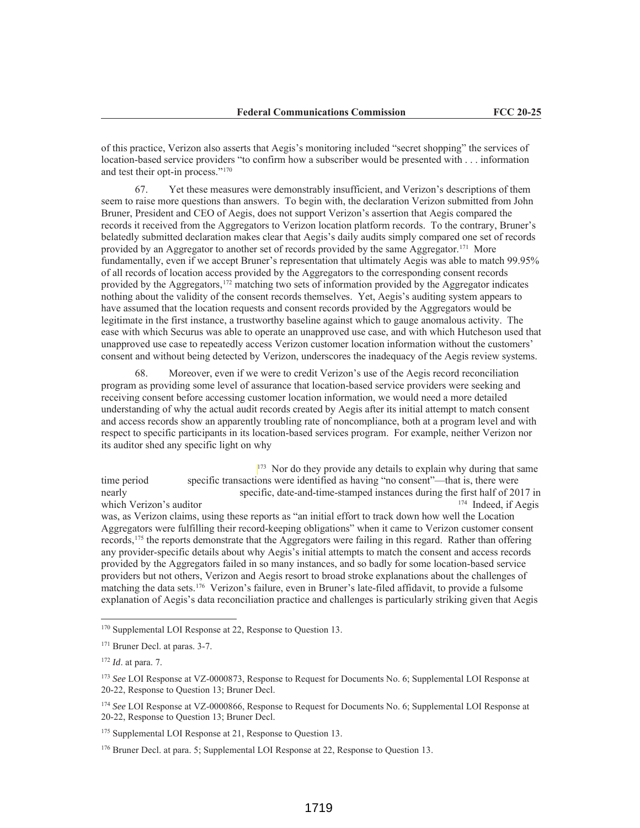of this practice, Verizon also asserts that Aegis's monitoring included "secret shopping" the services of location-based service providers "to confirm how a subscriber would be presented with . . . information and test their opt-in process."170

67. Yet these measures were demonstrably insufficient, and Verizon's descriptions of them seem to raise more questions than answers. To begin with, the declaration Verizon submitted from John Bruner, President and CEO of Aegis, does not support Verizon's assertion that Aegis compared the records it received from the Aggregators to Verizon location platform records. To the contrary, Bruner's belatedly submitted declaration makes clear that Aegis's daily audits simply compared one set of records provided by an Aggregator to another set of records provided by the same Aggregator.171 More fundamentally, even if we accept Bruner's representation that ultimately Aegis was able to match 99.95% of all records of location access provided by the Aggregators to the corresponding consent records provided by the Aggregators,172 matching two sets of information provided by the Aggregator indicates nothing about the validity of the consent records themselves. Yet, Aegis's auditing system appears to have assumed that the location requests and consent records provided by the Aggregators would be legitimate in the first instance, a trustworthy baseline against which to gauge anomalous activity. The ease with which Securus was able to operate an unapproved use case, and with which Hutcheson used that unapproved use case to repeatedly access Verizon customer location information without the customers' consent and without being detected by Verizon, underscores the inadequacy of the Aegis review systems.

68. Moreover, even if we were to credit Verizon's use of the Aegis record reconciliation program as providing some level of assurance that location-based service providers were seeking and receiving consent before accessing customer location information, we would need a more detailed understanding of why the actual audit records created by Aegis after its initial attempt to match consent and access records show an apparently troubling rate of noncompliance, both at a program level and with respect to specific participants in its location-based services program. For example, neither Verizon nor its auditor shed any specific light on why

 $173$  Nor do they provide any details to explain why during that same time period specific transactions were identified as having "no consent"—that is, there were nearly specific, date-and-time-stamped instances during the first half of 2017 in which Verizon's auditor 174 Indeed, if Aegis was, as Verizon claims, using these reports as "an initial effort to track down how well the Location Aggregators were fulfilling their record-keeping obligations" when it came to Verizon customer consent records,175 the reports demonstrate that the Aggregators were failing in this regard. Rather than offering any provider-specific details about why Aegis's initial attempts to match the consent and access records provided by the Aggregators failed in so many instances, and so badly for some location-based service providers but not others, Verizon and Aegis resort to broad stroke explanations about the challenges of matching the data sets.176 Verizon's failure, even in Bruner's late-filed affidavit, to provide a fulsome explanation of Aegis's data reconciliation practice and challenges is particularly striking given that Aegis

<sup>&</sup>lt;sup>170</sup> Supplemental LOI Response at 22, Response to Question 13.

<sup>171</sup> Bruner Decl. at paras. 3-7.

<sup>172</sup> *Id*. at para. 7.

<sup>&</sup>lt;sup>173</sup> See LOI Response at VZ-0000873, Response to Request for Documents No. 6; Supplemental LOI Response at 20-22, Response to Question 13; Bruner Decl.

<sup>174</sup> *See* LOI Response at VZ-0000866, Response to Request for Documents No. 6; Supplemental LOI Response at 20-22, Response to Question 13; Bruner Decl.

<sup>&</sup>lt;sup>175</sup> Supplemental LOI Response at 21, Response to Question 13.

<sup>&</sup>lt;sup>176</sup> Bruner Decl. at para. 5; Supplemental LOI Response at 22, Response to Question 13.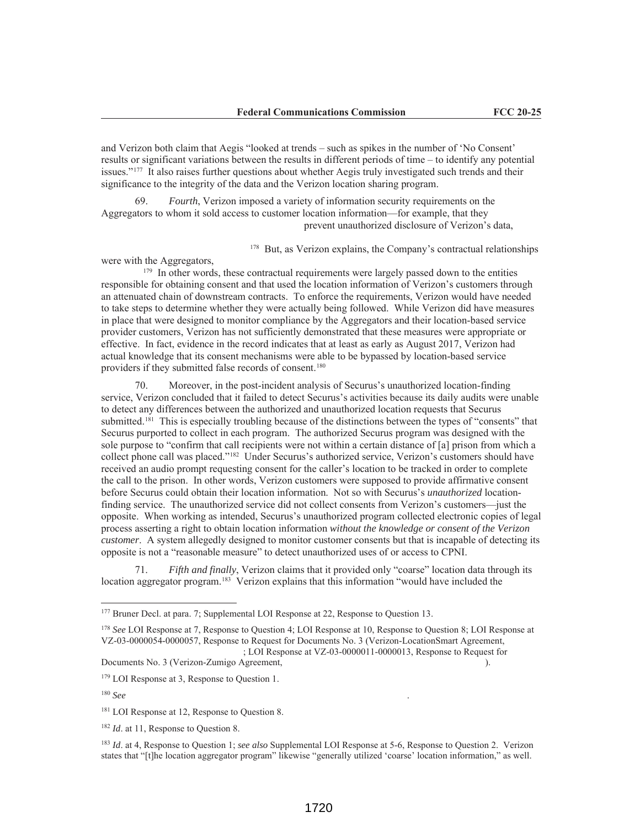and Verizon both claim that Aegis "looked at trends – such as spikes in the number of 'No Consent' results or significant variations between the results in different periods of time – to identify any potential issues."177 It also raises further questions about whether Aegis truly investigated such trends and their significance to the integrity of the data and the Verizon location sharing program.

69. *Fourth*, Verizon imposed a variety of information security requirements on the Aggregators to whom it sold access to customer location information—for example, that they prevent unauthorized disclosure of Verizon's data,

 $178$  But, as Verizon explains, the Company's contractual relationships

were with the Aggregators,

<sup>179</sup> In other words, these contractual requirements were largely passed down to the entities responsible for obtaining consent and that used the location information of Verizon's customers through an attenuated chain of downstream contracts. To enforce the requirements, Verizon would have needed to take steps to determine whether they were actually being followed. While Verizon did have measures in place that were designed to monitor compliance by the Aggregators and their location-based service provider customers, Verizon has not sufficiently demonstrated that these measures were appropriate or effective. In fact, evidence in the record indicates that at least as early as August 2017, Verizon had actual knowledge that its consent mechanisms were able to be bypassed by location-based service providers if they submitted false records of consent.180

70. Moreover, in the post-incident analysis of Securus's unauthorized location-finding service, Verizon concluded that it failed to detect Securus's activities because its daily audits were unable to detect any differences between the authorized and unauthorized location requests that Securus submitted.<sup>181</sup> This is especially troubling because of the distinctions between the types of "consents" that Securus purported to collect in each program. The authorized Securus program was designed with the sole purpose to "confirm that call recipients were not within a certain distance of [a] prison from which a collect phone call was placed."182 Under Securus's authorized service, Verizon's customers should have received an audio prompt requesting consent for the caller's location to be tracked in order to complete the call to the prison. In other words, Verizon customers were supposed to provide affirmative consent before Securus could obtain their location information. Not so with Securus's *unauthorized* locationfinding service. The unauthorized service did not collect consents from Verizon's customers—just the opposite. When working as intended, Securus's unauthorized program collected electronic copies of legal process asserting a right to obtain location information *without the knowledge or consent of the Verizon customer*. A system allegedly designed to monitor customer consents but that is incapable of detecting its opposite is not a "reasonable measure" to detect unauthorized uses of or access to CPNI.

71. *Fifth and finally*, Verizon claims that it provided only "coarse" location data through its location aggregator program.<sup>183</sup> Verizon explains that this information "would have included the

; LOI Response at VZ-03-0000011-0000013, Response to Request for Documents No. 3 (Verizon-Zumigo Agreement, ).

<sup>&</sup>lt;sup>177</sup> Bruner Decl. at para. 7; Supplemental LOI Response at 22, Response to Question 13.

<sup>178</sup> *See* LOI Response at 7, Response to Question 4; LOI Response at 10, Response to Question 8; LOI Response at VZ-03-0000054-0000057, Response to Request for Documents No. 3 (Verizon-LocationSmart Agreement,

<sup>179</sup> LOI Response at 3, Response to Question 1.

<sup>180</sup> *See* .

<sup>&</sup>lt;sup>181</sup> LOI Response at 12, Response to Question 8.

<sup>&</sup>lt;sup>182</sup> *Id.* at 11, Response to Question 8.

<sup>183</sup> *Id*. at 4, Response to Question 1; *see also* Supplemental LOI Response at 5-6, Response to Question 2. Verizon states that "[t]he location aggregator program" likewise "generally utilized 'coarse' location information," as well.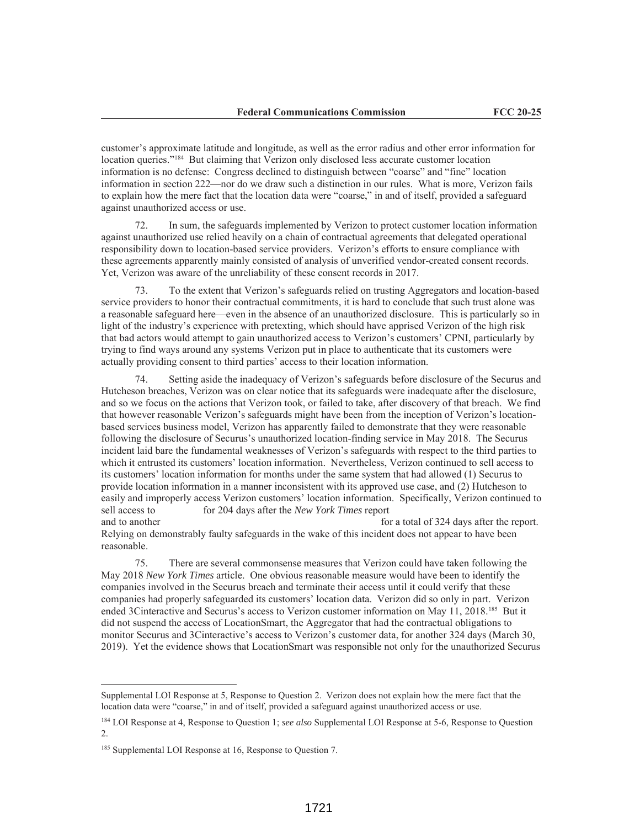customer's approximate latitude and longitude, as well as the error radius and other error information for location queries."184 But claiming that Verizon only disclosed less accurate customer location information is no defense: Congress declined to distinguish between "coarse" and "fine" location information in section 222—nor do we draw such a distinction in our rules. What is more, Verizon fails to explain how the mere fact that the location data were "coarse," in and of itself, provided a safeguard against unauthorized access or use.

72. In sum, the safeguards implemented by Verizon to protect customer location information against unauthorized use relied heavily on a chain of contractual agreements that delegated operational responsibility down to location-based service providers. Verizon's efforts to ensure compliance with these agreements apparently mainly consisted of analysis of unverified vendor-created consent records. Yet, Verizon was aware of the unreliability of these consent records in 2017.

73. To the extent that Verizon's safeguards relied on trusting Aggregators and location-based service providers to honor their contractual commitments, it is hard to conclude that such trust alone was a reasonable safeguard here—even in the absence of an unauthorized disclosure. This is particularly so in light of the industry's experience with pretexting, which should have apprised Verizon of the high risk that bad actors would attempt to gain unauthorized access to Verizon's customers' CPNI, particularly by trying to find ways around any systems Verizon put in place to authenticate that its customers were actually providing consent to third parties' access to their location information.

74. Setting aside the inadequacy of Verizon's safeguards before disclosure of the Securus and Hutcheson breaches, Verizon was on clear notice that its safeguards were inadequate after the disclosure, and so we focus on the actions that Verizon took, or failed to take, after discovery of that breach. We find that however reasonable Verizon's safeguards might have been from the inception of Verizon's locationbased services business model, Verizon has apparently failed to demonstrate that they were reasonable following the disclosure of Securus's unauthorized location-finding service in May 2018. The Securus incident laid bare the fundamental weaknesses of Verizon's safeguards with respect to the third parties to which it entrusted its customers' location information. Nevertheless, Verizon continued to sell access to its customers' location information for months under the same system that had allowed (1) Securus to provide location information in a manner inconsistent with its approved use case, and (2) Hutcheson to easily and improperly access Verizon customers' location information. Specifically, Verizon continued to sell access to for 204 days after the *New York Times* report and to another for a total of 324 days after the report. Relying on demonstrably faulty safeguards in the wake of this incident does not appear to have been

75. There are several commonsense measures that Verizon could have taken following the May 2018 *New York Times* article. One obvious reasonable measure would have been to identify the companies involved in the Securus breach and terminate their access until it could verify that these companies had properly safeguarded its customers' location data. Verizon did so only in part. Verizon ended 3Cinteractive and Securus's access to Verizon customer information on May 11, 2018.<sup>185</sup> But it did not suspend the access of LocationSmart, the Aggregator that had the contractual obligations to monitor Securus and 3Cinteractive's access to Verizon's customer data, for another 324 days (March 30, 2019). Yet the evidence shows that LocationSmart was responsible not only for the unauthorized Securus

reasonable.

Supplemental LOI Response at 5, Response to Question 2. Verizon does not explain how the mere fact that the location data were "coarse," in and of itself, provided a safeguard against unauthorized access or use.

<sup>184</sup> LOI Response at 4, Response to Question 1; *see also* Supplemental LOI Response at 5-6, Response to Question 2.

<sup>&</sup>lt;sup>185</sup> Supplemental LOI Response at 16, Response to Question 7.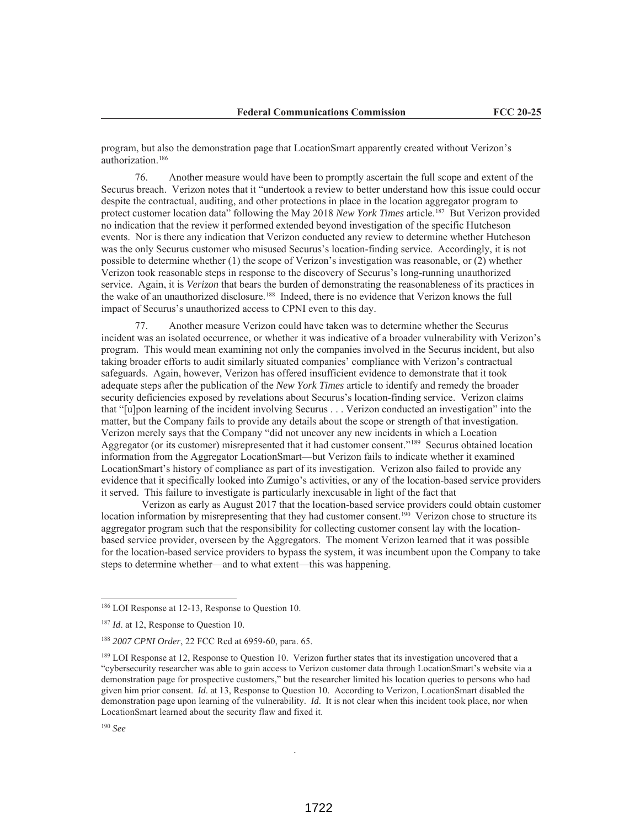program, but also the demonstration page that LocationSmart apparently created without Verizon's authorization.186

76. Another measure would have been to promptly ascertain the full scope and extent of the Securus breach. Verizon notes that it "undertook a review to better understand how this issue could occur despite the contractual, auditing, and other protections in place in the location aggregator program to protect customer location data" following the May 2018 *New York Times* article.187 But Verizon provided no indication that the review it performed extended beyond investigation of the specific Hutcheson events. Nor is there any indication that Verizon conducted any review to determine whether Hutcheson was the only Securus customer who misused Securus's location-finding service. Accordingly, it is not possible to determine whether (1) the scope of Verizon's investigation was reasonable, or (2) whether Verizon took reasonable steps in response to the discovery of Securus's long-running unauthorized service. Again, it is *Verizon* that bears the burden of demonstrating the reasonableness of its practices in the wake of an unauthorized disclosure.188 Indeed, there is no evidence that Verizon knows the full impact of Securus's unauthorized access to CPNI even to this day.

Another measure Verizon could have taken was to determine whether the Securus incident was an isolated occurrence, or whether it was indicative of a broader vulnerability with Verizon's program. This would mean examining not only the companies involved in the Securus incident, but also taking broader efforts to audit similarly situated companies' compliance with Verizon's contractual safeguards. Again, however, Verizon has offered insufficient evidence to demonstrate that it took adequate steps after the publication of the *New York Times* article to identify and remedy the broader security deficiencies exposed by revelations about Securus's location-finding service. Verizon claims that "[u]pon learning of the incident involving Securus . . . Verizon conducted an investigation" into the matter, but the Company fails to provide any details about the scope or strength of that investigation. Verizon merely says that the Company "did not uncover any new incidents in which a Location Aggregator (or its customer) misrepresented that it had customer consent."189 Securus obtained location information from the Aggregator LocationSmart—but Verizon fails to indicate whether it examined LocationSmart's history of compliance as part of its investigation. Verizon also failed to provide any evidence that it specifically looked into Zumigo's activities, or any of the location-based service providers it served. This failure to investigate is particularly inexcusable in light of the fact that

 Verizon as early as August 2017 that the location-based service providers could obtain customer location information by misrepresenting that they had customer consent.<sup>190</sup> Verizon chose to structure its aggregator program such that the responsibility for collecting customer consent lay with the locationbased service provider, overseen by the Aggregators. The moment Verizon learned that it was possible for the location-based service providers to bypass the system, it was incumbent upon the Company to take steps to determine whether—and to what extent—this was happening.

.

<sup>186</sup> LOI Response at 12-13, Response to Question 10.

<sup>&</sup>lt;sup>187</sup> *Id.* at 12, Response to Question 10.

<sup>188</sup> *2007 CPNI Order*, 22 FCC Rcd at 6959-60, para. 65.

<sup>&</sup>lt;sup>189</sup> LOI Response at 12, Response to Question 10. Verizon further states that its investigation uncovered that a "cybersecurity researcher was able to gain access to Verizon customer data through LocationSmart's website via a demonstration page for prospective customers," but the researcher limited his location queries to persons who had given him prior consent. *Id*. at 13, Response to Question 10. According to Verizon, LocationSmart disabled the demonstration page upon learning of the vulnerability. *Id*. It is not clear when this incident took place, nor when LocationSmart learned about the security flaw and fixed it.

<sup>190</sup> *See*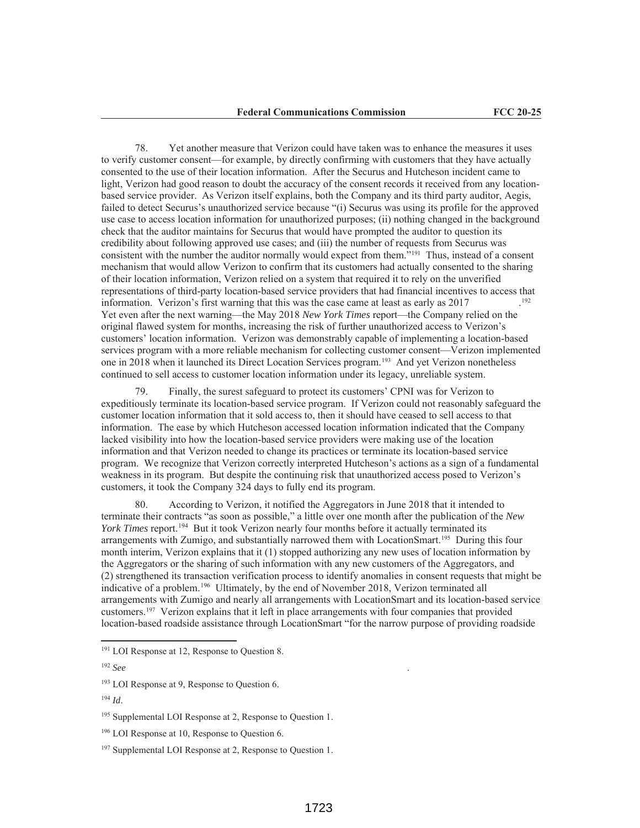78. Yet another measure that Verizon could have taken was to enhance the measures it uses to verify customer consent—for example, by directly confirming with customers that they have actually consented to the use of their location information. After the Securus and Hutcheson incident came to light, Verizon had good reason to doubt the accuracy of the consent records it received from any locationbased service provider. As Verizon itself explains, both the Company and its third party auditor, Aegis, failed to detect Securus's unauthorized service because "(i) Securus was using its profile for the approved use case to access location information for unauthorized purposes; (ii) nothing changed in the background check that the auditor maintains for Securus that would have prompted the auditor to question its credibility about following approved use cases; and (iii) the number of requests from Securus was consistent with the number the auditor normally would expect from them."191 Thus, instead of a consent mechanism that would allow Verizon to confirm that its customers had actually consented to the sharing of their location information, Verizon relied on a system that required it to rely on the unverified representations of third-party location-based service providers that had financial incentives to access that information. Verizon's first warning that this was the case came at least as early as 2017 Yet even after the next warning—the May 2018 *New York Times* report—the Company relied on the original flawed system for months, increasing the risk of further unauthorized access to Verizon's customers' location information. Verizon was demonstrably capable of implementing a location-based services program with a more reliable mechanism for collecting customer consent—Verizon implemented one in 2018 when it launched its Direct Location Services program.193 And yet Verizon nonetheless continued to sell access to customer location information under its legacy, unreliable system.

Finally, the surest safeguard to protect its customers' CPNI was for Verizon to expeditiously terminate its location-based service program. If Verizon could not reasonably safeguard the customer location information that it sold access to, then it should have ceased to sell access to that information. The ease by which Hutcheson accessed location information indicated that the Company lacked visibility into how the location-based service providers were making use of the location information and that Verizon needed to change its practices or terminate its location-based service program. We recognize that Verizon correctly interpreted Hutcheson's actions as a sign of a fundamental weakness in its program. But despite the continuing risk that unauthorized access posed to Verizon's customers, it took the Company 324 days to fully end its program.

80. According to Verizon, it notified the Aggregators in June 2018 that it intended to terminate their contracts "as soon as possible," a little over one month after the publication of the *New York Times* report.194 But it took Verizon nearly four months before it actually terminated its arrangements with Zumigo, and substantially narrowed them with LocationSmart.<sup>195</sup> During this four month interim, Verizon explains that it (1) stopped authorizing any new uses of location information by the Aggregators or the sharing of such information with any new customers of the Aggregators, and (2) strengthened its transaction verification process to identify anomalies in consent requests that might be indicative of a problem.196 Ultimately, by the end of November 2018, Verizon terminated all arrangements with Zumigo and nearly all arrangements with LocationSmart and its location-based service customers.197 Verizon explains that it left in place arrangements with four companies that provided location-based roadside assistance through LocationSmart "for the narrow purpose of providing roadside

<sup>&</sup>lt;sup>191</sup> LOI Response at 12, Response to Question 8.

<sup>192</sup> *See* .

<sup>&</sup>lt;sup>193</sup> LOI Response at 9, Response to Question 6.

<sup>194</sup> *Id*.

<sup>&</sup>lt;sup>195</sup> Supplemental LOI Response at 2, Response to Question 1.

<sup>&</sup>lt;sup>196</sup> LOI Response at 10, Response to Question 6.

<sup>&</sup>lt;sup>197</sup> Supplemental LOI Response at 2, Response to Question 1.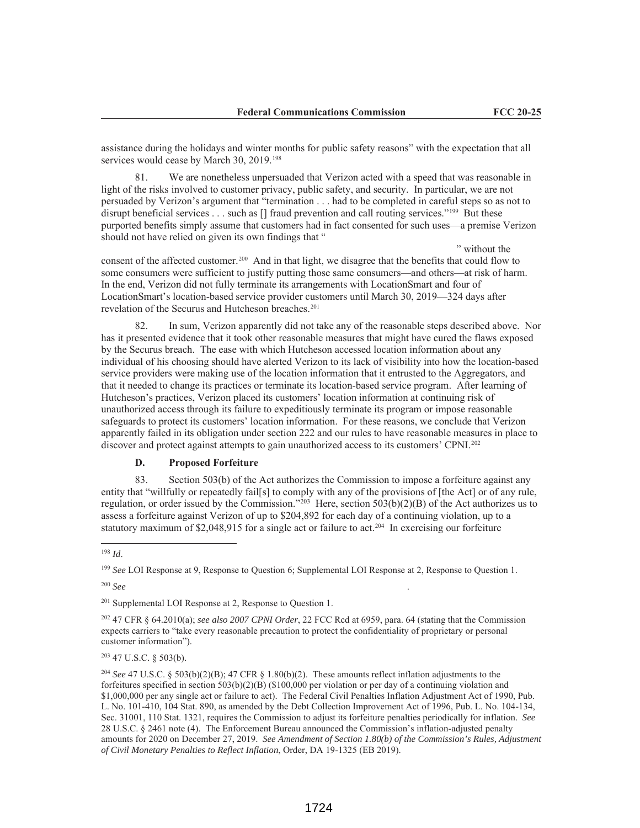" without the

assistance during the holidays and winter months for public safety reasons" with the expectation that all services would cease by March 30, 2019.<sup>198</sup>

81. We are nonetheless unpersuaded that Verizon acted with a speed that was reasonable in light of the risks involved to customer privacy, public safety, and security. In particular, we are not persuaded by Verizon's argument that "termination . . . had to be completed in careful steps so as not to disrupt beneficial services . . . such as  $[]$  fraud prevention and call routing services."<sup>199</sup> But these purported benefits simply assume that customers had in fact consented for such uses—a premise Verizon should not have relied on given its own findings that "

consent of the affected customer.200 And in that light, we disagree that the benefits that could flow to some consumers were sufficient to justify putting those same consumers—and others—at risk of harm. In the end, Verizon did not fully terminate its arrangements with LocationSmart and four of LocationSmart's location-based service provider customers until March 30, 2019—324 days after revelation of the Securus and Hutcheson breaches.<sup>201</sup>

In sum, Verizon apparently did not take any of the reasonable steps described above. Nor has it presented evidence that it took other reasonable measures that might have cured the flaws exposed by the Securus breach. The ease with which Hutcheson accessed location information about any individual of his choosing should have alerted Verizon to its lack of visibility into how the location-based service providers were making use of the location information that it entrusted to the Aggregators, and that it needed to change its practices or terminate its location-based service program. After learning of Hutcheson's practices, Verizon placed its customers' location information at continuing risk of unauthorized access through its failure to expeditiously terminate its program or impose reasonable safeguards to protect its customers' location information. For these reasons, we conclude that Verizon apparently failed in its obligation under section 222 and our rules to have reasonable measures in place to discover and protect against attempts to gain unauthorized access to its customers' CPNI.<sup>202</sup>

# **D. Proposed Forfeiture**

83. Section 503(b) of the Act authorizes the Commission to impose a forfeiture against any entity that "willfully or repeatedly fail[s] to comply with any of the provisions of [the Act] or of any rule, regulation, or order issued by the Commission."<sup>203</sup> Here, section  $503(b)(2)(B)$  of the Act authorizes us to assess a forfeiture against Verizon of up to \$204,892 for each day of a continuing violation, up to a statutory maximum of \$2,048,915 for a single act or failure to act.<sup>204</sup> In exercising our forfeiture

<sup>200</sup> *See* .

<sup>201</sup> Supplemental LOI Response at 2, Response to Question 1.

<sup>202</sup> 47 CFR § 64.2010(a); *see also 2007 CPNI Order*, 22 FCC Rcd at 6959, para. 64 (stating that the Commission expects carriers to "take every reasonable precaution to protect the confidentiality of proprietary or personal customer information").

 $203$  47 U.S.C. § 503(b).

<sup>198</sup> *Id*.

<sup>199</sup> *See* LOI Response at 9, Response to Question 6; Supplemental LOI Response at 2, Response to Question 1.

<sup>204</sup> *See* 47 U.S.C. § 503(b)(2)(B); 47 CFR § 1.80(b)(2). These amounts reflect inflation adjustments to the forfeitures specified in section 503(b)(2)(B) (\$100,000 per violation or per day of a continuing violation and \$1,000,000 per any single act or failure to act). The Federal Civil Penalties Inflation Adjustment Act of 1990, Pub. L. No. 101-410, 104 Stat. 890, as amended by the Debt Collection Improvement Act of 1996, Pub. L. No. 104-134, Sec. 31001, 110 Stat. 1321, requires the Commission to adjust its forfeiture penalties periodically for inflation. *See* 28 U.S.C. § 2461 note (4). The Enforcement Bureau announced the Commission's inflation-adjusted penalty amounts for 2020 on December 27, 2019. *See Amendment of Section 1.80(b) of the Commission's Rules, Adjustment of Civil Monetary Penalties to Reflect Inflation*, Order, DA 19-1325 (EB 2019).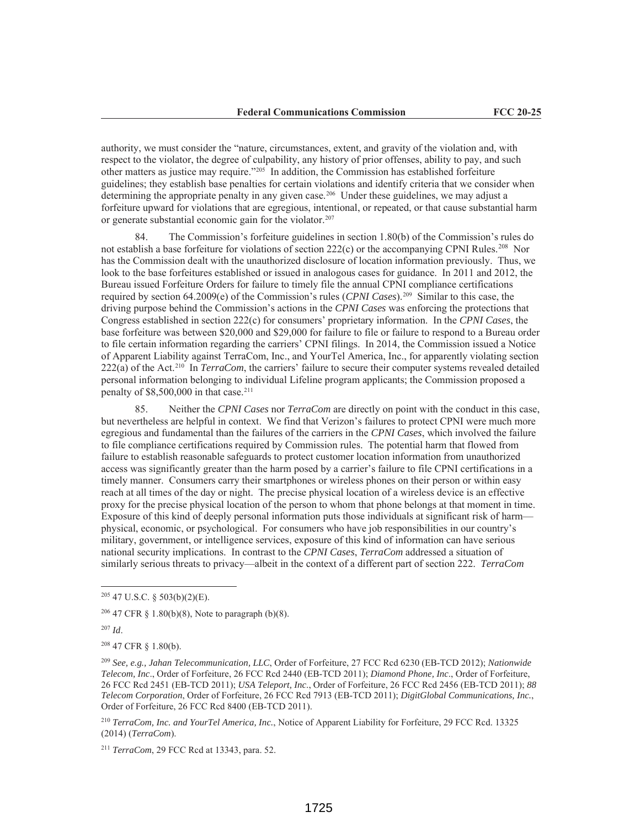authority, we must consider the "nature, circumstances, extent, and gravity of the violation and, with respect to the violator, the degree of culpability, any history of prior offenses, ability to pay, and such other matters as justice may require."205 In addition, the Commission has established forfeiture guidelines; they establish base penalties for certain violations and identify criteria that we consider when determining the appropriate penalty in any given case.206 Under these guidelines, we may adjust a forfeiture upward for violations that are egregious, intentional, or repeated, or that cause substantial harm or generate substantial economic gain for the violator.207

84. The Commission's forfeiture guidelines in section 1.80(b) of the Commission's rules do not establish a base forfeiture for violations of section 222(c) or the accompanying CPNI Rules.<sup>208</sup> Nor has the Commission dealt with the unauthorized disclosure of location information previously. Thus, we look to the base forfeitures established or issued in analogous cases for guidance. In 2011 and 2012, the Bureau issued Forfeiture Orders for failure to timely file the annual CPNI compliance certifications required by section 64.2009(e) of the Commission's rules (*CPNI Cases*).209 Similar to this case, the driving purpose behind the Commission's actions in the *CPNI Cases* was enforcing the protections that Congress established in section 222(c) for consumers' proprietary information. In the *CPNI Cases*, the base forfeiture was between \$20,000 and \$29,000 for failure to file or failure to respond to a Bureau order to file certain information regarding the carriers' CPNI filings. In 2014, the Commission issued a Notice of Apparent Liability against TerraCom, Inc., and YourTel America, Inc., for apparently violating section 222(a) of the Act.210 In *TerraCom*, the carriers' failure to secure their computer systems revealed detailed personal information belonging to individual Lifeline program applicants; the Commission proposed a penalty of  $$8,500,000$  in that case.<sup>211</sup>

85. Neither the *CPNI Cases* nor *TerraCom* are directly on point with the conduct in this case, but nevertheless are helpful in context. We find that Verizon's failures to protect CPNI were much more egregious and fundamental than the failures of the carriers in the *CPNI Cases*, which involved the failure to file compliance certifications required by Commission rules. The potential harm that flowed from failure to establish reasonable safeguards to protect customer location information from unauthorized access was significantly greater than the harm posed by a carrier's failure to file CPNI certifications in a timely manner. Consumers carry their smartphones or wireless phones on their person or within easy reach at all times of the day or night. The precise physical location of a wireless device is an effective proxy for the precise physical location of the person to whom that phone belongs at that moment in time. Exposure of this kind of deeply personal information puts those individuals at significant risk of harm physical, economic, or psychological. For consumers who have job responsibilities in our country's military, government, or intelligence services, exposure of this kind of information can have serious national security implications. In contrast to the *CPNI Cases*, *TerraCom* addressed a situation of similarly serious threats to privacy—albeit in the context of a different part of section 222. *TerraCom*

<sup>207</sup> *Id*.

<sup>208</sup> 47 CFR § 1.80(b).

<sup>209</sup> *See, e.g., Jahan Telecommunication, LLC*, Order of Forfeiture, 27 FCC Rcd 6230 (EB-TCD 2012); *Nationwide Telecom, Inc*., Order of Forfeiture, 26 FCC Rcd 2440 (EB-TCD 2011); *Diamond Phone, Inc*., Order of Forfeiture, 26 FCC Rcd 2451 (EB-TCD 2011); *USA Teleport, Inc*., Order of Forfeiture, 26 FCC Rcd 2456 (EB-TCD 2011); *88 Telecom Corporation*, Order of Forfeiture, 26 FCC Rcd 7913 (EB-TCD 2011); *DigitGlobal Communications, Inc.*, Order of Forfeiture, 26 FCC Rcd 8400 (EB-TCD 2011).

<sup>210</sup> *TerraCom, Inc. and YourTel America, Inc.*, Notice of Apparent Liability for Forfeiture, 29 FCC Rcd. 13325 (2014) (*TerraCom*).

<sup>211</sup> *TerraCom*, 29 FCC Rcd at 13343, para. 52.

<sup>205</sup> 47 U.S.C. § 503(b)(2)(E).

<sup>206</sup> 47 CFR § 1.80(b)(8), Note to paragraph (b)(8).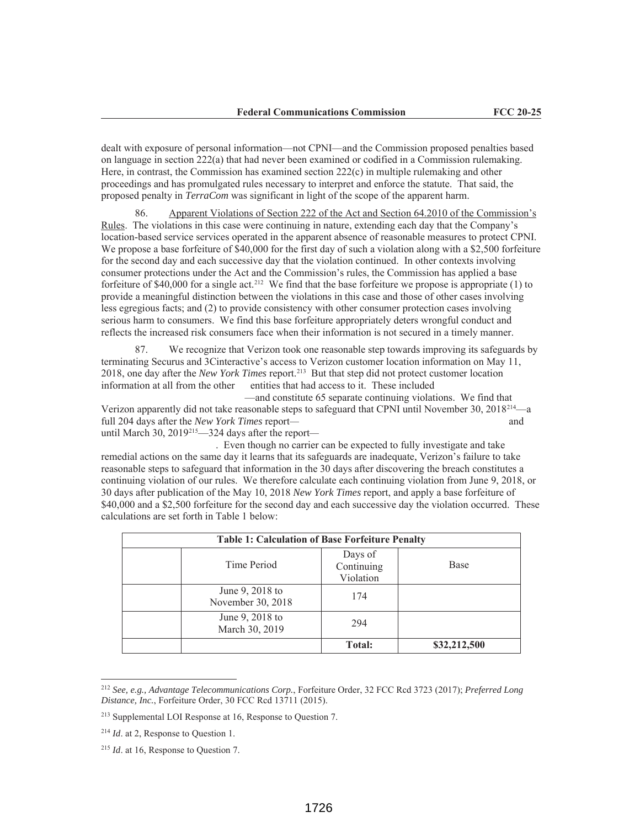dealt with exposure of personal information—not CPNI—and the Commission proposed penalties based on language in section 222(a) that had never been examined or codified in a Commission rulemaking. Here, in contrast, the Commission has examined section 222(c) in multiple rulemaking and other proceedings and has promulgated rules necessary to interpret and enforce the statute. That said, the proposed penalty in *TerraCom* was significant in light of the scope of the apparent harm.

86. Apparent Violations of Section 222 of the Act and Section 64.2010 of the Commission's Rules. The violations in this case were continuing in nature, extending each day that the Company's location-based service services operated in the apparent absence of reasonable measures to protect CPNI. We propose a base forfeiture of \$40,000 for the first day of such a violation along with a \$2,500 forfeiture for the second day and each successive day that the violation continued. In other contexts involving consumer protections under the Act and the Commission's rules, the Commission has applied a base forfeiture of \$40,000 for a single act.<sup>212</sup> We find that the base forfeiture we propose is appropriate (1) to provide a meaningful distinction between the violations in this case and those of other cases involving less egregious facts; and (2) to provide consistency with other consumer protection cases involving serious harm to consumers. We find this base forfeiture appropriately deters wrongful conduct and reflects the increased risk consumers face when their information is not secured in a timely manner.

87. We recognize that Verizon took one reasonable step towards improving its safeguards by terminating Securus and 3Cinteractive's access to Verizon customer location information on May 11, 2018, one day after the *New York Times* report.213 But that step did not protect customer location information at all from the other entities that had access to it. These included

—and constitute 65 separate continuing violations. We find that Verizon apparently did not take reasonable steps to safeguard that CPNI until November 30, 2018214—a full 204 days after the *New York Times* report— and and until March 30, 2019<sup>215</sup>—324 days after the report—

. Even though no carrier can be expected to fully investigate and take remedial actions on the same day it learns that its safeguards are inadequate, Verizon's failure to take reasonable steps to safeguard that information in the 30 days after discovering the breach constitutes a continuing violation of our rules. We therefore calculate each continuing violation from June 9, 2018, or 30 days after publication of the May 10, 2018 *New York Times* report, and apply a base forfeiture of \$40,000 and a \$2,500 forfeiture for the second day and each successive day the violation occurred. These calculations are set forth in Table 1 below:

| <b>Table 1: Calculation of Base Forfeiture Penalty</b> |                                    |              |  |  |  |
|--------------------------------------------------------|------------------------------------|--------------|--|--|--|
| Time Period                                            | Days of<br>Continuing<br>Violation | <b>Base</b>  |  |  |  |
| June 9, 2018 to<br>November 30, 2018                   | 174                                |              |  |  |  |
| June 9, 2018 to<br>March 30, 2019                      | 294                                |              |  |  |  |
|                                                        | <b>Total:</b>                      | \$32,212,500 |  |  |  |

<sup>212</sup> *See, e.g., Advantage Telecommunications Corp.*, Forfeiture Order, 32 FCC Rcd 3723 (2017); *Preferred Long Distance, Inc.*, Forfeiture Order, 30 FCC Rcd 13711 (2015).

<sup>213</sup> Supplemental LOI Response at 16, Response to Question 7.

<sup>214</sup> *Id*. at 2, Response to Question 1.

<sup>215</sup> *Id*. at 16, Response to Question 7.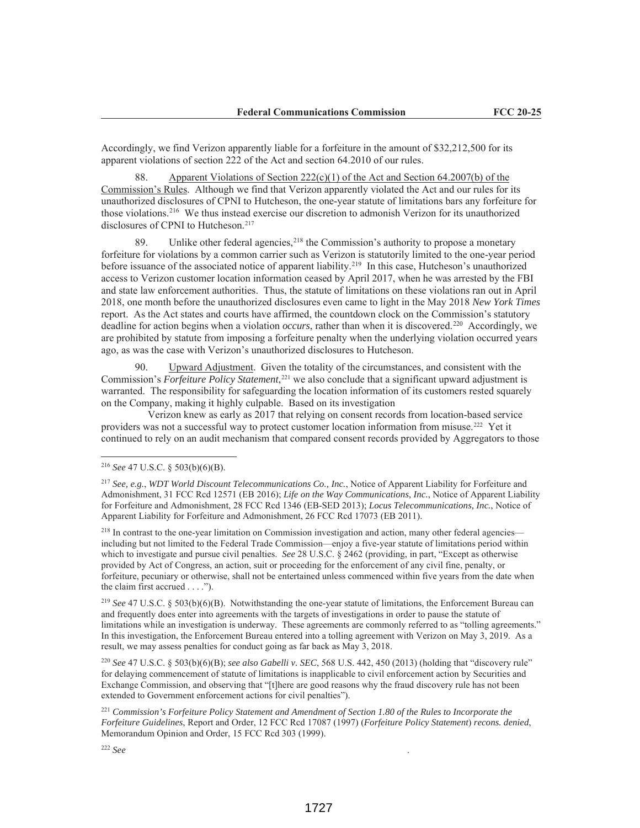Accordingly, we find Verizon apparently liable for a forfeiture in the amount of \$32,212,500 for its apparent violations of section 222 of the Act and section 64.2010 of our rules.

88. Apparent Violations of Section 222(c)(1) of the Act and Section 64.2007(b) of the Commission's Rules. Although we find that Verizon apparently violated the Act and our rules for its unauthorized disclosures of CPNI to Hutcheson, the one-year statute of limitations bars any forfeiture for those violations.216 We thus instead exercise our discretion to admonish Verizon for its unauthorized disclosures of CPNI to Hutcheson.<sup>217</sup>

89. Unlike other federal agencies,  $2^{18}$  the Commission's authority to propose a monetary forfeiture for violations by a common carrier such as Verizon is statutorily limited to the one-year period before issuance of the associated notice of apparent liability.219 In this case, Hutcheson's unauthorized access to Verizon customer location information ceased by April 2017, when he was arrested by the FBI and state law enforcement authorities. Thus, the statute of limitations on these violations ran out in April 2018, one month before the unauthorized disclosures even came to light in the May 2018 *New York Times* report. As the Act states and courts have affirmed, the countdown clock on the Commission's statutory deadline for action begins when a violation *occurs*, rather than when it is discovered.220 Accordingly, we are prohibited by statute from imposing a forfeiture penalty when the underlying violation occurred years ago, as was the case with Verizon's unauthorized disclosures to Hutcheson.

90. Upward Adjustment. Given the totality of the circumstances, and consistent with the Commission's *Forfeiture Policy Statement*, <sup>221</sup> we also conclude that a significant upward adjustment is warranted. The responsibility for safeguarding the location information of its customers rested squarely on the Company, making it highly culpable. Based on its investigation

 Verizon knew as early as 2017 that relying on consent records from location-based service providers was not a successful way to protect customer location information from misuse.222 Yet it continued to rely on an audit mechanism that compared consent records provided by Aggregators to those

<sup>218</sup> In contrast to the one-year limitation on Commission investigation and action, many other federal agencies including but not limited to the Federal Trade Commission—enjoy a five-year statute of limitations period within which to investigate and pursue civil penalties. *See* 28 U.S.C. § 2462 (providing, in part, "Except as otherwise provided by Act of Congress, an action, suit or proceeding for the enforcement of any civil fine, penalty, or forfeiture, pecuniary or otherwise, shall not be entertained unless commenced within five years from the date when the claim first accrued . . . .").

<sup>219</sup> *See* 47 U.S.C. § 503(b)(6)(B). Notwithstanding the one-year statute of limitations, the Enforcement Bureau can and frequently does enter into agreements with the targets of investigations in order to pause the statute of limitations while an investigation is underway. These agreements are commonly referred to as "tolling agreements." In this investigation, the Enforcement Bureau entered into a tolling agreement with Verizon on May 3, 2019. As a result, we may assess penalties for conduct going as far back as May 3, 2018.

<sup>220</sup> *See* 47 U.S.C. § 503(b)(6)(B); *see also Gabelli v. SEC*, 568 U.S. 442, 450 (2013) (holding that "discovery rule" for delaying commencement of statute of limitations is inapplicable to civil enforcement action by Securities and Exchange Commission, and observing that "[t]here are good reasons why the fraud discovery rule has not been extended to Government enforcement actions for civil penalties").

<sup>221</sup> *Commission's Forfeiture Policy Statement and Amendment of Section 1.80 of the Rules to Incorporate the Forfeiture Guidelines*, Report and Order, 12 FCC Rcd 17087 (1997) (*Forfeiture Policy Statement*) *recons. denied*, Memorandum Opinion and Order, 15 FCC Rcd 303 (1999).

<sup>216</sup> *See* 47 U.S.C. § 503(b)(6)(B).

<sup>217</sup> *See, e.g.*, *WDT World Discount Telecommunications Co., Inc.*, Notice of Apparent Liability for Forfeiture and Admonishment, 31 FCC Rcd 12571 (EB 2016); *Life on the Way Communications, Inc.*, Notice of Apparent Liability for Forfeiture and Admonishment, 28 FCC Rcd 1346 (EB-SED 2013); *Locus Telecommunications, Inc.*, Notice of Apparent Liability for Forfeiture and Admonishment, 26 FCC Rcd 17073 (EB 2011).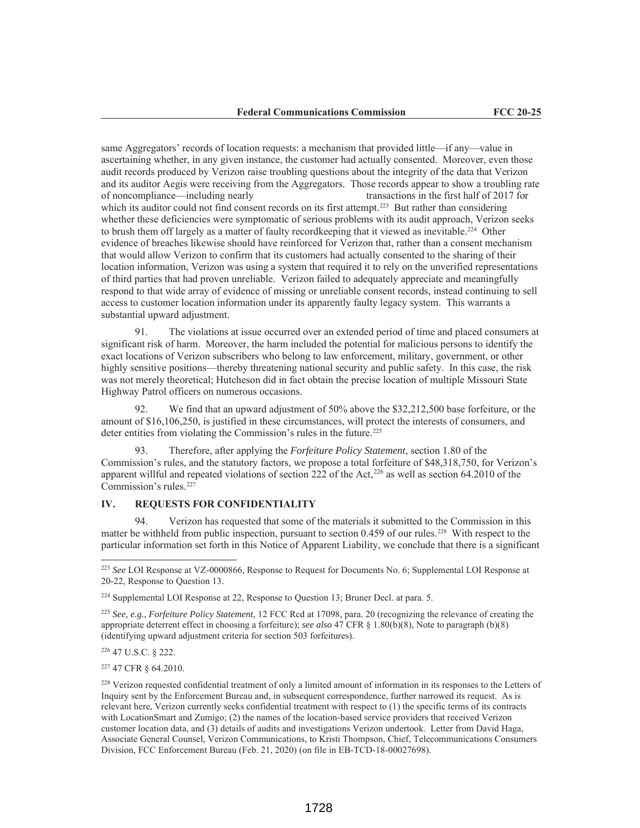same Aggregators' records of location requests: a mechanism that provided little—if any—value in ascertaining whether, in any given instance, the customer had actually consented. Moreover, even those audit records produced by Verizon raise troubling questions about the integrity of the data that Verizon and its auditor Aegis were receiving from the Aggregators. Those records appear to show a troubling rate of noncompliance—including nearly transactions in the first half of 2017 for which its auditor could not find consent records on its first attempt.<sup>223</sup> But rather than considering whether these deficiencies were symptomatic of serious problems with its audit approach, Verizon seeks to brush them off largely as a matter of faulty recordkeeping that it viewed as inevitable.<sup>224</sup> Other evidence of breaches likewise should have reinforced for Verizon that, rather than a consent mechanism that would allow Verizon to confirm that its customers had actually consented to the sharing of their location information, Verizon was using a system that required it to rely on the unverified representations of third parties that had proven unreliable. Verizon failed to adequately appreciate and meaningfully respond to that wide array of evidence of missing or unreliable consent records, instead continuing to sell access to customer location information under its apparently faulty legacy system. This warrants a substantial upward adjustment.

91. The violations at issue occurred over an extended period of time and placed consumers at significant risk of harm. Moreover, the harm included the potential for malicious persons to identify the exact locations of Verizon subscribers who belong to law enforcement, military, government, or other highly sensitive positions—thereby threatening national security and public safety. In this case, the risk was not merely theoretical; Hutcheson did in fact obtain the precise location of multiple Missouri State Highway Patrol officers on numerous occasions.

92. We find that an upward adjustment of 50% above the \$32,212,500 base forfeiture, or the amount of \$16,106,250, is justified in these circumstances, will protect the interests of consumers, and deter entities from violating the Commission's rules in the future.<sup>225</sup>

93. Therefore, after applying the *Forfeiture Policy Statement*, section 1.80 of the Commission's rules, and the statutory factors, we propose a total forfeiture of \$48,318,750, for Verizon's apparent willful and repeated violations of section 222 of the Act,<sup>226</sup> as well as section 64.2010 of the Commission's rules.227

# **IV. REQUESTS FOR CONFIDENTIALITY**

94. Verizon has requested that some of the materials it submitted to the Commission in this matter be withheld from public inspection, pursuant to section 0.459 of our rules.<sup>228</sup> With respect to the particular information set forth in this Notice of Apparent Liability, we conclude that there is a significant

<sup>226</sup> 47 U.S.C. § 222.

<sup>227</sup> 47 CFR § 64.2010.

<sup>223</sup> *See* LOI Response at VZ-0000866, Response to Request for Documents No. 6; Supplemental LOI Response at 20-22, Response to Question 13.

<sup>224</sup> Supplemental LOI Response at 22, Response to Question 13; Bruner Decl. at para. 5.

<sup>225</sup> *See, e.g.*, *Forfeiture Policy Statement*, 12 FCC Rcd at 17098, para. 20 (recognizing the relevance of creating the appropriate deterrent effect in choosing a forfeiture); *see also* 47 CFR § 1.80(b)(8), Note to paragraph (b)(8) (identifying upward adjustment criteria for section 503 forfeitures).

<sup>&</sup>lt;sup>228</sup> Verizon requested confidential treatment of only a limited amount of information in its responses to the Letters of Inquiry sent by the Enforcement Bureau and, in subsequent correspondence, further narrowed its request. As is relevant here, Verizon currently seeks confidential treatment with respect to (1) the specific terms of its contracts with LocationSmart and Zumigo; (2) the names of the location-based service providers that received Verizon customer location data, and (3) details of audits and investigations Verizon undertook. Letter from David Haga, Associate General Counsel, Verizon Communications, to Kristi Thompson, Chief, Telecommunications Consumers Division, FCC Enforcement Bureau (Feb. 21, 2020) (on file in EB-TCD-18-00027698).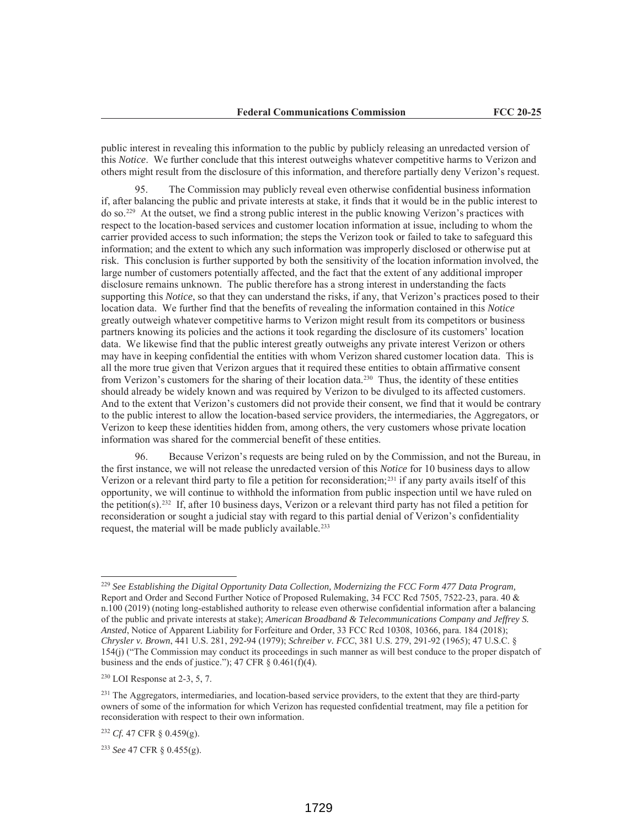public interest in revealing this information to the public by publicly releasing an unredacted version of this *Notice*. We further conclude that this interest outweighs whatever competitive harms to Verizon and others might result from the disclosure of this information, and therefore partially deny Verizon's request.

95. The Commission may publicly reveal even otherwise confidential business information if, after balancing the public and private interests at stake, it finds that it would be in the public interest to do so.229 At the outset, we find a strong public interest in the public knowing Verizon's practices with respect to the location-based services and customer location information at issue, including to whom the carrier provided access to such information; the steps the Verizon took or failed to take to safeguard this information; and the extent to which any such information was improperly disclosed or otherwise put at risk. This conclusion is further supported by both the sensitivity of the location information involved, the large number of customers potentially affected, and the fact that the extent of any additional improper disclosure remains unknown. The public therefore has a strong interest in understanding the facts supporting this *Notice*, so that they can understand the risks, if any, that Verizon's practices posed to their location data. We further find that the benefits of revealing the information contained in this *Notice* greatly outweigh whatever competitive harms to Verizon might result from its competitors or business partners knowing its policies and the actions it took regarding the disclosure of its customers' location data. We likewise find that the public interest greatly outweighs any private interest Verizon or others may have in keeping confidential the entities with whom Verizon shared customer location data. This is all the more true given that Verizon argues that it required these entities to obtain affirmative consent from Verizon's customers for the sharing of their location data.<sup>230</sup> Thus, the identity of these entities should already be widely known and was required by Verizon to be divulged to its affected customers. And to the extent that Verizon's customers did not provide their consent, we find that it would be contrary to the public interest to allow the location-based service providers, the intermediaries, the Aggregators, or Verizon to keep these identities hidden from, among others, the very customers whose private location information was shared for the commercial benefit of these entities.

96. Because Verizon's requests are being ruled on by the Commission, and not the Bureau, in the first instance, we will not release the unredacted version of this *Notice* for 10 business days to allow Verizon or a relevant third party to file a petition for reconsideration;231 if any party avails itself of this opportunity, we will continue to withhold the information from public inspection until we have ruled on the petition(s).232 If, after 10 business days, Verizon or a relevant third party has not filed a petition for reconsideration or sought a judicial stay with regard to this partial denial of Verizon's confidentiality request, the material will be made publicly available.<sup>233</sup>

<sup>229</sup> *See Establishing the Digital Opportunity Data Collection, Modernizing the FCC Form 477 Data Program,*  Report and Order and Second Further Notice of Proposed Rulemaking, 34 FCC Rcd 7505, 7522-23, para. 40 & n.100 (2019) (noting long-established authority to release even otherwise confidential information after a balancing of the public and private interests at stake); *American Broadband & Telecommunications Company and Jeffrey S. Ansted*, Notice of Apparent Liability for Forfeiture and Order, 33 FCC Rcd 10308, 10366, para. 184 (2018); *Chrysler v. Brown*, 441 U.S. 281, 292-94 (1979); *Schreiber v. FCC*, 381 U.S. 279, 291-92 (1965); 47 U.S.C. § 154(j) ("The Commission may conduct its proceedings in such manner as will best conduce to the proper dispatch of business and the ends of justice."); 47 CFR  $\S$  0.461(f)(4).

 $230$  LOI Response at 2-3, 5, 7.

<sup>&</sup>lt;sup>231</sup> The Aggregators, intermediaries, and location-based service providers, to the extent that they are third-party owners of some of the information for which Verizon has requested confidential treatment, may file a petition for reconsideration with respect to their own information.

<sup>232</sup> *Cf.* 47 CFR § 0.459(g).

<sup>233</sup> *See* 47 CFR § 0.455(g).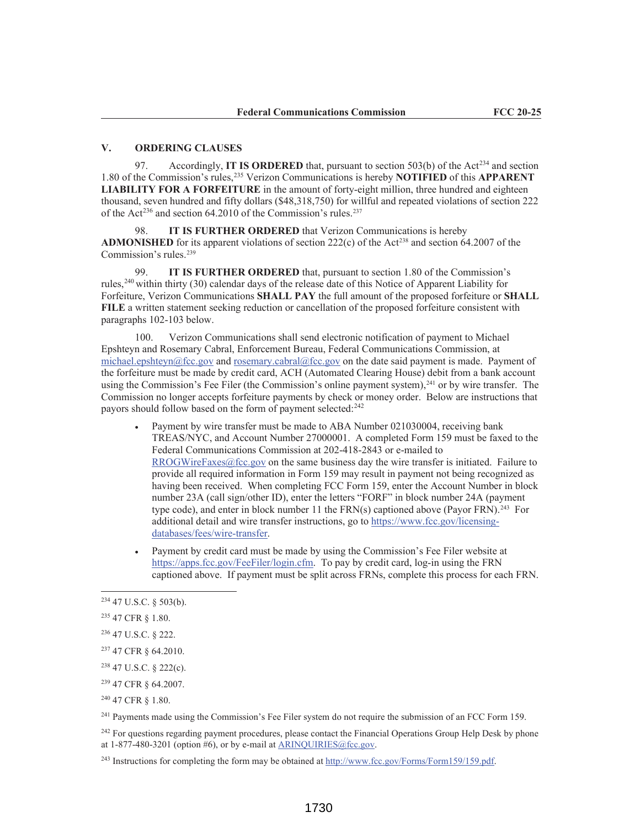## **V. ORDERING CLAUSES**

97. Accordingly, **IT IS ORDERED** that, pursuant to section 503(b) of the Act<sup>234</sup> and section 1.80 of the Commission's rules,235 Verizon Communications is hereby **NOTIFIED** of this **APPARENT LIABILITY FOR A FORFEITURE** in the amount of forty-eight million, three hundred and eighteen thousand, seven hundred and fifty dollars (\$48,318,750) for willful and repeated violations of section 222 of the Act<sup>236</sup> and section 64.2010 of the Commission's rules.<sup>237</sup>

98. **IT IS FURTHER ORDERED** that Verizon Communications is hereby **ADMONISHED** for its apparent violations of section 222(c) of the Act<sup>238</sup> and section 64.2007 of the Commission's rules.239

99. **IT IS FURTHER ORDERED** that, pursuant to section 1.80 of the Commission's rules,240 within thirty (30) calendar days of the release date of this Notice of Apparent Liability for Forfeiture, Verizon Communications **SHALL PAY** the full amount of the proposed forfeiture or **SHALL FILE** a written statement seeking reduction or cancellation of the proposed forfeiture consistent with paragraphs 102-103 below.

100. Verizon Communications shall send electronic notification of payment to Michael Epshteyn and Rosemary Cabral, Enforcement Bureau, Federal Communications Commission, at michael.epshteyn@fcc.gov and rosemary.cabral@fcc.gov on the date said payment is made. Payment of the forfeiture must be made by credit card, ACH (Automated Clearing House) debit from a bank account using the Commission's Fee Filer (the Commission's online payment system),<sup>241</sup> or by wire transfer. The Commission no longer accepts forfeiture payments by check or money order. Below are instructions that payors should follow based on the form of payment selected:<sup>242</sup>

- Payment by wire transfer must be made to ABA Number 021030004, receiving bank TREAS/NYC, and Account Number 27000001. A completed Form 159 must be faxed to the Federal Communications Commission at 202-418-2843 or e-mailed to RROGWireFaxes@fcc.gov on the same business day the wire transfer is initiated. Failure to provide all required information in Form 159 may result in payment not being recognized as having been received. When completing FCC Form 159, enter the Account Number in block number 23A (call sign/other ID), enter the letters "FORF" in block number 24A (payment type code), and enter in block number 11 the FRN(s) captioned above (Payor FRN).<sup>243</sup> For additional detail and wire transfer instructions, go to https://www.fcc.gov/licensingdatabases/fees/wire-transfer.
- Payment by credit card must be made by using the Commission's Fee Filer website at https://apps.fcc.gov/FeeFiler/login.cfm. To pay by credit card, log-in using the FRN captioned above. If payment must be split across FRNs, complete this process for each FRN.

<sup>241</sup> Payments made using the Commission's Fee Filer system do not require the submission of an FCC Form 159.

<sup>242</sup> For questions regarding payment procedures, please contact the Financial Operations Group Help Desk by phone at  $1-877-480-3201$  (option #6), or by e-mail at ARINOUIRIES@fcc.gov.

<sup>243</sup> Instructions for completing the form may be obtained at http://www.fcc.gov/Forms/Form159/159.pdf.

<sup>234</sup> 47 U.S.C. § 503(b).

<sup>235</sup> 47 CFR § 1.80.

<sup>236</sup> 47 U.S.C. § 222.

<sup>237</sup> 47 CFR § 64.2010.

<sup>238</sup> 47 U.S.C. § 222(c).

<sup>239</sup> 47 CFR § 64.2007.

<sup>240</sup> 47 CFR § 1.80.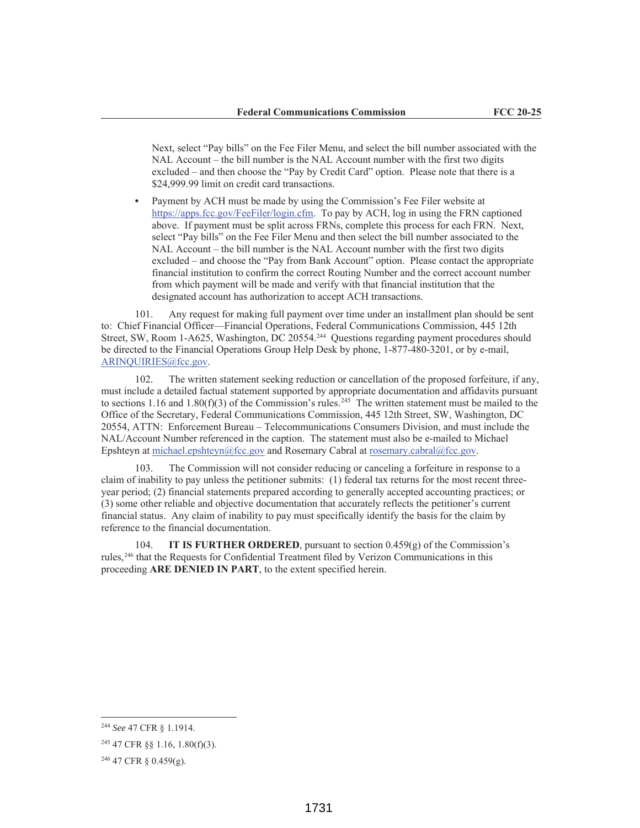Next, select "Pay bills" on the Fee Filer Menu, and select the bill number associated with the NAL Account – the bill number is the NAL Account number with the first two digits excluded – and then choose the "Pay by Credit Card" option. Please note that there is a \$24,999.99 limit on credit card transactions.

**•** Payment by ACH must be made by using the Commission's Fee Filer website at https://apps.fcc.gov/FeeFiler/login.cfm. To pay by ACH, log in using the FRN captioned above. If payment must be split across FRNs, complete this process for each FRN. Next, select "Pay bills" on the Fee Filer Menu and then select the bill number associated to the NAL Account – the bill number is the NAL Account number with the first two digits excluded – and choose the "Pay from Bank Account" option. Please contact the appropriate financial institution to confirm the correct Routing Number and the correct account number from which payment will be made and verify with that financial institution that the designated account has authorization to accept ACH transactions.

101. Any request for making full payment over time under an installment plan should be sent to: Chief Financial Officer—Financial Operations, Federal Communications Commission, 445 12th Street, SW, Room 1-A625, Washington, DC 20554.244 Questions regarding payment procedures should be directed to the Financial Operations Group Help Desk by phone, 1-877-480-3201, or by e-mail, ARINQUIRIES@fcc.gov.

102. The written statement seeking reduction or cancellation of the proposed forfeiture, if any, must include a detailed factual statement supported by appropriate documentation and affidavits pursuant to sections 1.16 and 1.80(f)(3) of the Commission's rules.<sup>245</sup> The written statement must be mailed to the Office of the Secretary, Federal Communications Commission, 445 12th Street, SW, Washington, DC 20554, ATTN: Enforcement Bureau – Telecommunications Consumers Division, and must include the NAL/Account Number referenced in the caption. The statement must also be e-mailed to Michael Epshteyn at michael.epshteyn@fcc.gov and Rosemary Cabral at rosemary.cabral@fcc.gov.

103. The Commission will not consider reducing or canceling a forfeiture in response to a claim of inability to pay unless the petitioner submits: (1) federal tax returns for the most recent threeyear period; (2) financial statements prepared according to generally accepted accounting practices; or (3) some other reliable and objective documentation that accurately reflects the petitioner's current financial status. Any claim of inability to pay must specifically identify the basis for the claim by reference to the financial documentation.

104. **IT IS FURTHER ORDERED**, pursuant to section  $0.459(g)$  of the Commission's rules,246 that the Requests for Confidential Treatment filed by Verizon Communications in this proceeding **ARE DENIED IN PART**, to the extent specified herein.

<sup>244</sup> *See* 47 CFR § 1.1914.

<sup>245</sup> 47 CFR §§ 1.16, 1.80(f)(3).

<sup>246</sup> 47 CFR § 0.459(g).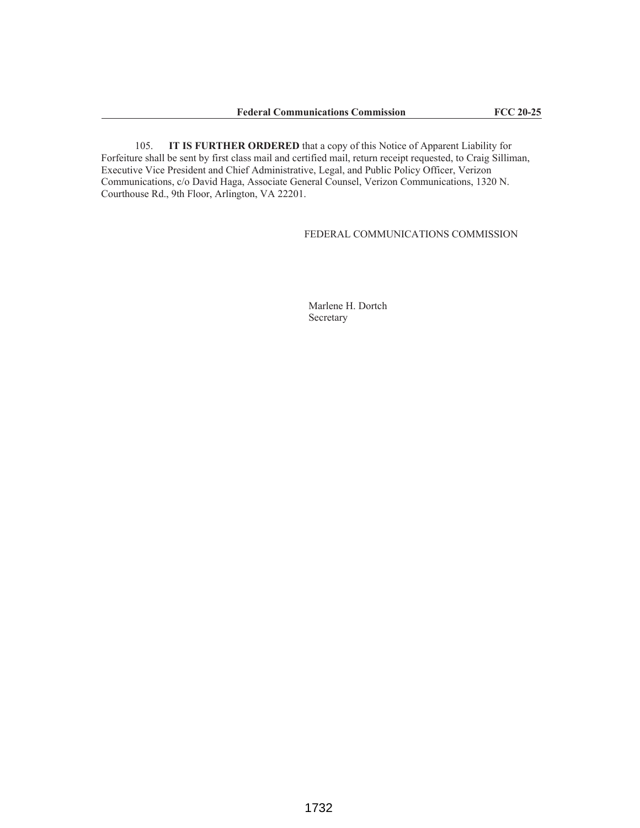105. **IT IS FURTHER ORDERED** that a copy of this Notice of Apparent Liability for Forfeiture shall be sent by first class mail and certified mail, return receipt requested, to Craig Silliman, Executive Vice President and Chief Administrative, Legal, and Public Policy Officer, Verizon Communications, c/o David Haga, Associate General Counsel, Verizon Communications, 1320 N. Courthouse Rd., 9th Floor, Arlington, VA 22201.

FEDERAL COMMUNICATIONS COMMISSION

Marlene H. Dortch Secretary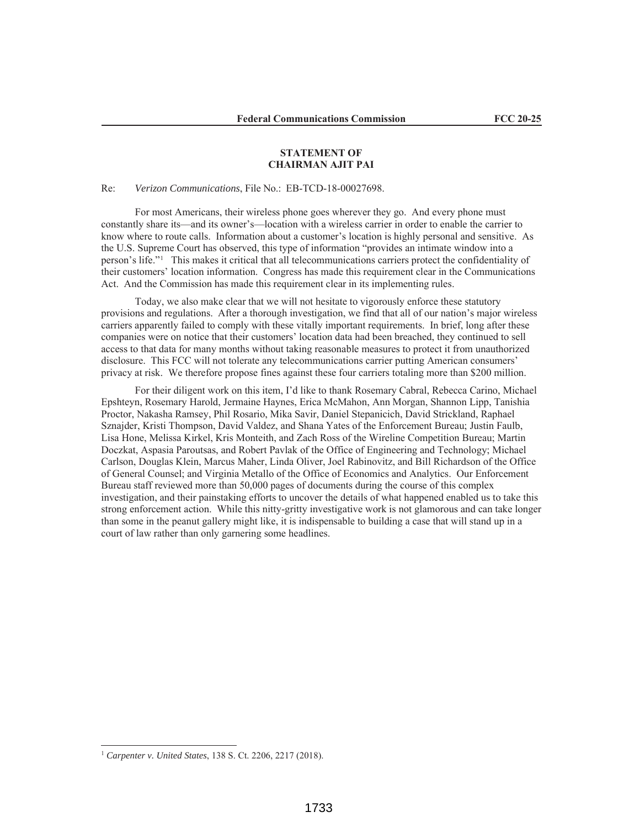## **STATEMENT OF CHAIRMAN AJIT PAI**

#### Re: *Verizon Communications*, File No.: EB-TCD-18-00027698.

For most Americans, their wireless phone goes wherever they go. And every phone must constantly share its—and its owner's—location with a wireless carrier in order to enable the carrier to know where to route calls. Information about a customer's location is highly personal and sensitive. As the U.S. Supreme Court has observed, this type of information "provides an intimate window into a person's life."1 This makes it critical that all telecommunications carriers protect the confidentiality of their customers' location information. Congress has made this requirement clear in the Communications Act. And the Commission has made this requirement clear in its implementing rules.

Today, we also make clear that we will not hesitate to vigorously enforce these statutory provisions and regulations. After a thorough investigation, we find that all of our nation's major wireless carriers apparently failed to comply with these vitally important requirements. In brief, long after these companies were on notice that their customers' location data had been breached, they continued to sell access to that data for many months without taking reasonable measures to protect it from unauthorized disclosure. This FCC will not tolerate any telecommunications carrier putting American consumers' privacy at risk. We therefore propose fines against these four carriers totaling more than \$200 million.

For their diligent work on this item, I'd like to thank Rosemary Cabral, Rebecca Carino, Michael Epshteyn, Rosemary Harold, Jermaine Haynes, Erica McMahon, Ann Morgan, Shannon Lipp, Tanishia Proctor, Nakasha Ramsey, Phil Rosario, Mika Savir, Daniel Stepanicich, David Strickland, Raphael Sznajder, Kristi Thompson, David Valdez, and Shana Yates of the Enforcement Bureau; Justin Faulb, Lisa Hone, Melissa Kirkel, Kris Monteith, and Zach Ross of the Wireline Competition Bureau; Martin Doczkat, Aspasia Paroutsas, and Robert Pavlak of the Office of Engineering and Technology; Michael Carlson, Douglas Klein, Marcus Maher, Linda Oliver, Joel Rabinovitz, and Bill Richardson of the Office of General Counsel; and Virginia Metallo of the Office of Economics and Analytics. Our Enforcement Bureau staff reviewed more than 50,000 pages of documents during the course of this complex investigation, and their painstaking efforts to uncover the details of what happened enabled us to take this strong enforcement action. While this nitty-gritty investigative work is not glamorous and can take longer than some in the peanut gallery might like, it is indispensable to building a case that will stand up in a court of law rather than only garnering some headlines.

<sup>1</sup> *Carpenter v. United States*, 138 S. Ct. 2206, 2217 (2018).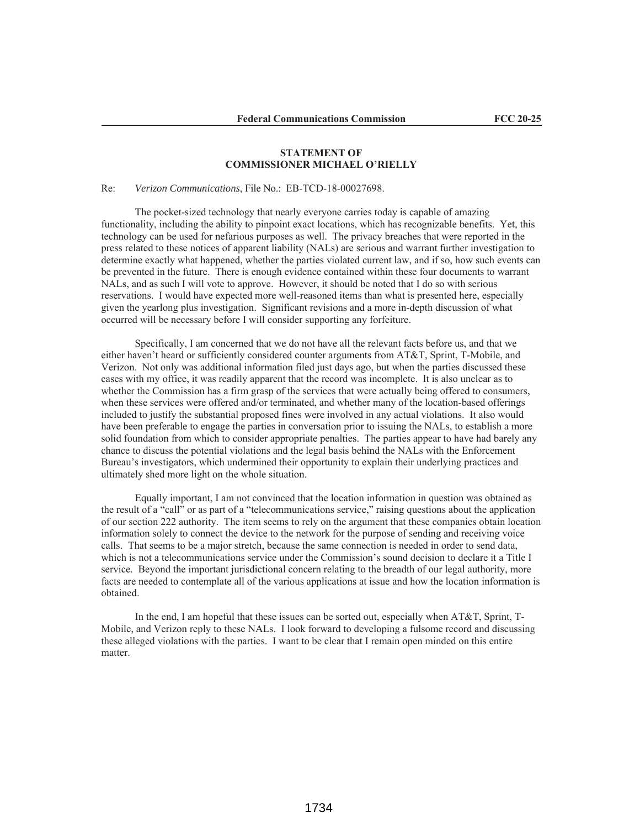# **STATEMENT OF COMMISSIONER MICHAEL O'RIELLY**

Re: *Verizon Communications*, File No.: EB-TCD-18-00027698.

The pocket-sized technology that nearly everyone carries today is capable of amazing functionality, including the ability to pinpoint exact locations, which has recognizable benefits. Yet, this technology can be used for nefarious purposes as well. The privacy breaches that were reported in the press related to these notices of apparent liability (NALs) are serious and warrant further investigation to determine exactly what happened, whether the parties violated current law, and if so, how such events can be prevented in the future. There is enough evidence contained within these four documents to warrant NALs, and as such I will vote to approve. However, it should be noted that I do so with serious reservations. I would have expected more well-reasoned items than what is presented here, especially given the yearlong plus investigation. Significant revisions and a more in-depth discussion of what occurred will be necessary before I will consider supporting any forfeiture.

Specifically, I am concerned that we do not have all the relevant facts before us, and that we either haven't heard or sufficiently considered counter arguments from AT&T, Sprint, T-Mobile, and Verizon. Not only was additional information filed just days ago, but when the parties discussed these cases with my office, it was readily apparent that the record was incomplete. It is also unclear as to whether the Commission has a firm grasp of the services that were actually being offered to consumers, when these services were offered and/or terminated, and whether many of the location-based offerings included to justify the substantial proposed fines were involved in any actual violations. It also would have been preferable to engage the parties in conversation prior to issuing the NALs, to establish a more solid foundation from which to consider appropriate penalties. The parties appear to have had barely any chance to discuss the potential violations and the legal basis behind the NALs with the Enforcement Bureau's investigators, which undermined their opportunity to explain their underlying practices and ultimately shed more light on the whole situation.

Equally important, I am not convinced that the location information in question was obtained as the result of a "call" or as part of a "telecommunications service," raising questions about the application of our section 222 authority. The item seems to rely on the argument that these companies obtain location information solely to connect the device to the network for the purpose of sending and receiving voice calls. That seems to be a major stretch, because the same connection is needed in order to send data, which is not a telecommunications service under the Commission's sound decision to declare it a Title I service. Beyond the important jurisdictional concern relating to the breadth of our legal authority, more facts are needed to contemplate all of the various applications at issue and how the location information is obtained.

In the end, I am hopeful that these issues can be sorted out, especially when AT&T, Sprint, T-Mobile, and Verizon reply to these NALs. I look forward to developing a fulsome record and discussing these alleged violations with the parties. I want to be clear that I remain open minded on this entire matter.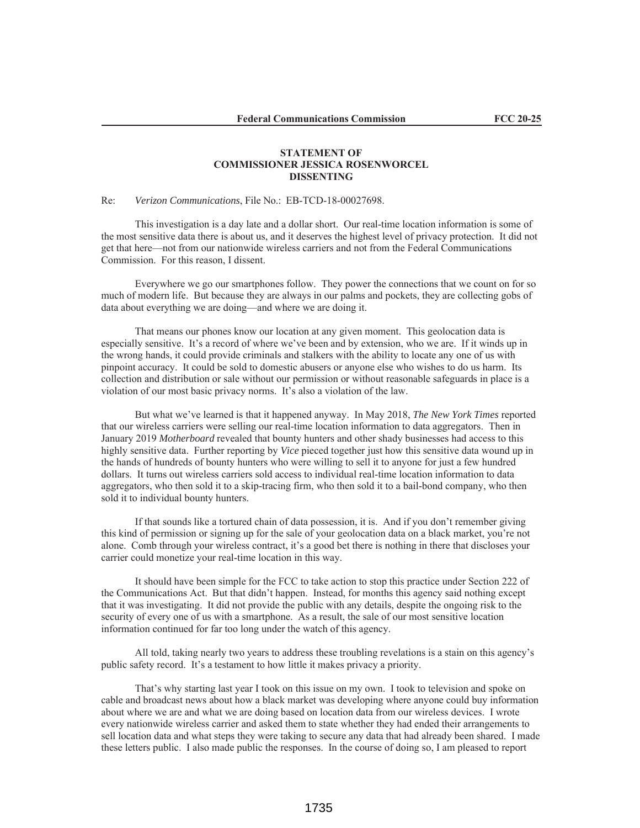# **STATEMENT OF COMMISSIONER JESSICA ROSENWORCEL DISSENTING**

#### Re: *Verizon Communications*, File No.: EB-TCD-18-00027698.

This investigation is a day late and a dollar short. Our real-time location information is some of the most sensitive data there is about us, and it deserves the highest level of privacy protection. It did not get that here—not from our nationwide wireless carriers and not from the Federal Communications Commission. For this reason, I dissent.

 Everywhere we go our smartphones follow. They power the connections that we count on for so much of modern life. But because they are always in our palms and pockets, they are collecting gobs of data about everything we are doing—and where we are doing it.

That means our phones know our location at any given moment. This geolocation data is especially sensitive. It's a record of where we've been and by extension, who we are. If it winds up in the wrong hands, it could provide criminals and stalkers with the ability to locate any one of us with pinpoint accuracy. It could be sold to domestic abusers or anyone else who wishes to do us harm. Its collection and distribution or sale without our permission or without reasonable safeguards in place is a violation of our most basic privacy norms. It's also a violation of the law.

 But what we've learned is that it happened anyway. In May 2018, *The New York Times* reported that our wireless carriers were selling our real-time location information to data aggregators. Then in January 2019 *Motherboard* revealed that bounty hunters and other shady businesses had access to this highly sensitive data. Further reporting by *Vice* pieced together just how this sensitive data wound up in the hands of hundreds of bounty hunters who were willing to sell it to anyone for just a few hundred dollars. It turns out wireless carriers sold access to individual real-time location information to data aggregators, who then sold it to a skip-tracing firm, who then sold it to a bail-bond company, who then sold it to individual bounty hunters.

 If that sounds like a tortured chain of data possession, it is. And if you don't remember giving this kind of permission or signing up for the sale of your geolocation data on a black market, you're not alone. Comb through your wireless contract, it's a good bet there is nothing in there that discloses your carrier could monetize your real-time location in this way.

 It should have been simple for the FCC to take action to stop this practice under Section 222 of the Communications Act. But that didn't happen. Instead, for months this agency said nothing except that it was investigating. It did not provide the public with any details, despite the ongoing risk to the security of every one of us with a smartphone. As a result, the sale of our most sensitive location information continued for far too long under the watch of this agency.

All told, taking nearly two years to address these troubling revelations is a stain on this agency's public safety record. It's a testament to how little it makes privacy a priority.

 That's why starting last year I took on this issue on my own. I took to television and spoke on cable and broadcast news about how a black market was developing where anyone could buy information about where we are and what we are doing based on location data from our wireless devices. I wrote every nationwide wireless carrier and asked them to state whether they had ended their arrangements to sell location data and what steps they were taking to secure any data that had already been shared. I made these letters public. I also made public the responses. In the course of doing so, I am pleased to report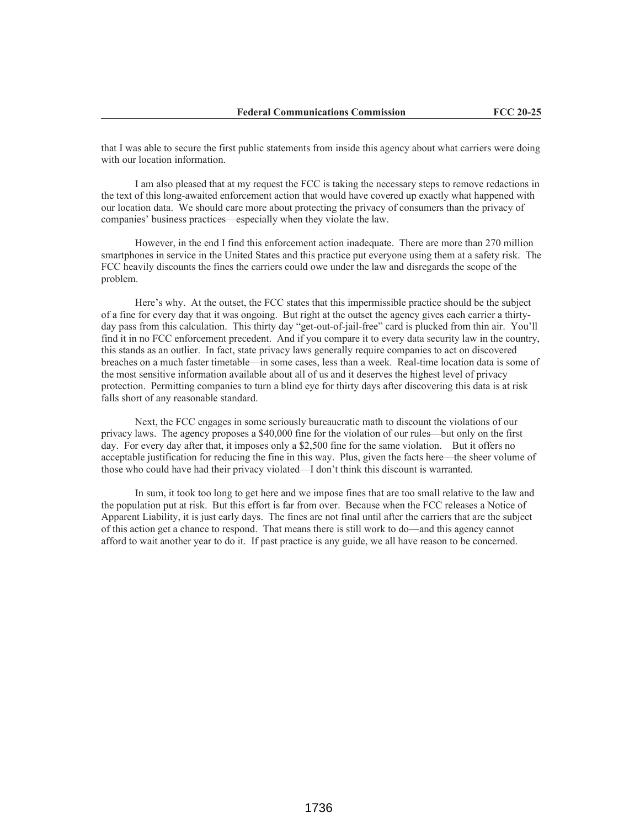that I was able to secure the first public statements from inside this agency about what carriers were doing with our location information.

I am also pleased that at my request the FCC is taking the necessary steps to remove redactions in the text of this long-awaited enforcement action that would have covered up exactly what happened with our location data. We should care more about protecting the privacy of consumers than the privacy of companies' business practices—especially when they violate the law.

 However, in the end I find this enforcement action inadequate. There are more than 270 million smartphones in service in the United States and this practice put everyone using them at a safety risk. The FCC heavily discounts the fines the carriers could owe under the law and disregards the scope of the problem.

Here's why. At the outset, the FCC states that this impermissible practice should be the subject of a fine for every day that it was ongoing. But right at the outset the agency gives each carrier a thirtyday pass from this calculation. This thirty day "get-out-of-jail-free" card is plucked from thin air. You'll find it in no FCC enforcement precedent. And if you compare it to every data security law in the country, this stands as an outlier. In fact, state privacy laws generally require companies to act on discovered breaches on a much faster timetable—in some cases, less than a week. Real-time location data is some of the most sensitive information available about all of us and it deserves the highest level of privacy protection. Permitting companies to turn a blind eye for thirty days after discovering this data is at risk falls short of any reasonable standard.

 Next, the FCC engages in some seriously bureaucratic math to discount the violations of our privacy laws. The agency proposes a \$40,000 fine for the violation of our rules—but only on the first day. For every day after that, it imposes only a \$2,500 fine for the same violation. But it offers no acceptable justification for reducing the fine in this way. Plus, given the facts here—the sheer volume of those who could have had their privacy violated—I don't think this discount is warranted.

In sum, it took too long to get here and we impose fines that are too small relative to the law and the population put at risk. But this effort is far from over. Because when the FCC releases a Notice of Apparent Liability, it is just early days. The fines are not final until after the carriers that are the subject of this action get a chance to respond. That means there is still work to do—and this agency cannot afford to wait another year to do it. If past practice is any guide, we all have reason to be concerned.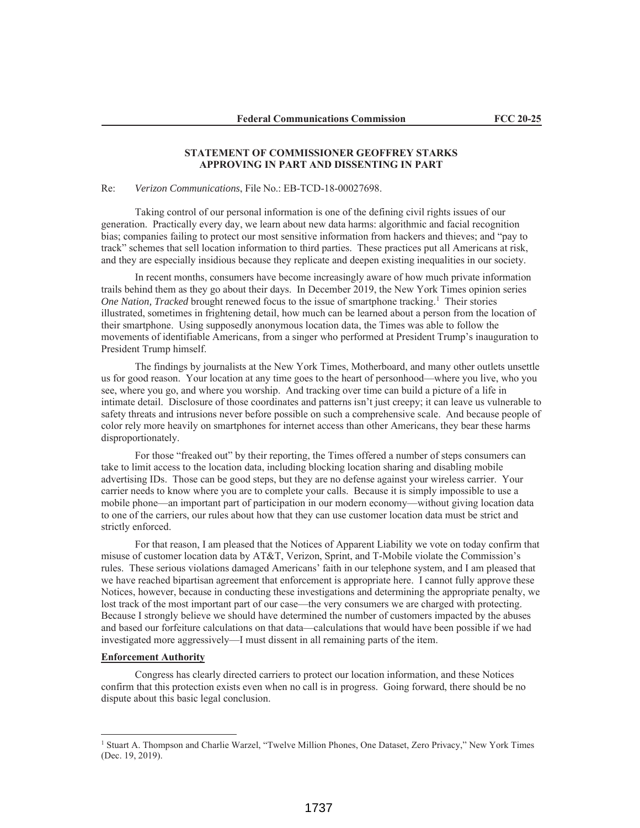# **STATEMENT OF COMMISSIONER GEOFFREY STARKS APPROVING IN PART AND DISSENTING IN PART**

#### Re: *Verizon Communications*, File No.: EB-TCD-18-00027698.

Taking control of our personal information is one of the defining civil rights issues of our generation. Practically every day, we learn about new data harms: algorithmic and facial recognition bias; companies failing to protect our most sensitive information from hackers and thieves; and "pay to track" schemes that sell location information to third parties. These practices put all Americans at risk, and they are especially insidious because they replicate and deepen existing inequalities in our society.

In recent months, consumers have become increasingly aware of how much private information trails behind them as they go about their days. In December 2019, the New York Times opinion series *One Nation, Tracked* brought renewed focus to the issue of smartphone tracking.<sup>1</sup> Their stories illustrated, sometimes in frightening detail, how much can be learned about a person from the location of their smartphone. Using supposedly anonymous location data, the Times was able to follow the movements of identifiable Americans, from a singer who performed at President Trump's inauguration to President Trump himself.

The findings by journalists at the New York Times, Motherboard, and many other outlets unsettle us for good reason. Your location at any time goes to the heart of personhood—where you live, who you see, where you go, and where you worship. And tracking over time can build a picture of a life in intimate detail. Disclosure of those coordinates and patterns isn't just creepy; it can leave us vulnerable to safety threats and intrusions never before possible on such a comprehensive scale. And because people of color rely more heavily on smartphones for internet access than other Americans, they bear these harms disproportionately.

For those "freaked out" by their reporting, the Times offered a number of steps consumers can take to limit access to the location data, including blocking location sharing and disabling mobile advertising IDs. Those can be good steps, but they are no defense against your wireless carrier. Your carrier needs to know where you are to complete your calls. Because it is simply impossible to use a mobile phone—an important part of participation in our modern economy—without giving location data to one of the carriers, our rules about how that they can use customer location data must be strict and strictly enforced.

For that reason, I am pleased that the Notices of Apparent Liability we vote on today confirm that misuse of customer location data by AT&T, Verizon, Sprint, and T-Mobile violate the Commission's rules. These serious violations damaged Americans' faith in our telephone system, and I am pleased that we have reached bipartisan agreement that enforcement is appropriate here. I cannot fully approve these Notices, however, because in conducting these investigations and determining the appropriate penalty, we lost track of the most important part of our case—the very consumers we are charged with protecting. Because I strongly believe we should have determined the number of customers impacted by the abuses and based our forfeiture calculations on that data—calculations that would have been possible if we had investigated more aggressively—I must dissent in all remaining parts of the item.

#### **Enforcement Authority**

Congress has clearly directed carriers to protect our location information, and these Notices confirm that this protection exists even when no call is in progress. Going forward, there should be no dispute about this basic legal conclusion.

<sup>1</sup> Stuart A. Thompson and Charlie Warzel, "Twelve Million Phones, One Dataset, Zero Privacy," New York Times (Dec. 19, 2019).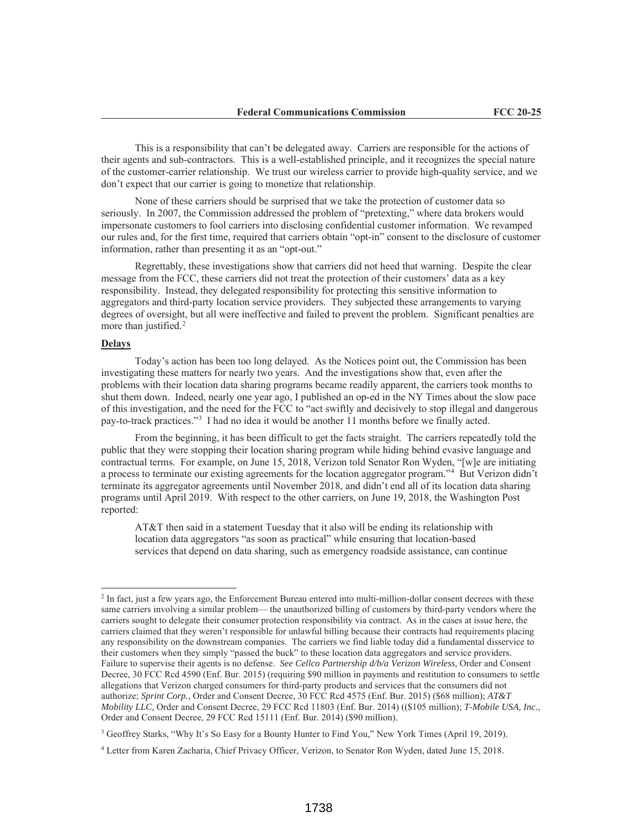This is a responsibility that can't be delegated away. Carriers are responsible for the actions of their agents and sub-contractors. This is a well-established principle, and it recognizes the special nature of the customer-carrier relationship. We trust our wireless carrier to provide high-quality service, and we don't expect that our carrier is going to monetize that relationship.

None of these carriers should be surprised that we take the protection of customer data so seriously. In 2007, the Commission addressed the problem of "pretexting," where data brokers would impersonate customers to fool carriers into disclosing confidential customer information. We revamped our rules and, for the first time, required that carriers obtain "opt-in" consent to the disclosure of customer information, rather than presenting it as an "opt-out."

Regrettably, these investigations show that carriers did not heed that warning. Despite the clear message from the FCC, these carriers did not treat the protection of their customers' data as a key responsibility. Instead, they delegated responsibility for protecting this sensitive information to aggregators and third-party location service providers. They subjected these arrangements to varying degrees of oversight, but all were ineffective and failed to prevent the problem. Significant penalties are more than justified.<sup>2</sup>

# **Delays**

Today's action has been too long delayed. As the Notices point out, the Commission has been investigating these matters for nearly two years. And the investigations show that, even after the problems with their location data sharing programs became readily apparent, the carriers took months to shut them down. Indeed, nearly one year ago, I published an op-ed in the NY Times about the slow pace of this investigation, and the need for the FCC to "act swiftly and decisively to stop illegal and dangerous pay-to-track practices."3 I had no idea it would be another 11 months before we finally acted.

From the beginning, it has been difficult to get the facts straight. The carriers repeatedly told the public that they were stopping their location sharing program while hiding behind evasive language and contractual terms. For example, on June 15, 2018, Verizon told Senator Ron Wyden, "[w]e are initiating a process to terminate our existing agreements for the location aggregator program."4 But Verizon didn't terminate its aggregator agreements until November 2018, and didn't end all of its location data sharing programs until April 2019. With respect to the other carriers, on June 19, 2018, the Washington Post reported:

AT&T then said in a statement Tuesday that it also will be ending its relationship with location data aggregators "as soon as practical" while ensuring that location-based services that depend on data sharing, such as emergency roadside assistance, can continue

<sup>2</sup> In fact, just a few years ago, the Enforcement Bureau entered into multi-million-dollar consent decrees with these same carriers involving a similar problem— the unauthorized billing of customers by third-party vendors where the carriers sought to delegate their consumer protection responsibility via contract. As in the cases at issue here, the carriers claimed that they weren't responsible for unlawful billing because their contracts had requirements placing any responsibility on the downstream companies. The carriers we find liable today did a fundamental disservice to their customers when they simply "passed the buck" to these location data aggregators and service providers. Failure to supervise their agents is no defense. *See Cellco Partnership d/b/a Verizon Wireless,* Order and Consent Decree, 30 FCC Rcd 4590 (Enf. Bur. 2015) (requiring \$90 million in payments and restitution to consumers to settle allegations that Verizon charged consumers for third-party products and services that the consumers did not authorize; *Sprint Corp.,* Order and Consent Decree, 30 FCC Rcd 4575 (Enf. Bur. 2015) (\$68 million); *AT&T Mobility LLC,* Order and Consent Decree, 29 FCC Rcd 11803 (Enf. Bur. 2014) ((\$105 million); *T-Mobile USA, Inc.*, Order and Consent Decree, 29 FCC Rcd 15111 (Enf. Bur. 2014) (\$90 million).

<sup>3</sup> Geoffrey Starks, "Why It's So Easy for a Bounty Hunter to Find You," New York Times (April 19, 2019).

<sup>4</sup> Letter from Karen Zacharia, Chief Privacy Officer, Verizon, to Senator Ron Wyden, dated June 15, 2018.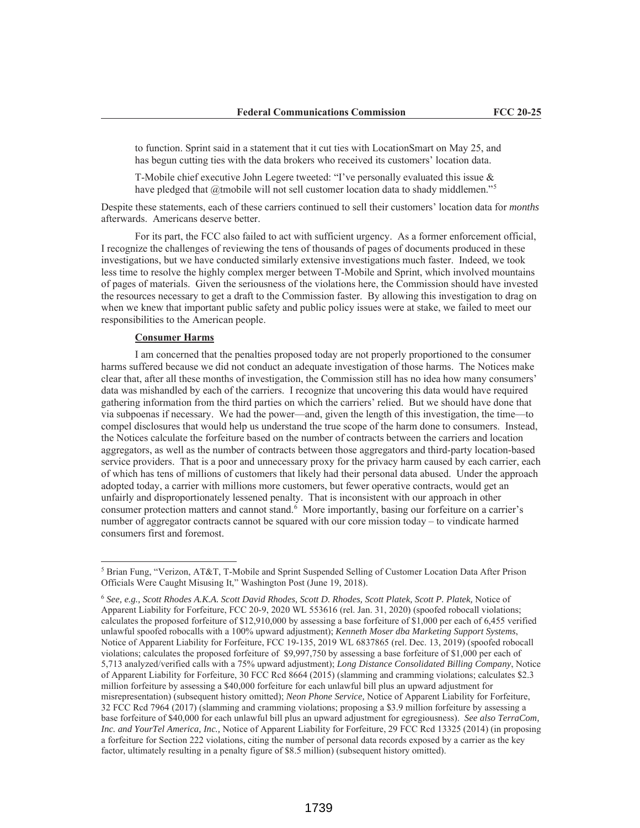to function. Sprint said in a statement that it cut ties with LocationSmart on May 25, and has begun cutting ties with the data brokers who received its customers' location data.

T-Mobile chief executive John Legere tweeted: "I've personally evaluated this issue & have pledged that @tmobile will not sell customer location data to shady middlemen."<sup>5</sup>

Despite these statements, each of these carriers continued to sell their customers' location data for *months* afterwards. Americans deserve better.

For its part, the FCC also failed to act with sufficient urgency. As a former enforcement official, I recognize the challenges of reviewing the tens of thousands of pages of documents produced in these investigations, but we have conducted similarly extensive investigations much faster. Indeed, we took less time to resolve the highly complex merger between T-Mobile and Sprint, which involved mountains of pages of materials. Given the seriousness of the violations here, the Commission should have invested the resources necessary to get a draft to the Commission faster. By allowing this investigation to drag on when we knew that important public safety and public policy issues were at stake, we failed to meet our responsibilities to the American people.

#### **Consumer Harms**

I am concerned that the penalties proposed today are not properly proportioned to the consumer harms suffered because we did not conduct an adequate investigation of those harms. The Notices make clear that, after all these months of investigation, the Commission still has no idea how many consumers' data was mishandled by each of the carriers. I recognize that uncovering this data would have required gathering information from the third parties on which the carriers' relied. But we should have done that via subpoenas if necessary. We had the power—and, given the length of this investigation, the time—to compel disclosures that would help us understand the true scope of the harm done to consumers. Instead, the Notices calculate the forfeiture based on the number of contracts between the carriers and location aggregators, as well as the number of contracts between those aggregators and third-party location-based service providers. That is a poor and unnecessary proxy for the privacy harm caused by each carrier, each of which has tens of millions of customers that likely had their personal data abused. Under the approach adopted today, a carrier with millions more customers, but fewer operative contracts, would get an unfairly and disproportionately lessened penalty. That is inconsistent with our approach in other consumer protection matters and cannot stand.<sup>6</sup> More importantly, basing our forfeiture on a carrier's number of aggregator contracts cannot be squared with our core mission today – to vindicate harmed consumers first and foremost.

<sup>5</sup> Brian Fung, "Verizon, AT&T, T-Mobile and Sprint Suspended Selling of Customer Location Data After Prison Officials Were Caught Misusing It," Washington Post (June 19, 2018).

<sup>6</sup> *See, e.g., Scott Rhodes A.K.A. Scott David Rhodes, Scott D. Rhodes, Scott Platek, Scott P. Platek,* Notice of Apparent Liability for Forfeiture, FCC 20-9, 2020 WL 553616 (rel. Jan. 31, 2020) (spoofed robocall violations; calculates the proposed forfeiture of \$12,910,000 by assessing a base forfeiture of \$1,000 per each of 6,455 verified unlawful spoofed robocalls with a 100% upward adjustment); *Kenneth Moser dba Marketing Support Systems*, Notice of Apparent Liability for Forfeiture, FCC 19-135, 2019 WL 6837865 (rel. Dec. 13, 2019) (spoofed robocall violations; calculates the proposed forfeiture of \$9,997,750 by assessing a base forfeiture of \$1,000 per each of 5,713 analyzed/verified calls with a 75% upward adjustment); *Long Distance Consolidated Billing Company*, Notice of Apparent Liability for Forfeiture, 30 FCC Rcd 8664 (2015) (slamming and cramming violations; calculates \$2.3 million forfeiture by assessing a \$40,000 forfeiture for each unlawful bill plus an upward adjustment for misrepresentation) (subsequent history omitted); *Neon Phone Service,* Notice of Apparent Liability for Forfeiture, 32 FCC Rcd 7964 (2017) (slamming and cramming violations; proposing a \$3.9 million forfeiture by assessing a base forfeiture of \$40,000 for each unlawful bill plus an upward adjustment for egregiousness). *See also TerraCom, Inc. and YourTel America, Inc.,* Notice of Apparent Liability for Forfeiture, 29 FCC Rcd 13325 (2014) (in proposing a forfeiture for Section 222 violations, citing the number of personal data records exposed by a carrier as the key factor, ultimately resulting in a penalty figure of \$8.5 million) (subsequent history omitted).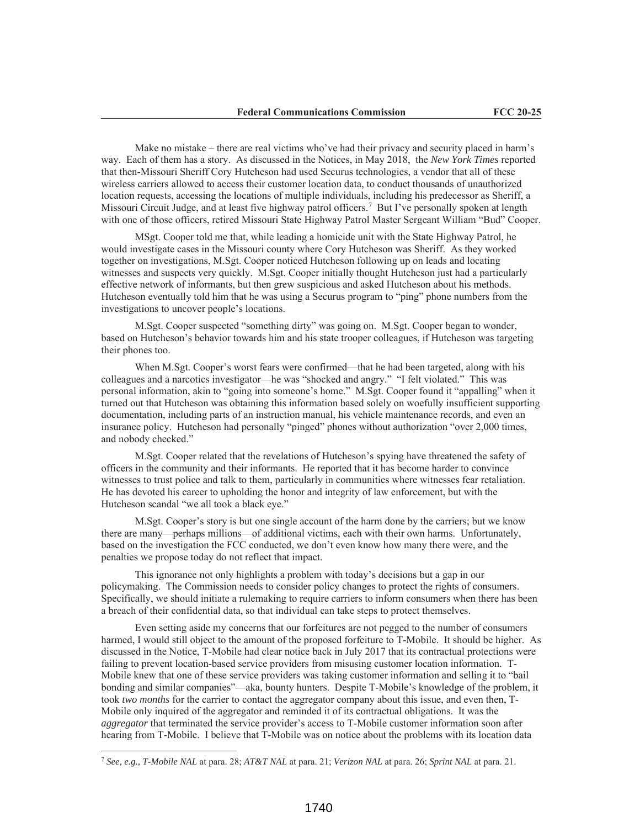Make no mistake – there are real victims who've had their privacy and security placed in harm's way. Each of them has a story. As discussed in the Notices, in May 2018, the *New York Times* reported that then-Missouri Sheriff Cory Hutcheson had used Securus technologies, a vendor that all of these wireless carriers allowed to access their customer location data, to conduct thousands of unauthorized location requests, accessing the locations of multiple individuals, including his predecessor as Sheriff, a Missouri Circuit Judge, and at least five highway patrol officers.7 But I've personally spoken at length with one of those officers, retired Missouri State Highway Patrol Master Sergeant William "Bud" Cooper.

MSgt. Cooper told me that, while leading a homicide unit with the State Highway Patrol, he would investigate cases in the Missouri county where Cory Hutcheson was Sheriff. As they worked together on investigations, M.Sgt. Cooper noticed Hutcheson following up on leads and locating witnesses and suspects very quickly. M.Sgt. Cooper initially thought Hutcheson just had a particularly effective network of informants, but then grew suspicious and asked Hutcheson about his methods. Hutcheson eventually told him that he was using a Securus program to "ping" phone numbers from the investigations to uncover people's locations.

M.Sgt. Cooper suspected "something dirty" was going on. M.Sgt. Cooper began to wonder, based on Hutcheson's behavior towards him and his state trooper colleagues, if Hutcheson was targeting their phones too.

When M.Sgt. Cooper's worst fears were confirmed—that he had been targeted, along with his colleagues and a narcotics investigator—he was "shocked and angry." "I felt violated." This was personal information, akin to "going into someone's home." M.Sgt. Cooper found it "appalling" when it turned out that Hutcheson was obtaining this information based solely on woefully insufficient supporting documentation, including parts of an instruction manual, his vehicle maintenance records, and even an insurance policy. Hutcheson had personally "pinged" phones without authorization "over 2,000 times, and nobody checked."

M.Sgt. Cooper related that the revelations of Hutcheson's spying have threatened the safety of officers in the community and their informants. He reported that it has become harder to convince witnesses to trust police and talk to them, particularly in communities where witnesses fear retaliation. He has devoted his career to upholding the honor and integrity of law enforcement, but with the Hutcheson scandal "we all took a black eye."

M.Sgt. Cooper's story is but one single account of the harm done by the carriers; but we know there are many—perhaps millions—of additional victims, each with their own harms. Unfortunately, based on the investigation the FCC conducted, we don't even know how many there were, and the penalties we propose today do not reflect that impact.

This ignorance not only highlights a problem with today's decisions but a gap in our policymaking. The Commission needs to consider policy changes to protect the rights of consumers. Specifically, we should initiate a rulemaking to require carriers to inform consumers when there has been a breach of their confidential data, so that individual can take steps to protect themselves.

Even setting aside my concerns that our forfeitures are not pegged to the number of consumers harmed, I would still object to the amount of the proposed forfeiture to T-Mobile. It should be higher. As discussed in the Notice, T-Mobile had clear notice back in July 2017 that its contractual protections were failing to prevent location-based service providers from misusing customer location information. T-Mobile knew that one of these service providers was taking customer information and selling it to "bail bonding and similar companies"—aka, bounty hunters. Despite T-Mobile's knowledge of the problem, it took *two months* for the carrier to contact the aggregator company about this issue, and even then, T-Mobile only inquired of the aggregator and reminded it of its contractual obligations. It was the *aggregator* that terminated the service provider's access to T-Mobile customer information soon after hearing from T-Mobile. I believe that T-Mobile was on notice about the problems with its location data

<sup>7</sup> *See, e.g., T-Mobile NAL* at para. 28; *AT&T NAL* at para. 21; *Verizon NAL* at para. 26; *Sprint NAL* at para. 21.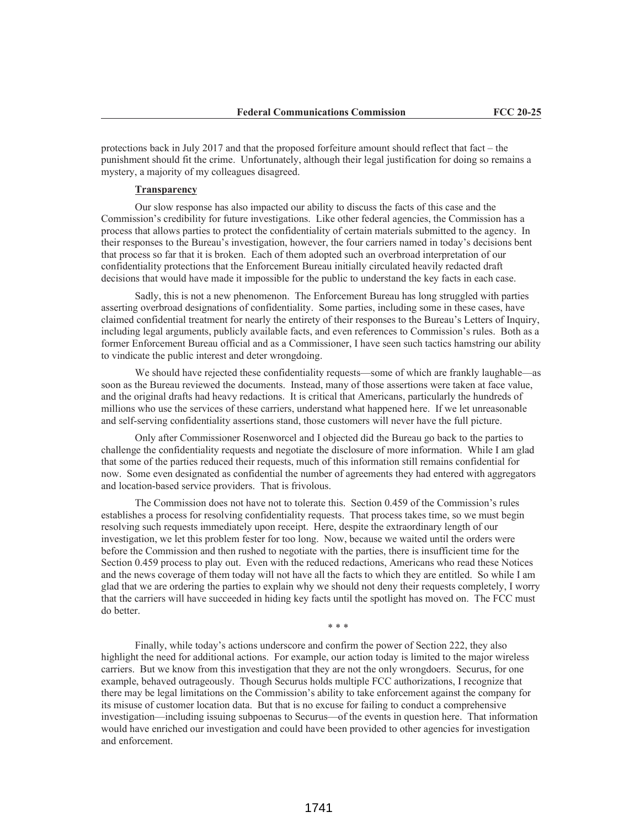protections back in July 2017 and that the proposed forfeiture amount should reflect that fact – the punishment should fit the crime. Unfortunately, although their legal justification for doing so remains a mystery, a majority of my colleagues disagreed.

#### **Transparency**

Our slow response has also impacted our ability to discuss the facts of this case and the Commission's credibility for future investigations. Like other federal agencies, the Commission has a process that allows parties to protect the confidentiality of certain materials submitted to the agency. In their responses to the Bureau's investigation, however, the four carriers named in today's decisions bent that process so far that it is broken. Each of them adopted such an overbroad interpretation of our confidentiality protections that the Enforcement Bureau initially circulated heavily redacted draft decisions that would have made it impossible for the public to understand the key facts in each case.

Sadly, this is not a new phenomenon. The Enforcement Bureau has long struggled with parties asserting overbroad designations of confidentiality. Some parties, including some in these cases, have claimed confidential treatment for nearly the entirety of their responses to the Bureau's Letters of Inquiry, including legal arguments, publicly available facts, and even references to Commission's rules. Both as a former Enforcement Bureau official and as a Commissioner, I have seen such tactics hamstring our ability to vindicate the public interest and deter wrongdoing.

We should have rejected these confidentiality requests—some of which are frankly laughable—as soon as the Bureau reviewed the documents. Instead, many of those assertions were taken at face value, and the original drafts had heavy redactions. It is critical that Americans, particularly the hundreds of millions who use the services of these carriers, understand what happened here. If we let unreasonable and self-serving confidentiality assertions stand, those customers will never have the full picture.

Only after Commissioner Rosenworcel and I objected did the Bureau go back to the parties to challenge the confidentiality requests and negotiate the disclosure of more information. While I am glad that some of the parties reduced their requests, much of this information still remains confidential for now. Some even designated as confidential the number of agreements they had entered with aggregators and location-based service providers. That is frivolous.

The Commission does not have not to tolerate this. Section 0.459 of the Commission's rules establishes a process for resolving confidentiality requests. That process takes time, so we must begin resolving such requests immediately upon receipt. Here, despite the extraordinary length of our investigation, we let this problem fester for too long. Now, because we waited until the orders were before the Commission and then rushed to negotiate with the parties, there is insufficient time for the Section 0.459 process to play out. Even with the reduced redactions, Americans who read these Notices and the news coverage of them today will not have all the facts to which they are entitled. So while I am glad that we are ordering the parties to explain why we should not deny their requests completely, I worry that the carriers will have succeeded in hiding key facts until the spotlight has moved on. The FCC must do better.

\* \* \*

Finally, while today's actions underscore and confirm the power of Section 222, they also highlight the need for additional actions. For example, our action today is limited to the major wireless carriers. But we know from this investigation that they are not the only wrongdoers. Securus, for one example, behaved outrageously. Though Securus holds multiple FCC authorizations, I recognize that there may be legal limitations on the Commission's ability to take enforcement against the company for its misuse of customer location data. But that is no excuse for failing to conduct a comprehensive investigation—including issuing subpoenas to Securus—of the events in question here. That information would have enriched our investigation and could have been provided to other agencies for investigation and enforcement.